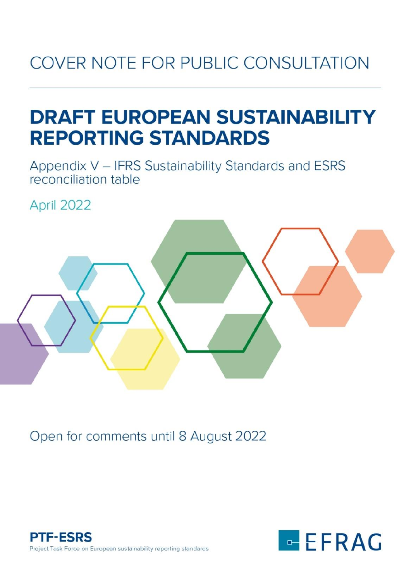# COVER NOTE FOR PUBLIC CONSULTATION

# **DRAFT EUROPEAN SUSTAINABILITY REPORTING STANDARDS**

Appendix V - IFRS Sustainability Standards and ESRS reconciliation table

April 2022



Open for comments until 8 August 2022



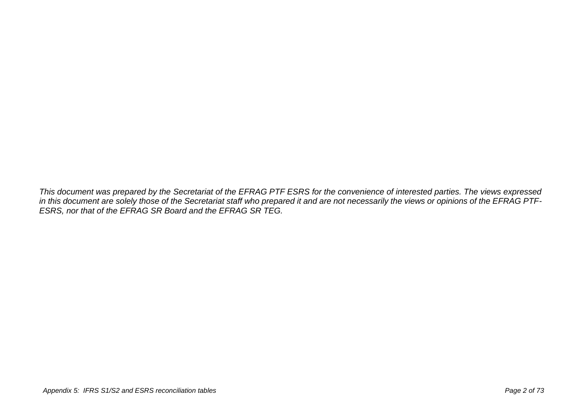*This document was prepared by the Secretariat of the EFRAG PTF ESRS for the convenience of interested parties. The views expressed in this document are solely those of the Secretariat staff who prepared it and are not necessarily the views or opinions of the EFRAG PTF-ESRS, nor that of the EFRAG SR Board and the EFRAG SR TEG.*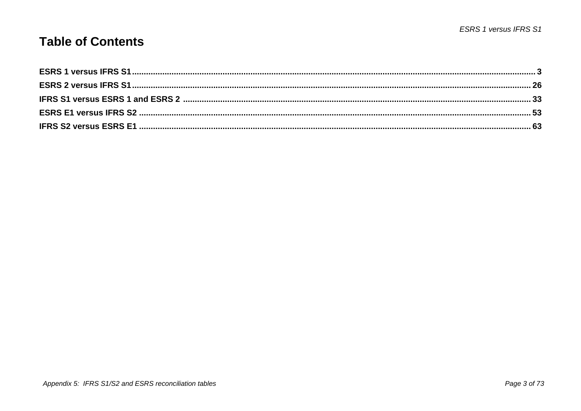#### **Table of Contents**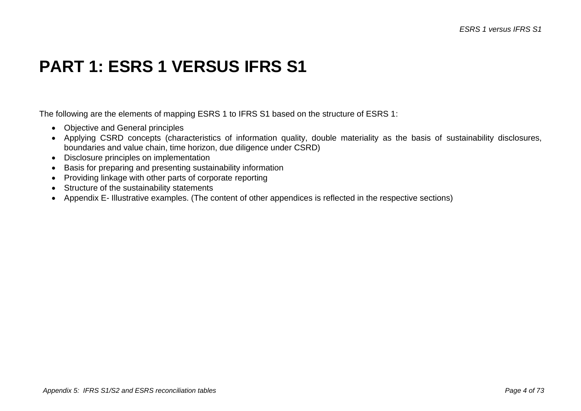### **PART 1: ESRS 1 VERSUS IFRS S1**

The following are the elements of mapping ESRS 1 to IFRS S1 based on the structure of ESRS 1:

- Objective and General principles
- Applying CSRD concepts (characteristics of information quality, double materiality as the basis of sustainability disclosures, boundaries and value chain, time horizon, due diligence under CSRD)
- Disclosure principles on implementation
- Basis for preparing and presenting sustainability information
- Providing linkage with other parts of corporate reporting
- Structure of the sustainability statements
- Appendix E- Illustrative examples. (The content of other appendices is reflected in the respective sections)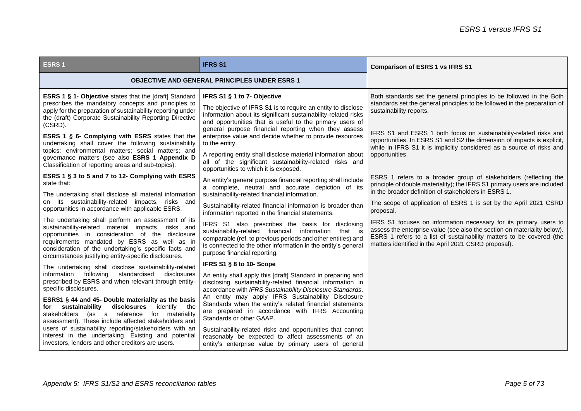| <b>ESRS1</b>                                                                                                                                                                                                                                                                                                                  | <b>IFRS S1</b>                                                                                                                                                                                                                                                                                         | <b>Comparison of ESRS 1 vs IFRS S1</b>                                                                                                                                                                                                                                        |
|-------------------------------------------------------------------------------------------------------------------------------------------------------------------------------------------------------------------------------------------------------------------------------------------------------------------------------|--------------------------------------------------------------------------------------------------------------------------------------------------------------------------------------------------------------------------------------------------------------------------------------------------------|-------------------------------------------------------------------------------------------------------------------------------------------------------------------------------------------------------------------------------------------------------------------------------|
|                                                                                                                                                                                                                                                                                                                               | <b>OBJECTIVE AND GENERAL PRINCIPLES UNDER ESRS 1</b>                                                                                                                                                                                                                                                   |                                                                                                                                                                                                                                                                               |
| <b>ESRS 1 § 1- Objective</b> states that the [draft] Standard<br>prescribes the mandatory concepts and principles to<br>apply for the preparation of sustainability reporting under<br>the (draft) Corporate Sustainability Reporting Directive<br>(CSRD).                                                                    | IFRS S1 § 1 to 7- Objective<br>The objective of IFRS S1 is to require an entity to disclose<br>information about its significant sustainability-related risks<br>and opportunities that is useful to the primary users of                                                                              | Both standards set the general principles to be followed in the Both<br>standards set the general principles to be followed in the preparation of<br>sustainability reports.                                                                                                  |
| ESRS 1 § 6- Complying with ESRS states that the<br>undertaking shall cover the following sustainability<br>topics: environmental matters; social matters; and<br>governance matters (see also ESRS 1 Appendix D<br>Classification of reporting areas and sub-topics).                                                         | general purpose financial reporting when they assess<br>enterprise value and decide whether to provide resources<br>to the entity.<br>A reporting entity shall disclose material information about<br>all of the significant sustainability-related risks and<br>opportunities to which it is exposed. | IFRS S1 and ESRS 1 both focus on sustainability-related risks and<br>opportunities. In ESRS S1 and S2 the dimension of impacts is explicit,<br>while in IFRS S1 it is implicitly considered as a source of risks and<br>opportunities.                                        |
| ESRS 1 § 3 to 5 and 7 to 12- Complying with ESRS<br>state that:                                                                                                                                                                                                                                                               | An entity's general purpose financial reporting shall include<br>a complete, neutral and accurate depiction of its                                                                                                                                                                                     | ESRS 1 refers to a broader group of stakeholders (reflecting the<br>principle of double materiality); the IFRS S1 primary users are included<br>in the broader definition of stakeholders in ESRS 1.                                                                          |
| The undertaking shall disclose all material information<br>on its sustainability-related impacts, risks and<br>opportunities in accordance with applicable ESRS.                                                                                                                                                              | sustainability-related financial information.<br>Sustainability-related financial information is broader than<br>information reported in the financial statements.                                                                                                                                     | The scope of application of ESRS 1 is set by the April 2021 CSRD<br>proposal.                                                                                                                                                                                                 |
| The undertaking shall perform an assessment of its<br>sustainability-related material impacts, risks and<br>opportunities in consideration of the disclosure<br>requirements mandated by ESRS as well as in<br>consideration of the undertaking's specific facts and<br>circumstances justifying entity-specific disclosures. | IFRS S1 also prescribes the basis for disclosing<br>sustainability-related financial information<br>that is<br>comparable (ref. to previous periods and other entities) and<br>is connected to the other information in the entity's general<br>purpose financial reporting.                           | IFRS S1 focuses on information necessary for its primary users to<br>assess the enterprise value (see also the section on materiality below).<br>ESRS 1 refers to a list of sustainability matters to be covered (the<br>matters identified in the April 2021 CSRD proposal). |
| The undertaking shall disclose sustainability-related                                                                                                                                                                                                                                                                         | IFRS S1 § 8 to 10- Scope                                                                                                                                                                                                                                                                               |                                                                                                                                                                                                                                                                               |
| information following standardised<br>disclosures<br>prescribed by ESRS and when relevant through entity-<br>specific disclosures.                                                                                                                                                                                            | An entity shall apply this [draft] Standard in preparing and<br>disclosing sustainability-related financial information in<br>accordance with IFRS Sustainability Disclosure Standards.                                                                                                                |                                                                                                                                                                                                                                                                               |
| ESRS1 § 44 and 45- Double materiality as the basis<br>sustainability<br>disclosures<br>identify<br>the<br>for<br>stakeholders (as a reference for materiality<br>assessment). These include affected stakeholders and                                                                                                         | An entity may apply IFRS Sustainability Disclosure<br>Standards when the entity's related financial statements<br>are prepared in accordance with IFRS Accounting<br>Standards or other GAAP.                                                                                                          |                                                                                                                                                                                                                                                                               |
| users of sustainability reporting/stakeholders with an<br>interest in the undertaking. Existing and potential<br>investors, lenders and other creditors are users.                                                                                                                                                            | Sustainability-related risks and opportunities that cannot<br>reasonably be expected to affect assessments of an<br>entity's enterprise value by primary users of general                                                                                                                              |                                                                                                                                                                                                                                                                               |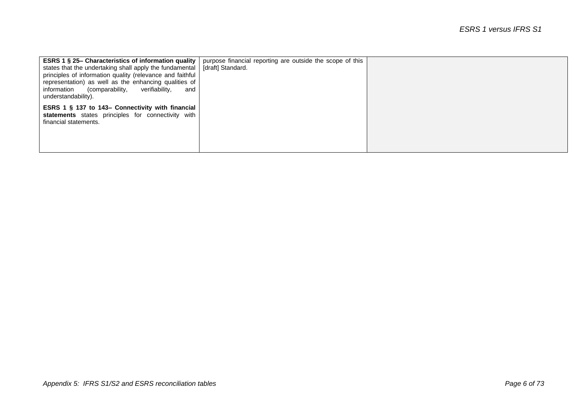| <b>ESRS 1 § 25– Characteristics of information quality</b><br>states that the undertaking shall apply the fundamental<br>principles of information quality (relevance and faithful<br>representation) as well as the enhancing qualities of<br>information<br>verifiability,<br>(comparability,<br>and<br>understandability). | purpose financial reporting are outside the scope of this<br>[draft] Standard. |  |
|-------------------------------------------------------------------------------------------------------------------------------------------------------------------------------------------------------------------------------------------------------------------------------------------------------------------------------|--------------------------------------------------------------------------------|--|
| ESRS 1 § 137 to 143– Connectivity with financial<br>statements states principles for connectivity with<br>financial statements.                                                                                                                                                                                               |                                                                                |  |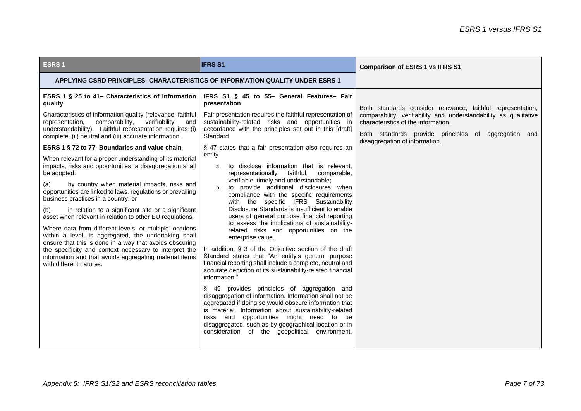| <b>ESRS1</b>                                                                                                                                                                                                                                                                                                                                                                                                                                                                                                                                                                                                                                                                                                                                          | <b>IFRS S1</b>                                                                                                                                                                                                                                                                                                                                                                                                                                                                                                                                                                                                                                                                                                                                                                                                                                                                                                                                                                                                                                                                                                                                  | <b>Comparison of ESRS 1 vs IFRS S1</b>                                                                                                                           |
|-------------------------------------------------------------------------------------------------------------------------------------------------------------------------------------------------------------------------------------------------------------------------------------------------------------------------------------------------------------------------------------------------------------------------------------------------------------------------------------------------------------------------------------------------------------------------------------------------------------------------------------------------------------------------------------------------------------------------------------------------------|-------------------------------------------------------------------------------------------------------------------------------------------------------------------------------------------------------------------------------------------------------------------------------------------------------------------------------------------------------------------------------------------------------------------------------------------------------------------------------------------------------------------------------------------------------------------------------------------------------------------------------------------------------------------------------------------------------------------------------------------------------------------------------------------------------------------------------------------------------------------------------------------------------------------------------------------------------------------------------------------------------------------------------------------------------------------------------------------------------------------------------------------------|------------------------------------------------------------------------------------------------------------------------------------------------------------------|
| APPLYING CSRD PRINCIPLES- CHARACTERISTICS OF INFORMATION QUALITY UNDER ESRS 1                                                                                                                                                                                                                                                                                                                                                                                                                                                                                                                                                                                                                                                                         |                                                                                                                                                                                                                                                                                                                                                                                                                                                                                                                                                                                                                                                                                                                                                                                                                                                                                                                                                                                                                                                                                                                                                 |                                                                                                                                                                  |
| ESRS 1 § 25 to 41- Characteristics of information<br>quality                                                                                                                                                                                                                                                                                                                                                                                                                                                                                                                                                                                                                                                                                          | IFRS S1 § 45 to 55- General Features- Fair<br>presentation                                                                                                                                                                                                                                                                                                                                                                                                                                                                                                                                                                                                                                                                                                                                                                                                                                                                                                                                                                                                                                                                                      | Both standards consider relevance, faithful representation,                                                                                                      |
| Characteristics of information quality (relevance, faithful<br>representation,<br>comparability,<br>verifiability<br>and<br>understandability). Faithful representation requires (i)<br>complete, (ii) neutral and (iii) accurate information.                                                                                                                                                                                                                                                                                                                                                                                                                                                                                                        | Fair presentation requires the faithful representation of<br>sustainability-related risks and opportunities in<br>accordance with the principles set out in this [draft]<br>Standard.                                                                                                                                                                                                                                                                                                                                                                                                                                                                                                                                                                                                                                                                                                                                                                                                                                                                                                                                                           | comparability, verifiability and understandability as qualitative<br>characteristics of the information.<br>Both standards provide principles of aggregation and |
| ESRS 1 § 72 to 77- Boundaries and value chain                                                                                                                                                                                                                                                                                                                                                                                                                                                                                                                                                                                                                                                                                                         | § 47 states that a fair presentation also requires an<br>entity                                                                                                                                                                                                                                                                                                                                                                                                                                                                                                                                                                                                                                                                                                                                                                                                                                                                                                                                                                                                                                                                                 | disaggregation of information.                                                                                                                                   |
| When relevant for a proper understanding of its material<br>impacts, risks and opportunities, a disaggregation shall<br>be adopted:<br>by country when material impacts, risks and<br>(a)<br>opportunities are linked to laws, regulations or prevailing<br>business practices in a country; or<br>in relation to a significant site or a significant<br>(b)<br>asset when relevant in relation to other EU regulations.<br>Where data from different levels, or multiple locations<br>within a level, is aggregated, the undertaking shall<br>ensure that this is done in a way that avoids obscuring<br>the specificity and context necessary to interpret the<br>information and that avoids aggregating material items<br>with different natures. | to disclose information that is relevant,<br>a.<br>comparable,<br>representationally<br>faithful,<br>verifiable, timely and understandable;<br>to provide additional disclosures when<br>h.<br>compliance with the specific requirements<br>with the specific IFRS Sustainability<br>Disclosure Standards is insufficient to enable<br>users of general purpose financial reporting<br>to assess the implications of sustainability-<br>related risks and opportunities on the<br>enterprise value.<br>In addition, § 3 of the Objective section of the draft<br>Standard states that "An entity's general purpose<br>financial reporting shall include a complete, neutral and<br>accurate depiction of its sustainability-related financial<br>information.'<br>49 provides principles of aggregation and<br>disaggregation of information. Information shall not be<br>aggregated if doing so would obscure information that<br>is material. Information about sustainability-related<br>risks and opportunities might need to be<br>disaggregated, such as by geographical location or in<br>consideration of the geopolitical environment. |                                                                                                                                                                  |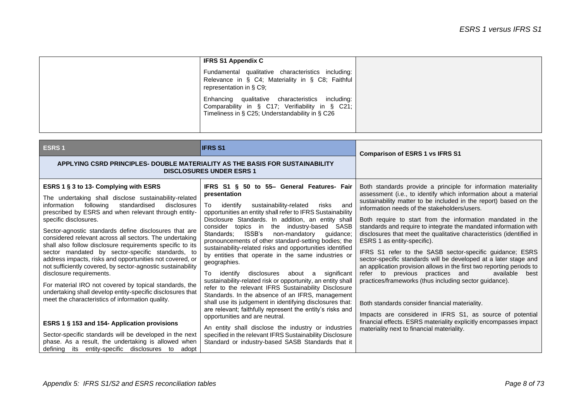| <b>IFRS S1 Appendix C</b>                                                                                                                              |
|--------------------------------------------------------------------------------------------------------------------------------------------------------|
| Fundamental qualitative characteristics including:<br>Relevance in § C4; Materiality in § C8; Faithful<br>representation in § C9;                      |
| Enhancing qualitative characteristics including:<br>Comparability in § C17; Verifiability in § C21;<br>Timeliness in § C25; Understandability in § C26 |

| <b>ESRS1</b>                                                                                                                                                                                                                                                                                                                                                                                                                                                                                                                                                                                                                                                                                                                                                                                                                                                       | <b>IFRS S1</b>                                                                                                                                                                                                                                                                                                                                                                                                                                                                                                                                                                                                                                                                                                                                                                                                                                                                                                                                                                                       | <b>Comparison of ESRS 1 vs IFRS S1</b>                                                                                                                                                                                                                                                                                                                                                                                                                                                                                                                                                                                                                                                                                                                                                                                                                                                                                                                                                                                                                       |
|--------------------------------------------------------------------------------------------------------------------------------------------------------------------------------------------------------------------------------------------------------------------------------------------------------------------------------------------------------------------------------------------------------------------------------------------------------------------------------------------------------------------------------------------------------------------------------------------------------------------------------------------------------------------------------------------------------------------------------------------------------------------------------------------------------------------------------------------------------------------|------------------------------------------------------------------------------------------------------------------------------------------------------------------------------------------------------------------------------------------------------------------------------------------------------------------------------------------------------------------------------------------------------------------------------------------------------------------------------------------------------------------------------------------------------------------------------------------------------------------------------------------------------------------------------------------------------------------------------------------------------------------------------------------------------------------------------------------------------------------------------------------------------------------------------------------------------------------------------------------------------|--------------------------------------------------------------------------------------------------------------------------------------------------------------------------------------------------------------------------------------------------------------------------------------------------------------------------------------------------------------------------------------------------------------------------------------------------------------------------------------------------------------------------------------------------------------------------------------------------------------------------------------------------------------------------------------------------------------------------------------------------------------------------------------------------------------------------------------------------------------------------------------------------------------------------------------------------------------------------------------------------------------------------------------------------------------|
| APPLYING CSRD PRINCIPLES- DOUBLE MATERIALITY AS THE BASIS FOR SUSTAINABILITY<br><b>DISCLOSURES UNDER ESRS 1</b>                                                                                                                                                                                                                                                                                                                                                                                                                                                                                                                                                                                                                                                                                                                                                    |                                                                                                                                                                                                                                                                                                                                                                                                                                                                                                                                                                                                                                                                                                                                                                                                                                                                                                                                                                                                      |                                                                                                                                                                                                                                                                                                                                                                                                                                                                                                                                                                                                                                                                                                                                                                                                                                                                                                                                                                                                                                                              |
| ESRS 1 § 3 to 13- Complying with ESRS<br>The undertaking shall disclose sustainability-related<br>following<br>standardised<br>disclosures<br>information<br>prescribed by ESRS and when relevant through entity-<br>specific disclosures.<br>Sector-agnostic standards define disclosures that are<br>considered relevant across all sectors. The undertaking<br>shall also follow disclosure requirements specific to its<br>sector mandated by sector-specific standards, to<br>address impacts, risks and opportunities not covered, or<br>not sufficiently covered, by sector-agnostic sustainability<br>disclosure requirements.<br>For material IRO not covered by topical standards, the<br>undertaking shall develop entity-specific disclosures that<br>meet the characteristics of information quality.<br>ESRS 1 § 153 and 154- Application provisions | IFRS S1 § 50 to 55- General Features- Fair<br>presentation<br>sustainability-related<br>and<br>identifv<br>To<br>risks<br>opportunities an entity shall refer to IFRS Sustainability<br>Disclosure Standards. In addition, an entity shall<br>the industry-based SASB<br>topics in<br>consider<br>ISSB's<br>non-mandatory<br>Standards:<br>quidance;<br>pronouncements of other standard-setting bodies; the<br>sustainability-related risks and opportunities identified<br>by entities that operate in the same industries or<br>geographies.<br>about a<br>significant<br>To identify<br>disclosures<br>sustainability-related risk or opportunity, an entity shall<br>refer to the relevant IFRS Sustainability Disclosure<br>Standards. In the absence of an IFRS, management<br>shall use its judgement in identifying disclosures that:<br>are relevant; faithfully represent the entity's risks and<br>opportunities and are neutral.<br>An entity shall disclose the industry or industries | Both standards provide a principle for information materiality<br>assessment (i.e., to identify which information about a material<br>sustainability matter to be included in the report) based on the<br>information needs of the stakeholders/users.<br>Both require to start from the information mandated in the<br>standards and require to integrate the mandated information with<br>disclosures that meet the qualitative characteristics (identified in<br>ESRS 1 as entity-specific).<br>IFRS S1 refer to the SASB sector-specific guidance; ESRS<br>sector-specific standards will be developed at a later stage and<br>an application provision allows in the first two reporting periods to<br>refer to previous practices and<br>available<br>best<br>practices/frameworks (thus including sector guidance).<br>Both standards consider financial materiality.<br>Impacts are considered in IFRS S1, as source of potential<br>financial effects. ESRS materiality explicitly encompasses impact<br>materiality next to financial materiality. |
| Sector-specific standards will be developed in the next<br>phase. As a result, the undertaking is allowed when<br>defining its entity-specific disclosures<br>to<br>adopt                                                                                                                                                                                                                                                                                                                                                                                                                                                                                                                                                                                                                                                                                          | specified in the relevant IFRS Sustainability Disclosure<br>Standard or industry-based SASB Standards that it                                                                                                                                                                                                                                                                                                                                                                                                                                                                                                                                                                                                                                                                                                                                                                                                                                                                                        |                                                                                                                                                                                                                                                                                                                                                                                                                                                                                                                                                                                                                                                                                                                                                                                                                                                                                                                                                                                                                                                              |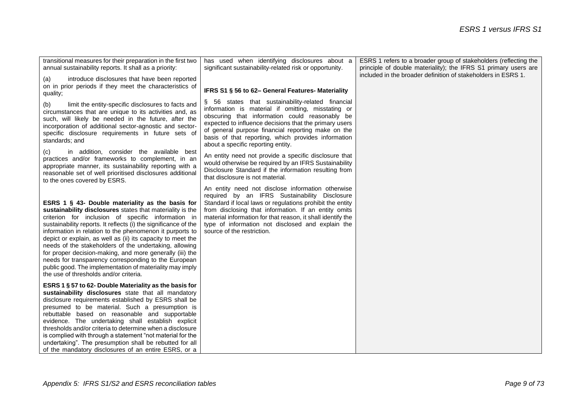| transitional measures for their preparation in the first two<br>annual sustainability reports. It shall as a priority:                                                                                                                                                                                                                                                                                                                                                                                                                                                                                                                                   | has used when identifying disclosures about a<br>significant sustainability-related risk or opportunity.                                                                                                                                                                                                                                                                  | ESRS 1 refers to a broader group of stakeholders (reflecting the<br>principle of double materiality); the IFRS S1 primary users are |
|----------------------------------------------------------------------------------------------------------------------------------------------------------------------------------------------------------------------------------------------------------------------------------------------------------------------------------------------------------------------------------------------------------------------------------------------------------------------------------------------------------------------------------------------------------------------------------------------------------------------------------------------------------|---------------------------------------------------------------------------------------------------------------------------------------------------------------------------------------------------------------------------------------------------------------------------------------------------------------------------------------------------------------------------|-------------------------------------------------------------------------------------------------------------------------------------|
| introduce disclosures that have been reported<br>(a)                                                                                                                                                                                                                                                                                                                                                                                                                                                                                                                                                                                                     |                                                                                                                                                                                                                                                                                                                                                                           | included in the broader definition of stakeholders in ESRS 1.                                                                       |
| on in prior periods if they meet the characteristics of<br>quality;                                                                                                                                                                                                                                                                                                                                                                                                                                                                                                                                                                                      | IFRS S1 § 56 to 62- General Features- Materiality                                                                                                                                                                                                                                                                                                                         |                                                                                                                                     |
| limit the entity-specific disclosures to facts and<br>(b)<br>circumstances that are unique to its activities and, as<br>such, will likely be needed in the future, after the<br>incorporation of additional sector-agnostic and sector-<br>specific disclosure requirements in future sets of<br>standards; and                                                                                                                                                                                                                                                                                                                                          | § 56 states that sustainability-related financial<br>information is material if omitting, misstating or<br>obscuring that information could reasonably be<br>expected to influence decisions that the primary users<br>of general purpose financial reporting make on the<br>basis of that reporting, which provides information<br>about a specific reporting entity.    |                                                                                                                                     |
| in addition, consider the available best<br>(c)<br>practices and/or frameworks to complement, in an<br>appropriate manner, its sustainability reporting with a<br>reasonable set of well prioritised disclosures additional<br>to the ones covered by ESRS.                                                                                                                                                                                                                                                                                                                                                                                              | An entity need not provide a specific disclosure that<br>would otherwise be required by an IFRS Sustainability<br>Disclosure Standard if the information resulting from<br>that disclosure is not material.                                                                                                                                                               |                                                                                                                                     |
| ESRS 1 $\S$ 43- Double materiality as the basis for<br>sustainability disclosures states that materiality is the<br>criterion for inclusion of specific information in<br>sustainability reports. It reflects (i) the significance of the<br>information in relation to the phenomenon it purports to<br>depict or explain, as well as (ii) its capacity to meet the<br>needs of the stakeholders of the undertaking, allowing<br>for proper decision-making, and more generally (iii) the<br>needs for transparency corresponding to the European<br>public good. The implementation of materiality may imply<br>the use of thresholds and/or criteria. | An entity need not disclose information otherwise<br>required by an IFRS Sustainability Disclosure<br>Standard if local laws or regulations prohibit the entity<br>from disclosing that information. If an entity omits<br>material information for that reason, it shall identify the<br>type of information not disclosed and explain the<br>source of the restriction. |                                                                                                                                     |
| ESRS 1 § 57 to 62- Double Materiality as the basis for<br>sustainability disclosures state that all mandatory<br>disclosure requirements established by ESRS shall be<br>presumed to be material. Such a presumption is<br>rebuttable based on reasonable and supportable<br>evidence. The undertaking shall establish explicit<br>thresholds and/or criteria to determine when a disclosure<br>is complied with through a statement "not material for the<br>undertaking". The presumption shall be rebutted for all<br>of the mandatory disclosures of an entire ESRS, or a                                                                            |                                                                                                                                                                                                                                                                                                                                                                           |                                                                                                                                     |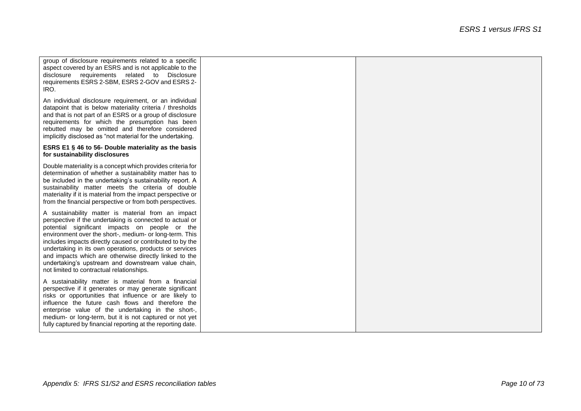| group of disclosure requirements related to a specific<br>aspect covered by an ESRS and is not applicable to the<br>disclosure requirements related to Disclosure<br>requirements ESRS 2-SBM, ESRS 2-GOV and ESRS 2-<br>IRO.                                                                                                                                                                                                                                                                                     |  |
|------------------------------------------------------------------------------------------------------------------------------------------------------------------------------------------------------------------------------------------------------------------------------------------------------------------------------------------------------------------------------------------------------------------------------------------------------------------------------------------------------------------|--|
| An individual disclosure requirement, or an individual<br>datapoint that is below materiality criteria / thresholds<br>and that is not part of an ESRS or a group of disclosure<br>requirements for which the presumption has been<br>rebutted may be omitted and therefore considered<br>implicitly disclosed as "not material for the undertaking.                                                                                                                                                             |  |
| ESRS E1 § 46 to 56- Double materiality as the basis<br>for sustainability disclosures                                                                                                                                                                                                                                                                                                                                                                                                                            |  |
| Double materiality is a concept which provides criteria for<br>determination of whether a sustainability matter has to<br>be included in the undertaking's sustainability report. A<br>sustainability matter meets the criteria of double<br>materiality if it is material from the impact perspective or<br>from the financial perspective or from both perspectives.                                                                                                                                           |  |
| A sustainability matter is material from an impact<br>perspective if the undertaking is connected to actual or<br>potential significant impacts on people or the<br>environment over the short-, medium- or long-term. This<br>includes impacts directly caused or contributed to by the<br>undertaking in its own operations, products or services<br>and impacts which are otherwise directly linked to the<br>undertaking's upstream and downstream value chain,<br>not limited to contractual relationships. |  |
| A sustainability matter is material from a financial<br>perspective if it generates or may generate significant<br>risks or opportunities that influence or are likely to<br>influence the future cash flows and therefore the<br>enterprise value of the undertaking in the short-,<br>medium- or long-term, but it is not captured or not yet<br>fully captured by financial reporting at the reporting date.                                                                                                  |  |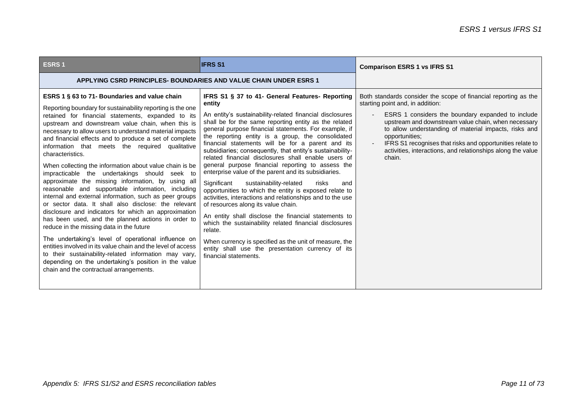| ESRS <sub>1</sub>                                                                                                                                                                                                                                                                                                                                                                                                                                                                                                                                                                                                                                                                                                                                                                                                                                                                                                                                                                                                                                                                                                                                                                                        | <b>IFRS S1</b>                                                                                                                                                                                                                                                                                                                                                                                                                                                                                                                                                                                                                                                                                                                                                                                                                                                                                                                                                                                                                                                                 | <b>Comparison ESRS 1 vs IFRS S1</b>                                                                                                                                                                                                                                                                                                                                                                                              |
|----------------------------------------------------------------------------------------------------------------------------------------------------------------------------------------------------------------------------------------------------------------------------------------------------------------------------------------------------------------------------------------------------------------------------------------------------------------------------------------------------------------------------------------------------------------------------------------------------------------------------------------------------------------------------------------------------------------------------------------------------------------------------------------------------------------------------------------------------------------------------------------------------------------------------------------------------------------------------------------------------------------------------------------------------------------------------------------------------------------------------------------------------------------------------------------------------------|--------------------------------------------------------------------------------------------------------------------------------------------------------------------------------------------------------------------------------------------------------------------------------------------------------------------------------------------------------------------------------------------------------------------------------------------------------------------------------------------------------------------------------------------------------------------------------------------------------------------------------------------------------------------------------------------------------------------------------------------------------------------------------------------------------------------------------------------------------------------------------------------------------------------------------------------------------------------------------------------------------------------------------------------------------------------------------|----------------------------------------------------------------------------------------------------------------------------------------------------------------------------------------------------------------------------------------------------------------------------------------------------------------------------------------------------------------------------------------------------------------------------------|
| <b>APPLYING CSRD PRINCIPLES- BOUNDARIES AND VALUE CHAIN UNDER ESRS 1</b>                                                                                                                                                                                                                                                                                                                                                                                                                                                                                                                                                                                                                                                                                                                                                                                                                                                                                                                                                                                                                                                                                                                                 |                                                                                                                                                                                                                                                                                                                                                                                                                                                                                                                                                                                                                                                                                                                                                                                                                                                                                                                                                                                                                                                                                |                                                                                                                                                                                                                                                                                                                                                                                                                                  |
| ESRS 1 § 63 to 71- Boundaries and value chain<br>Reporting boundary for sustainability reporting is the one<br>retained for financial statements, expanded to its<br>upstream and downstream value chain, when this is<br>necessary to allow users to understand material impacts<br>and financial effects and to produce a set of complete<br>information that meets the required qualitative<br>characteristics.<br>When collecting the information about value chain is be.<br>impracticable the undertakings should seek to<br>approximate the missing information, by using all<br>reasonable and supportable information, including<br>internal and external information, such as peer groups<br>or sector data. It shall also disclose: the relevant<br>disclosure and indicators for which an approximation<br>has been used, and the planned actions in order to<br>reduce in the missing data in the future<br>The undertaking's level of operational influence on<br>entities involved in its value chain and the level of access<br>to their sustainability-related information may vary,<br>depending on the undertaking's position in the value<br>chain and the contractual arrangements. | IFRS S1 § 37 to 41- General Features- Reporting<br>entity<br>An entity's sustainability-related financial disclosures<br>shall be for the same reporting entity as the related<br>general purpose financial statements. For example, if<br>the reporting entity is a group, the consolidated<br>financial statements will be for a parent and its<br>subsidiaries; consequently, that entity's sustainability-<br>related financial disclosures shall enable users of<br>general purpose financial reporting to assess the<br>enterprise value of the parent and its subsidiaries.<br>Significant<br>sustainability-related<br>risks<br>and<br>opportunities to which the entity is exposed relate to<br>activities, interactions and relationships and to the use<br>of resources along its value chain.<br>An entity shall disclose the financial statements to<br>which the sustainability related financial disclosures<br>relate.<br>When currency is specified as the unit of measure, the<br>entity shall use the presentation currency of its<br>financial statements. | Both standards consider the scope of financial reporting as the<br>starting point and, in addition:<br>ESRS 1 considers the boundary expanded to include<br>upstream and downstream value chain, when necessary<br>to allow understanding of material impacts, risks and<br>opportunities:<br>IFRS S1 recognises that risks and opportunities relate to<br>activities, interactions, and relationships along the value<br>chain. |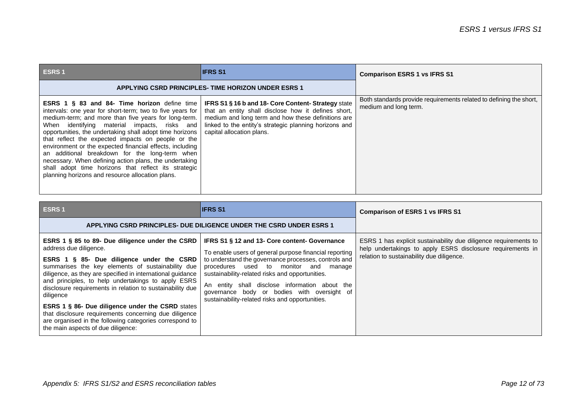| <b>ESRS1</b>                                                                                                                                                                                                                                                                                                                                                                                                                                                                                                                                                                                                                   | <b>IIFRS S1</b>                                                                                                                                                                                                                                                | <b>Comparison ESRS 1 vs IFRS S1</b>                                                         |
|--------------------------------------------------------------------------------------------------------------------------------------------------------------------------------------------------------------------------------------------------------------------------------------------------------------------------------------------------------------------------------------------------------------------------------------------------------------------------------------------------------------------------------------------------------------------------------------------------------------------------------|----------------------------------------------------------------------------------------------------------------------------------------------------------------------------------------------------------------------------------------------------------------|---------------------------------------------------------------------------------------------|
| <b>APPLYING CSRD PRINCIPLES- TIME HORIZON UNDER ESRS 1</b>                                                                                                                                                                                                                                                                                                                                                                                                                                                                                                                                                                     |                                                                                                                                                                                                                                                                |                                                                                             |
| <b>ESRS 1 § 83 and 84- Time horizon</b> define time<br>intervals: one year for short-term; two to five years for<br>medium-term; and more than five years for long-term.<br>When identifying material impacts, risks and<br>opportunities, the undertaking shall adopt time horizons<br>that reflect the expected impacts on people or the<br>environment or the expected financial effects, including<br>an additional breakdown for the long-term when<br>necessary. When defining action plans, the undertaking<br>shall adopt time horizons that reflect its strategic<br>planning horizons and resource allocation plans. | <b>IFRS S1 § 16 b and 18- Core Content- Strategy state</b><br>that an entity shall disclose how it defines short,<br>medium and long term and how these definitions are<br>linked to the entity's strategic planning horizons and<br>capital allocation plans. | Both standards provide requirements related to defining the short,<br>medium and long term. |

| <b>ESRS1</b>                                                                                                                                                                                                                                                                                                                                                                                                                                                                                                                                                                                   | <b>IFRS S1</b>                                                                                                                                                                                                                                                                                                                                                                                                     | <b>Comparison of ESRS 1 vs IFRS S1</b>                                                                                                                                      |
|------------------------------------------------------------------------------------------------------------------------------------------------------------------------------------------------------------------------------------------------------------------------------------------------------------------------------------------------------------------------------------------------------------------------------------------------------------------------------------------------------------------------------------------------------------------------------------------------|--------------------------------------------------------------------------------------------------------------------------------------------------------------------------------------------------------------------------------------------------------------------------------------------------------------------------------------------------------------------------------------------------------------------|-----------------------------------------------------------------------------------------------------------------------------------------------------------------------------|
|                                                                                                                                                                                                                                                                                                                                                                                                                                                                                                                                                                                                | APPLYING CSRD PRINCIPLES- DUE DILIGENCE UNDER THE CSRD UNDER ESRS 1                                                                                                                                                                                                                                                                                                                                                |                                                                                                                                                                             |
| ESRS 1 § 85 to 89- Due diligence under the CSRD<br>address due diligence.<br>ESRS 1 § 85- Due diligence under the CSRD<br>summarises the key elements of sustainability due<br>diligence, as they are specified in international guidance<br>and principles, to help undertakings to apply ESRS<br>disclosure requirements in relation to sustainability due<br>diligence<br><b>ESRS 1 § 86- Due diligence under the CSRD</b> states<br>that disclosure requirements concerning due diligence<br>are organised in the following categories correspond to<br>the main aspects of due diligence: | IFRS S1 § 12 and 13- Core content- Governance<br>To enable users of general purpose financial reporting<br>to understand the governance processes, controls and<br>procedures used to monitor and<br>manage<br>sustainability-related risks and opportunities.<br>An entity shall disclose information about the<br>governance body or bodies with oversight of<br>sustainability-related risks and opportunities. | ESRS 1 has explicit sustainability due diligence requirements to<br>help undertakings to apply ESRS disclosure requirements in<br>relation to sustainability due diligence. |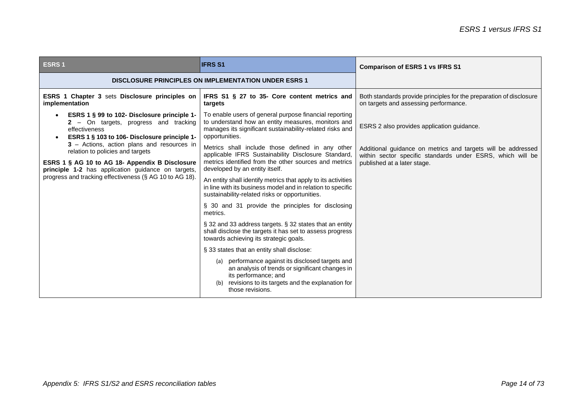| <b>ESRS1</b>                                                                                                                                                                                                                                      | <b>IFRS S1</b>                                                                                                                                                                                       | <b>Comparison of ESRS 1 vs IFRS S1</b>                                                                                                                    |
|---------------------------------------------------------------------------------------------------------------------------------------------------------------------------------------------------------------------------------------------------|------------------------------------------------------------------------------------------------------------------------------------------------------------------------------------------------------|-----------------------------------------------------------------------------------------------------------------------------------------------------------|
| <b>DISCLOSURE PRINCIPLES ON IMPLEMENTATION UNDER ESRS 1</b>                                                                                                                                                                                       |                                                                                                                                                                                                      |                                                                                                                                                           |
| ESRS 1 Chapter 3 sets Disclosure principles on<br>implementation                                                                                                                                                                                  | IFRS S1 § 27 to 35- Core content metrics and<br>targets                                                                                                                                              | Both standards provide principles for the preparation of disclosure<br>on targets and assessing performance.                                              |
| ESRS 1 § 99 to 102- Disclosure principle 1-<br>2 - On targets, progress and tracking<br>effectiveness<br>ESRS 1 § 103 to 106- Disclosure principle 1-                                                                                             | To enable users of general purpose financial reporting<br>to understand how an entity measures, monitors and<br>manages its significant sustainability-related risks and<br>opportunities.           | ESRS 2 also provides application guidance.                                                                                                                |
| 3 - Actions, action plans and resources in<br>relation to policies and targets<br>ESRS 1 § AG 10 to AG 18- Appendix B Disclosure<br>principle 1-2 has application guidance on targets,<br>progress and tracking effectiveness (§ AG 10 to AG 18). | Metrics shall include those defined in any other<br>applicable IFRS Sustainability Disclosure Standard,<br>metrics identified from the other sources and metrics<br>developed by an entity itself.   | Additional guidance on metrics and targets will be addressed<br>within sector specific standards under ESRS, which will be<br>published at a later stage. |
|                                                                                                                                                                                                                                                   | An entity shall identify metrics that apply to its activities<br>in line with its business model and in relation to specific<br>sustainability-related risks or opportunities.                       |                                                                                                                                                           |
|                                                                                                                                                                                                                                                   | § 30 and 31 provide the principles for disclosing<br>metrics.                                                                                                                                        |                                                                                                                                                           |
|                                                                                                                                                                                                                                                   | § 32 and 33 address targets. § 32 states that an entity<br>shall disclose the targets it has set to assess progress<br>towards achieving its strategic goals.                                        |                                                                                                                                                           |
|                                                                                                                                                                                                                                                   | § 33 states that an entity shall disclose:                                                                                                                                                           |                                                                                                                                                           |
|                                                                                                                                                                                                                                                   | (a) performance against its disclosed targets and<br>an analysis of trends or significant changes in<br>its performance; and<br>revisions to its targets and the explanation for<br>those revisions. |                                                                                                                                                           |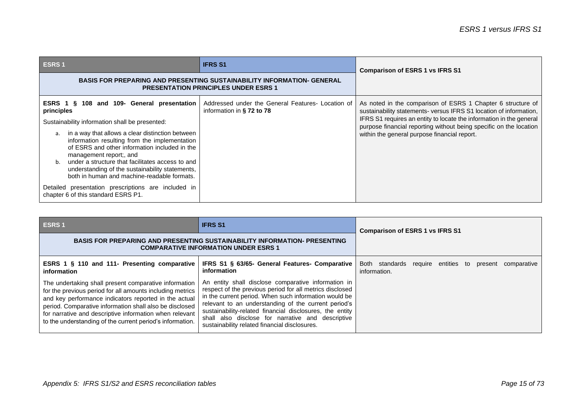| <b>ESRS1</b>                                                                                                                                                                                                                                                                                                                                                                                                                                                                                                                                                | <b>IFRS S1</b>                                                                 | <b>Comparison of ESRS 1 vs IFRS S1</b>                                                                                                                                                                                                                                                                                         |
|-------------------------------------------------------------------------------------------------------------------------------------------------------------------------------------------------------------------------------------------------------------------------------------------------------------------------------------------------------------------------------------------------------------------------------------------------------------------------------------------------------------------------------------------------------------|--------------------------------------------------------------------------------|--------------------------------------------------------------------------------------------------------------------------------------------------------------------------------------------------------------------------------------------------------------------------------------------------------------------------------|
| BASIS FOR PREPARING AND PRESENTING SUSTAINABILITY INFORMATION- GENERAL<br><b>PRESENTATION PRINCIPLES UNDER ESRS 1</b>                                                                                                                                                                                                                                                                                                                                                                                                                                       |                                                                                |                                                                                                                                                                                                                                                                                                                                |
| 108 and 109- General presentation<br>ESRS 1 §<br>principles<br>Sustainability information shall be presented:<br>in a way that allows a clear distinction between<br>a.<br>information resulting from the implementation<br>of ESRS and other information included in the<br>management report;, and<br>b. under a structure that facilitates access to and<br>understanding of the sustainability statements,<br>both in human and machine-readable formats.<br>Detailed presentation prescriptions are included in<br>chapter 6 of this standard ESRS P1. | Addressed under the General Features- Location of<br>information in § 72 to 78 | As noted in the comparison of ESRS 1 Chapter 6 structure of<br>sustainability statements- versus IFRS S1 location of information,<br>IFRS S1 requires an entity to locate the information in the general<br>purpose financial reporting without being specific on the location<br>within the general purpose financial report. |

| ESRS <sub>1</sub>                                                                                                                                                                                                                                                                                                                                              | <b>IFRS S1</b>                                                                                                                                                                                                                                                                                                                                                                                     | <b>Comparison of ESRS 1 vs IFRS S1</b>                                 |
|----------------------------------------------------------------------------------------------------------------------------------------------------------------------------------------------------------------------------------------------------------------------------------------------------------------------------------------------------------------|----------------------------------------------------------------------------------------------------------------------------------------------------------------------------------------------------------------------------------------------------------------------------------------------------------------------------------------------------------------------------------------------------|------------------------------------------------------------------------|
| <b>BASIS FOR PREPARING AND PRESENTING SUSTAINABILITY INFORMATION- PRESENTING</b><br><b>COMPARATIVE INFORMATION UNDER ESRS 1</b>                                                                                                                                                                                                                                |                                                                                                                                                                                                                                                                                                                                                                                                    |                                                                        |
| ESRS 1 § 110 and 111- Presenting comparative<br>information                                                                                                                                                                                                                                                                                                    | IFRS S1 § 63/65- General Features- Comparative<br>information                                                                                                                                                                                                                                                                                                                                      | Both standards require entities to present comparative<br>information. |
| The undertaking shall present comparative information<br>for the previous period for all amounts including metrics<br>and key performance indicators reported in the actual<br>period. Comparative information shall also be disclosed<br>for narrative and descriptive information when relevant<br>to the understanding of the current period's information. | An entity shall disclose comparative information in<br>respect of the previous period for all metrics disclosed<br>in the current period. When such information would be<br>relevant to an understanding of the current period's<br>sustainability-related financial disclosures, the entity<br>shall also disclose for narrative and descriptive<br>sustainability related financial disclosures. |                                                                        |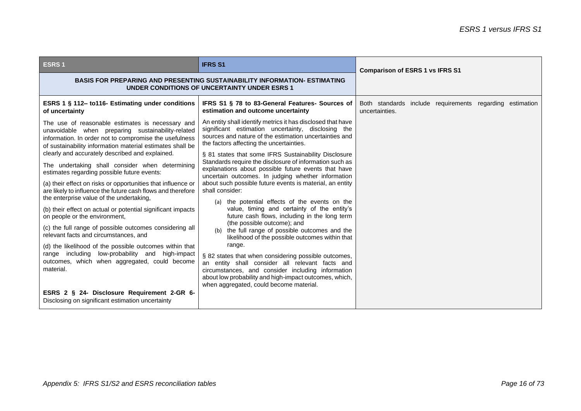| <b>BASIS FOR PREPARING AND PRESENTING SUSTAINABILITY INFORMATION- ESTIMATING</b><br>UNDER CONDITIONS OF UNCERTAINTY UNDER ESRS 1<br>IFRS S1 § 78 to 83-General Features- Sources of<br>estimation and outcome uncertainty<br>An entity shall identify metrics it has disclosed that have                    | <b>Comparison of ESRS 1 vs IFRS S1</b><br>Both standards include requirements regarding<br>estimation                                                |
|-------------------------------------------------------------------------------------------------------------------------------------------------------------------------------------------------------------------------------------------------------------------------------------------------------------|------------------------------------------------------------------------------------------------------------------------------------------------------|
|                                                                                                                                                                                                                                                                                                             |                                                                                                                                                      |
|                                                                                                                                                                                                                                                                                                             | uncertainties.                                                                                                                                       |
| significant estimation uncertainty, disclosing the<br>sources and nature of the estimation uncertainties and<br>the factors affecting the uncertainties.                                                                                                                                                    |                                                                                                                                                      |
| § 81 states that some IFRS Sustainability Disclosure<br>Standards require the disclosure of information such as<br>explanations about possible future events that have<br>uncertain outcomes. In judging whether information<br>about such possible future events is material, an entity<br>shall consider: |                                                                                                                                                      |
| the potential effects of the events on the<br>(a)<br>value, timing and certainty of the entity's<br>future cash flows, including in the long term<br>(the possible outcome); and<br>(b) the full range of possible outcomes and the                                                                         |                                                                                                                                                      |
| range.<br>§ 82 states that when considering possible outcomes,<br>an entity shall consider all relevant facts and<br>circumstances, and consider including information                                                                                                                                      |                                                                                                                                                      |
|                                                                                                                                                                                                                                                                                                             | likelihood of the possible outcomes within that<br>about low probability and high-impact outcomes, which,<br>when aggregated, could become material. |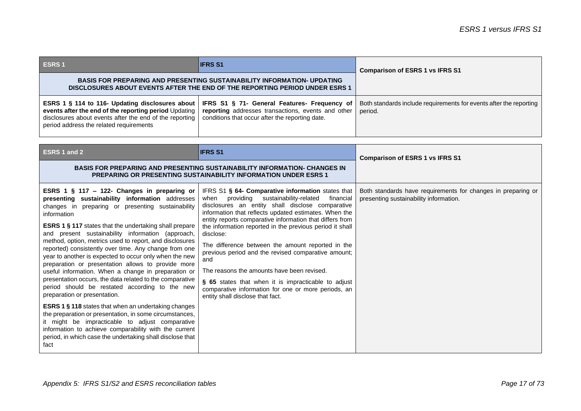| <b>ESRS1</b>                                                                                                                                                                                                   | <b>IFRS S1</b>                                                                                                                                        | <b>Comparison of ESRS 1 vs IFRS S1</b>                                        |
|----------------------------------------------------------------------------------------------------------------------------------------------------------------------------------------------------------------|-------------------------------------------------------------------------------------------------------------------------------------------------------|-------------------------------------------------------------------------------|
| <b>BASIS FOR PREPARING AND PRESENTING SUSTAINABILITY INFORMATION- UPDATING</b><br>DISCLOSURES ABOUT EVENTS AFTER THE END OF THE REPORTING PERIOD UNDER ESRS 1                                                  |                                                                                                                                                       |                                                                               |
| ESRS 1 § 114 to 116- Updating disclosures about<br>events after the end of the reporting period Updating<br>disclosures about events after the end of the reporting<br>period address the related requirements | IFRS S1 § 71- General Features- Frequency of<br>reporting addresses transactions, events and other<br>conditions that occur after the reporting date. | Both standards include requirements for events after the reporting<br>period. |

| <b>ESRS 1 and 2</b>                                                                                                                                                                                                                                                                                                                                                                                                                                                                                                                                                                                                                                                                                                                                                                                                                                                                                                                                                                                                                             | <b>IFRS S1</b>                                                                                                                                                                                                                                                                                                                                                                                                                                                                                                                                                                                                                                                                  | <b>Comparison of ESRS 1 vs IFRS S1</b>                                                                 |
|-------------------------------------------------------------------------------------------------------------------------------------------------------------------------------------------------------------------------------------------------------------------------------------------------------------------------------------------------------------------------------------------------------------------------------------------------------------------------------------------------------------------------------------------------------------------------------------------------------------------------------------------------------------------------------------------------------------------------------------------------------------------------------------------------------------------------------------------------------------------------------------------------------------------------------------------------------------------------------------------------------------------------------------------------|---------------------------------------------------------------------------------------------------------------------------------------------------------------------------------------------------------------------------------------------------------------------------------------------------------------------------------------------------------------------------------------------------------------------------------------------------------------------------------------------------------------------------------------------------------------------------------------------------------------------------------------------------------------------------------|--------------------------------------------------------------------------------------------------------|
| <b>BASIS FOR PREPARING AND PRESENTING SUSTAINABILITY INFORMATION- CHANGES IN</b><br><b>PREPARING OR PRESENTING SUSTAINABILITY INFORMATION UNDER ESRS 1</b>                                                                                                                                                                                                                                                                                                                                                                                                                                                                                                                                                                                                                                                                                                                                                                                                                                                                                      |                                                                                                                                                                                                                                                                                                                                                                                                                                                                                                                                                                                                                                                                                 |                                                                                                        |
| ESRS 1 $\S$ 117 – 122- Changes in preparing or<br>presenting sustainability information addresses<br>changes in preparing or presenting sustainability<br>information<br><b>ESRS 1 § 117 states that the undertaking shall prepare</b><br>and present sustainability information (approach,<br>method, option, metrics used to report, and disclosures<br>reported) consistently over time. Any change from one<br>year to another is expected to occur only when the new<br>preparation or presentation allows to provide more<br>useful information. When a change in preparation or<br>presentation occurs, the data related to the comparative<br>period should be restated according to the new<br>preparation or presentation.<br><b>ESRS 1 § 118 states that when an undertaking changes</b><br>the preparation or presentation, in some circumstances,<br>it might be impracticable to adjust comparative<br>information to achieve comparability with the current<br>period, in which case the undertaking shall disclose that<br>fact | IFRS S1 § 64- Comparative information states that<br>providing sustainability-related<br>financial<br>when<br>disclosures an entity shall disclose comparative<br>information that reflects updated estimates. When the<br>entity reports comparative information that differs from<br>the information reported in the previous period it shall<br>disclose:<br>The difference between the amount reported in the<br>previous period and the revised comparative amount;<br>and<br>The reasons the amounts have been revised.<br>§ 65 states that when it is impracticable to adjust<br>comparative information for one or more periods, an<br>entity shall disclose that fact. | Both standards have requirements for changes in preparing or<br>presenting sustainability information. |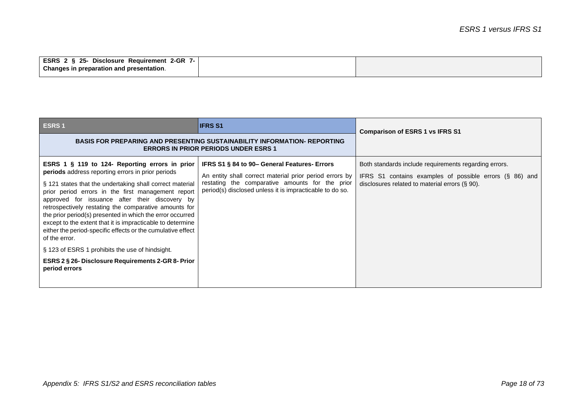| <b>ESRS</b><br>2 § 25-<br>$2-GR$<br>Reauirement<br><b>Disclosure</b> |  |
|----------------------------------------------------------------------|--|
| Changes in preparation and presentation.                             |  |

| <b>ESRS1</b>                                                                                                                                                                                                                                                                                                                                                                                                                                                                                                                                | <b>IFRS S1</b>                                                                                                                                                                                                         | <b>Comparison of ESRS 1 vs IFRS S1</b>                                                                                                                             |
|---------------------------------------------------------------------------------------------------------------------------------------------------------------------------------------------------------------------------------------------------------------------------------------------------------------------------------------------------------------------------------------------------------------------------------------------------------------------------------------------------------------------------------------------|------------------------------------------------------------------------------------------------------------------------------------------------------------------------------------------------------------------------|--------------------------------------------------------------------------------------------------------------------------------------------------------------------|
| <b>BASIS FOR PREPARING AND PRESENTING SUSTAINABILITY INFORMATION- REPORTING</b><br><b>ERRORS IN PRIOR PERIODS UNDER ESRS 1</b>                                                                                                                                                                                                                                                                                                                                                                                                              |                                                                                                                                                                                                                        |                                                                                                                                                                    |
| ESRS 1 § 119 to 124- Reporting errors in prior<br>periods address reporting errors in prior periods<br>§ 121 states that the undertaking shall correct material<br>prior period errors in the first management report<br>approved for issuance after their discovery by<br>retrospectively restating the comparative amounts for<br>the prior period(s) presented in which the error occurred<br>except to the extent that it is impracticable to determine<br>either the period-specific effects or the cumulative effect<br>of the error. | IFRS S1 § 84 to 90- General Features- Errors<br>An entity shall correct material prior period errors by<br>restating the comparative amounts for the prior<br>period(s) disclosed unless it is impracticable to do so. | Both standards include requirements regarding errors.<br>IFRS S1 contains examples of possible errors (§ 86) and<br>disclosures related to material errors (§ 90). |
| § 123 of ESRS 1 prohibits the use of hindsight.                                                                                                                                                                                                                                                                                                                                                                                                                                                                                             |                                                                                                                                                                                                                        |                                                                                                                                                                    |
| ESRS 2 § 26- Disclosure Requirements 2-GR 8- Prior<br>period errors                                                                                                                                                                                                                                                                                                                                                                                                                                                                         |                                                                                                                                                                                                                        |                                                                                                                                                                    |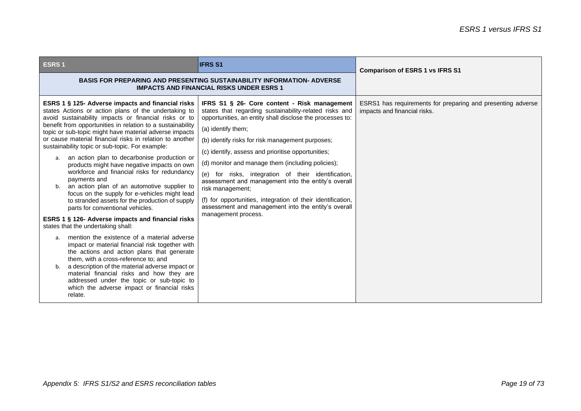| <b>ESRS1</b>                                                                                                                                                                                                                                                                                                                                                                                                                                                                                                                                                                                                                                                                                                                                                                                                                                                                                                                                                                                                                                                                                                                                                                                                                                                          | <b>IFRS S1</b>                                                                                                                                                                                                                                                                                                                                                                                                                                                                                                                                                                                                                          | <b>Comparison of ESRS 1 vs IFRS S1</b>                                                      |
|-----------------------------------------------------------------------------------------------------------------------------------------------------------------------------------------------------------------------------------------------------------------------------------------------------------------------------------------------------------------------------------------------------------------------------------------------------------------------------------------------------------------------------------------------------------------------------------------------------------------------------------------------------------------------------------------------------------------------------------------------------------------------------------------------------------------------------------------------------------------------------------------------------------------------------------------------------------------------------------------------------------------------------------------------------------------------------------------------------------------------------------------------------------------------------------------------------------------------------------------------------------------------|-----------------------------------------------------------------------------------------------------------------------------------------------------------------------------------------------------------------------------------------------------------------------------------------------------------------------------------------------------------------------------------------------------------------------------------------------------------------------------------------------------------------------------------------------------------------------------------------------------------------------------------------|---------------------------------------------------------------------------------------------|
|                                                                                                                                                                                                                                                                                                                                                                                                                                                                                                                                                                                                                                                                                                                                                                                                                                                                                                                                                                                                                                                                                                                                                                                                                                                                       | <b>BASIS FOR PREPARING AND PRESENTING SUSTAINABILITY INFORMATION- ADVERSE</b><br><b>IMPACTS AND FINANCIAL RISKS UNDER ESRS 1</b>                                                                                                                                                                                                                                                                                                                                                                                                                                                                                                        |                                                                                             |
| ESRS 1 § 125- Adverse impacts and financial risks<br>states Actions or action plans of the undertaking to<br>avoid sustainability impacts or financial risks or to<br>benefit from opportunities in relation to a sustainability<br>topic or sub-topic might have material adverse impacts<br>or cause material financial risks in relation to another<br>sustainability topic or sub-topic. For example:<br>an action plan to decarbonise production or<br>a.<br>products might have negative impacts on own<br>workforce and financial risks for redundancy<br>payments and<br>an action plan of an automotive supplier to<br>focus on the supply for e-vehicles might lead<br>to stranded assets for the production of supply<br>parts for conventional vehicles.<br>ESRS 1 § 126- Adverse impacts and financial risks<br>states that the undertaking shall:<br>mention the existence of a material adverse<br>a <sub>1</sub><br>impact or material financial risk together with<br>the actions and action plans that generate<br>them, with a cross-reference to; and<br>a description of the material adverse impact or<br>material financial risks and how they are<br>addressed under the topic or sub-topic to<br>which the adverse impact or financial risks | IFRS S1 § 26- Core content - Risk management<br>states that regarding sustainability-related risks and<br>opportunities, an entity shall disclose the processes to:<br>(a) identify them;<br>(b) identify risks for risk management purposes;<br>(c) identify, assess and prioritise opportunities;<br>(d) monitor and manage them (including policies);<br>(e) for risks, integration of their identification,<br>assessment and management into the entity's overall<br>risk management;<br>(f) for opportunities, integration of their identification,<br>assessment and management into the entity's overall<br>management process. | ESRS1 has requirements for preparing and presenting adverse<br>impacts and financial risks. |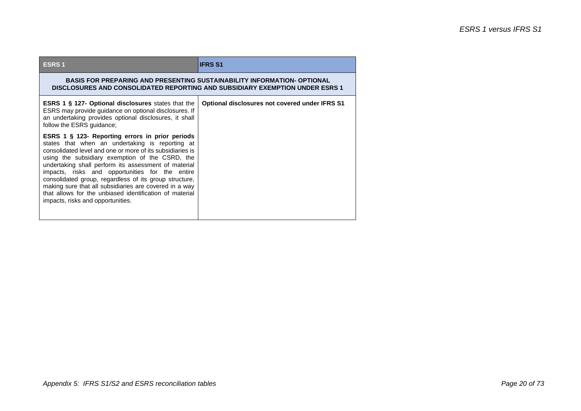| <b>ESRS1</b>                                                                                                                                                                                                                                                                                                                                                                                                                                                                                                                                      | <b>IFRS S1</b>                                 |  |
|---------------------------------------------------------------------------------------------------------------------------------------------------------------------------------------------------------------------------------------------------------------------------------------------------------------------------------------------------------------------------------------------------------------------------------------------------------------------------------------------------------------------------------------------------|------------------------------------------------|--|
| <b>BASIS FOR PREPARING AND PRESENTING SUSTAINABILITY INFORMATION- OPTIONAL</b><br>DISCLOSURES AND CONSOLIDATED REPORTING AND SUBSIDIARY EXEMPTION UNDER ESRS 1                                                                                                                                                                                                                                                                                                                                                                                    |                                                |  |
| <b>ESRS 1 § 127- Optional disclosures</b> states that the<br>ESRS may provide guidance on optional disclosures. If<br>an undertaking provides optional disclosures, it shall<br>follow the ESRS guidance;                                                                                                                                                                                                                                                                                                                                         | Optional disclosures not covered under IFRS S1 |  |
| ESRS 1 § 123- Reporting errors in prior periods<br>states that when an undertaking is reporting at<br>consolidated level and one or more of its subsidiaries is<br>using the subsidiary exemption of the CSRD, the<br>undertaking shall perform its assessment of material<br>impacts, risks and opportunities for the entire<br>consolidated group, regardless of its group structure,<br>making sure that all subsidiaries are covered in a way<br>that allows for the unbiased identification of material<br>impacts, risks and opportunities. |                                                |  |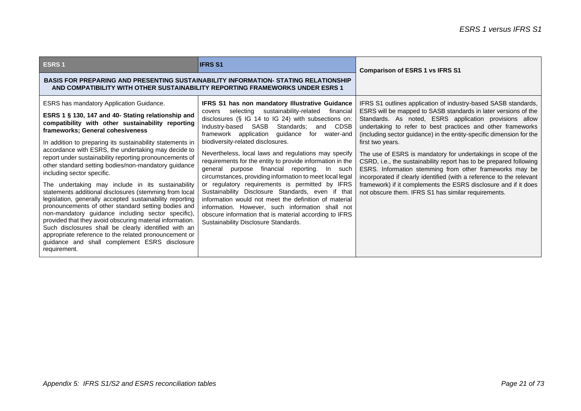| <b>ESRS1</b>                                                                                                                                                                                                                                                                                                                                                                                                                                                                                                                                                                                                                                                                                                                                                                                                                                                                                                                                                                                              | <b>IFRS S1</b>                                                                                                                                                                                                                                                                                                                                                                                                                                                                                                                                                                                                                                                                                                                                                                                                                                                                  | <b>Comparison of ESRS 1 vs IFRS S1</b>                                                                                                                                                                                                                                                                                                                                                                                                                                                                                                                                                                                                                                                                                                                    |
|-----------------------------------------------------------------------------------------------------------------------------------------------------------------------------------------------------------------------------------------------------------------------------------------------------------------------------------------------------------------------------------------------------------------------------------------------------------------------------------------------------------------------------------------------------------------------------------------------------------------------------------------------------------------------------------------------------------------------------------------------------------------------------------------------------------------------------------------------------------------------------------------------------------------------------------------------------------------------------------------------------------|---------------------------------------------------------------------------------------------------------------------------------------------------------------------------------------------------------------------------------------------------------------------------------------------------------------------------------------------------------------------------------------------------------------------------------------------------------------------------------------------------------------------------------------------------------------------------------------------------------------------------------------------------------------------------------------------------------------------------------------------------------------------------------------------------------------------------------------------------------------------------------|-----------------------------------------------------------------------------------------------------------------------------------------------------------------------------------------------------------------------------------------------------------------------------------------------------------------------------------------------------------------------------------------------------------------------------------------------------------------------------------------------------------------------------------------------------------------------------------------------------------------------------------------------------------------------------------------------------------------------------------------------------------|
| <b>BASIS FOR PREPARING AND PRESENTING SUSTAINABILITY INFORMATION- STATING RELATIONSHIP</b><br>AND COMPATIBILITY WITH OTHER SUSTAINABILITY REPORTING FRAMEWORKS UNDER ESRS 1                                                                                                                                                                                                                                                                                                                                                                                                                                                                                                                                                                                                                                                                                                                                                                                                                               |                                                                                                                                                                                                                                                                                                                                                                                                                                                                                                                                                                                                                                                                                                                                                                                                                                                                                 |                                                                                                                                                                                                                                                                                                                                                                                                                                                                                                                                                                                                                                                                                                                                                           |
| <b>ESRS</b> has mandatory Application Guidance.<br>ESRS 1 § 130, 147 and 40- Stating relationship and<br>compatibility with other sustainability reporting<br>frameworks; General cohesiveness<br>In addition to preparing its sustainability statements in<br>accordance with ESRS, the undertaking may decide to<br>report under sustainability reporting pronouncements of<br>other standard setting bodies/non-mandatory guidance<br>including sector specific.<br>The undertaking may include in its sustainability<br>statements additional disclosures (stemming from local<br>legislation, generally accepted sustainability reporting<br>pronouncements of other standard setting bodies and<br>non-mandatory guidance including sector specific),<br>provided that they avoid obscuring material information.<br>Such disclosures shall be clearly identified with an<br>appropriate reference to the related pronouncement or<br>guidance and shall complement ESRS disclosure<br>requirement. | <b>IFRS S1 has non mandatory Illustrative Guidance</b><br>sustainability-related<br>selecting<br>financial<br>covers<br>disclosures (§ IG 14 to IG 24) with subsections on:<br>Industry-based SASB<br>Standards;<br>CDSB<br>and<br>framework application guidance<br>for water-and<br>biodiversity-related disclosures.<br>Nevertheless, local laws and regulations may specify<br>requirements for the entity to provide information in the<br>general purpose financial reporting. In such<br>circumstances, providing information to meet local legal<br>or regulatory requirements is permitted by IFRS<br>Sustainability Disclosure Standards, even if that<br>information would not meet the definition of material<br>information. However, such information shall not<br>obscure information that is material according to IFRS<br>Sustainability Disclosure Standards. | IFRS S1 outlines application of industry-based SASB standards,<br>ESRS will be mapped to SASB standards in later versions of the<br>Standards. As noted, ESRS application provisions allow<br>undertaking to refer to best practices and other frameworks<br>(including sector guidance) in the entity-specific dimension for the<br>first two years.<br>The use of ESRS is mandatory for undertakings in scope of the<br>CSRD, i.e., the sustainability report has to be prepared following<br>ESRS. Information stemming from other frameworks may be<br>incorporated if clearly identified (with a reference to the relevant<br>framework) if it complements the ESRS disclosure and if it does<br>not obscure them. IFRS S1 has similar requirements. |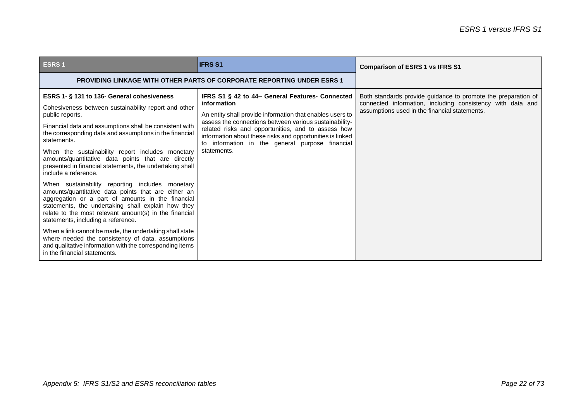| <b>ESRS1</b>                                                                                                                                                                                                                                                                                                                                                                                                                                                                                                                                                                                                                                                                                                                                                                                                                             | <b>IFRS S1</b>                                                                                                                                                                                                                                                                                                                                                             | <b>Comparison of ESRS 1 vs IFRS S1</b>                                                                                                                                       |
|------------------------------------------------------------------------------------------------------------------------------------------------------------------------------------------------------------------------------------------------------------------------------------------------------------------------------------------------------------------------------------------------------------------------------------------------------------------------------------------------------------------------------------------------------------------------------------------------------------------------------------------------------------------------------------------------------------------------------------------------------------------------------------------------------------------------------------------|----------------------------------------------------------------------------------------------------------------------------------------------------------------------------------------------------------------------------------------------------------------------------------------------------------------------------------------------------------------------------|------------------------------------------------------------------------------------------------------------------------------------------------------------------------------|
| <b>PROVIDING LINKAGE WITH OTHER PARTS OF CORPORATE REPORTING UNDER ESRS 1</b>                                                                                                                                                                                                                                                                                                                                                                                                                                                                                                                                                                                                                                                                                                                                                            |                                                                                                                                                                                                                                                                                                                                                                            |                                                                                                                                                                              |
| ESRS 1- § 131 to 136- General cohesiveness<br>Cohesiveness between sustainability report and other<br>public reports.<br>Financial data and assumptions shall be consistent with<br>the corresponding data and assumptions in the financial<br>statements.<br>When the sustainability report includes monetary<br>amounts/quantitative data points that are directly<br>presented in financial statements, the undertaking shall<br>include a reference.<br>When sustainability reporting includes monetary<br>amounts/quantitative data points that are either an<br>aggregation or a part of amounts in the financial<br>statements, the undertaking shall explain how they<br>relate to the most relevant amount(s) in the financial<br>statements, including a reference.<br>When a link cannot be made, the undertaking shall state | IFRS S1 § 42 to 44– General Features- Connected<br>information<br>An entity shall provide information that enables users to<br>assess the connections between various sustainability-<br>related risks and opportunities, and to assess how<br>information about these risks and opportunities is linked<br>to information in the general purpose financial<br>statements. | Both standards provide guidance to promote the preparation of<br>connected information, including consistency with data and<br>assumptions used in the financial statements. |
| where needed the consistency of data, assumptions<br>and qualitative information with the corresponding items<br>in the financial statements.                                                                                                                                                                                                                                                                                                                                                                                                                                                                                                                                                                                                                                                                                            |                                                                                                                                                                                                                                                                                                                                                                            |                                                                                                                                                                              |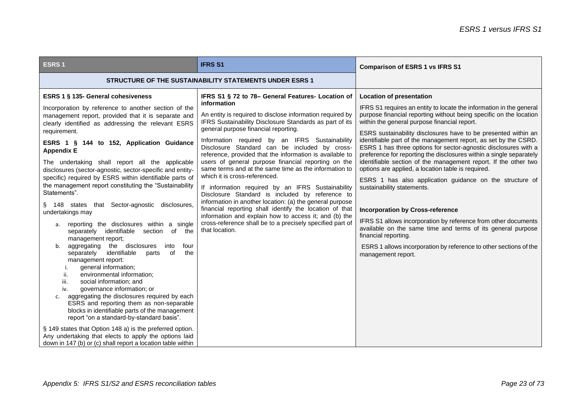| <b>ESRS1</b>                                                                                                                                                                                                                                                                                                                                                                                                                                                                                                                                                                                                                                                                                                                                                                                                                                                                                                                                                                                                                                                                                                                                                                                                                                                                                                                                                                                        | <b>IFRS S1</b>                                                                                                                                                                                                                                                                                                                                                                                                                                                                                                                                                                                                                                                                                                                                                                                                                                                                                                          | <b>Comparison of ESRS 1 vs IFRS S1</b>                                                                                                                                                                                                                                                                                                                                                                                                                                                                                                                                                                                                                                                                                                                                                                                                                                                                                                                                                                                        |
|-----------------------------------------------------------------------------------------------------------------------------------------------------------------------------------------------------------------------------------------------------------------------------------------------------------------------------------------------------------------------------------------------------------------------------------------------------------------------------------------------------------------------------------------------------------------------------------------------------------------------------------------------------------------------------------------------------------------------------------------------------------------------------------------------------------------------------------------------------------------------------------------------------------------------------------------------------------------------------------------------------------------------------------------------------------------------------------------------------------------------------------------------------------------------------------------------------------------------------------------------------------------------------------------------------------------------------------------------------------------------------------------------------|-------------------------------------------------------------------------------------------------------------------------------------------------------------------------------------------------------------------------------------------------------------------------------------------------------------------------------------------------------------------------------------------------------------------------------------------------------------------------------------------------------------------------------------------------------------------------------------------------------------------------------------------------------------------------------------------------------------------------------------------------------------------------------------------------------------------------------------------------------------------------------------------------------------------------|-------------------------------------------------------------------------------------------------------------------------------------------------------------------------------------------------------------------------------------------------------------------------------------------------------------------------------------------------------------------------------------------------------------------------------------------------------------------------------------------------------------------------------------------------------------------------------------------------------------------------------------------------------------------------------------------------------------------------------------------------------------------------------------------------------------------------------------------------------------------------------------------------------------------------------------------------------------------------------------------------------------------------------|
| <b>STRUCTURE OF THE SUSTAINABILITY STATEMENTS UNDER ESRS 1</b>                                                                                                                                                                                                                                                                                                                                                                                                                                                                                                                                                                                                                                                                                                                                                                                                                                                                                                                                                                                                                                                                                                                                                                                                                                                                                                                                      |                                                                                                                                                                                                                                                                                                                                                                                                                                                                                                                                                                                                                                                                                                                                                                                                                                                                                                                         |                                                                                                                                                                                                                                                                                                                                                                                                                                                                                                                                                                                                                                                                                                                                                                                                                                                                                                                                                                                                                               |
| ESRS 1 § 135- General cohesiveness<br>Incorporation by reference to another section of the<br>management report, provided that it is separate and<br>clearly identified as addressing the relevant ESRS<br>requirement.<br>ESRS 1 § 144 to 152, Application Guidance<br><b>Appendix E</b><br>The undertaking shall report all the applicable<br>disclosures (sector-agnostic, sector-specific and entity-<br>specific) required by ESRS within identifiable parts of<br>the management report constituting the "Sustainability<br>Statements".<br>§ 148 states that Sector-agnostic disclosures,<br>undertakings may<br>reporting the disclosures within a single<br>а.<br>separately identifiable section of<br>the<br>management report;<br>aggregating<br>the disclosures<br>into<br>four<br>separately identifiable<br>of<br>the<br>parts<br>management report:<br>general information;<br>i.<br>environmental information;<br>ii.<br>social information; and<br>iii.<br>governance information; or<br>iv.<br>aggregating the disclosures required by each<br>c.<br>ESRS and reporting them as non-separable<br>blocks in identifiable parts of the management<br>report "on a standard-by-standard basis".<br>§ 149 states that Option 148 a) is the preferred option.<br>Any undertaking that elects to apply the options laid<br>down in 147 (b) or (c) shall report a location table within | IFRS S1 § 72 to 78– General Features- Location of<br>information<br>An entity is required to disclose information required by<br>IFRS Sustainability Disclosure Standards as part of its<br>general purpose financial reporting.<br>Information required by an IFRS Sustainability<br>Disclosure Standard can be included by cross-<br>reference, provided that the information is available to<br>users of general purpose financial reporting on the<br>same terms and at the same time as the information to<br>which it is cross-referenced.<br>If information required by an IFRS Sustainability<br>Disclosure Standard is included by reference to<br>information in another location: (a) the general purpose<br>financial reporting shall identify the location of that<br>information and explain how to access it; and (b) the<br>cross-reference shall be to a precisely specified part of<br>that location. | <b>Location of presentation</b><br>IFRS S1 requires an entity to locate the information in the general<br>purpose financial reporting without being specific on the location<br>within the general purpose financial report.<br>ESRS sustainability disclosures have to be presented within an<br>identifiable part of the management report, as set by the CSRD.<br>ESRS 1 has three options for sector-agnostic disclosures with a<br>preference for reporting the disclosures within a single separately<br>identifiable section of the management report. If the other two<br>options are applied, a location table is required.<br>ESRS 1 has also application guidance on the structure of<br>sustainability statements.<br><b>Incorporation by Cross-reference</b><br>IFRS S1 allows incorporation by reference from other documents<br>available on the same time and terms of its general purpose<br>financial reporting.<br>ESRS 1 allows incorporation by reference to other sections of the<br>management report. |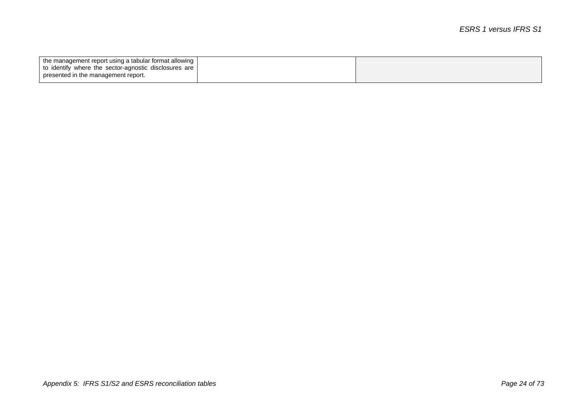| the management report using a tabular format allowing   |  |
|---------------------------------------------------------|--|
| to identify where the sector-agnostic disclosures are I |  |
| presented in the management report.                     |  |
|                                                         |  |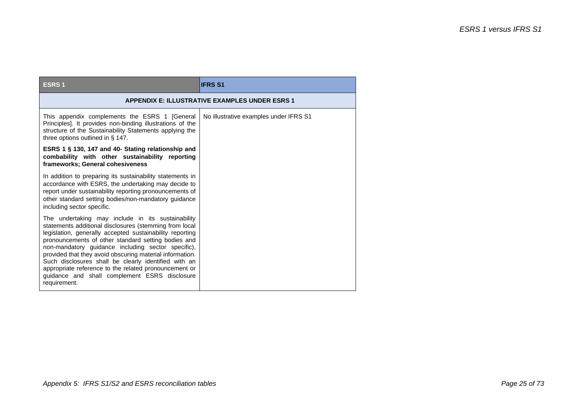| <b>ESRS1</b>                                                                                                                                                                                                                                                                                                                                                                                                                                                                                                                       | <b>IFRS S1</b>                                        |
|------------------------------------------------------------------------------------------------------------------------------------------------------------------------------------------------------------------------------------------------------------------------------------------------------------------------------------------------------------------------------------------------------------------------------------------------------------------------------------------------------------------------------------|-------------------------------------------------------|
|                                                                                                                                                                                                                                                                                                                                                                                                                                                                                                                                    | <b>APPENDIX E: ILLUSTRATIVE EXAMPLES UNDER ESRS 1</b> |
| This appendix complements the ESRS 1 [General<br>Principles]. It provides non-binding illustrations of the<br>structure of the Sustainability Statements applying the<br>three options outlined in $\S$ 147.                                                                                                                                                                                                                                                                                                                       | No illustrative examples under IFRS S1                |
| ESRS 1 § 130, 147 and 40- Stating relationship and<br>combability with other sustainability reporting<br>frameworks; General cohesiveness                                                                                                                                                                                                                                                                                                                                                                                          |                                                       |
| In addition to preparing its sustainability statements in<br>accordance with ESRS, the undertaking may decide to<br>report under sustainability reporting pronouncements of<br>other standard setting bodies/non-mandatory guidance<br>including sector specific.                                                                                                                                                                                                                                                                  |                                                       |
| The undertaking may include in its sustainability<br>statements additional disclosures (stemming from local<br>legislation, generally accepted sustainability reporting<br>pronouncements of other standard setting bodies and<br>non-mandatory guidance including sector specific),<br>provided that they avoid obscuring material information.<br>Such disclosures shall be clearly identified with an<br>appropriate reference to the related pronouncement or<br>guidance and shall complement ESRS disclosure<br>requirement. |                                                       |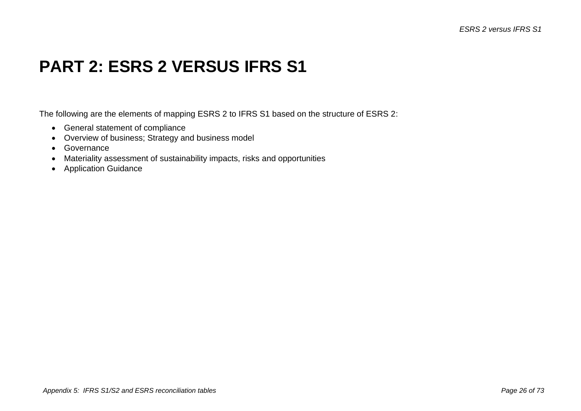### **PART 2: ESRS 2 VERSUS IFRS S1**

The following are the elements of mapping ESRS 2 to IFRS S1 based on the structure of ESRS 2:

- General statement of compliance
- Overview of business; Strategy and business model
- Governance
- Materiality assessment of sustainability impacts, risks and opportunities
- Application Guidance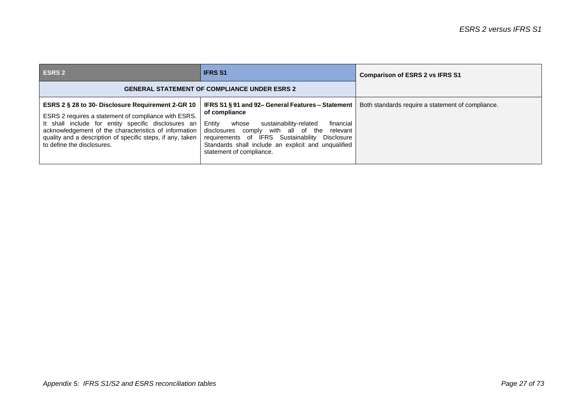| <b>ESRS 2</b>                                                                                                                                                                                                                                                                                                         | <b>IFRS S1</b>                                                                                                                                                                                                                                                                                                   | <b>Comparison of ESRS 2 vs IFRS S1</b>            |
|-----------------------------------------------------------------------------------------------------------------------------------------------------------------------------------------------------------------------------------------------------------------------------------------------------------------------|------------------------------------------------------------------------------------------------------------------------------------------------------------------------------------------------------------------------------------------------------------------------------------------------------------------|---------------------------------------------------|
| <b>GENERAL STATEMENT OF COMPLIANCE UNDER ESRS 2</b>                                                                                                                                                                                                                                                                   |                                                                                                                                                                                                                                                                                                                  |                                                   |
| ESRS 2 § 28 to 30- Disclosure Requirement 2-GR 10<br>ESRS 2 requires a statement of compliance with ESRS.<br>It shall include for entity specific disclosures an<br>acknowledgement of the characteristics of information<br>quality and a description of specific steps, if any, taken<br>to define the disclosures. | IFRS S1 § 91 and 92– General Features – Statement<br>of compliance<br>Entity<br>financial<br>sustainability-related<br>whose<br>disclosures comply with all of the relevant<br>requirements of IFRS Sustainability Disclosure<br>Standards shall include an explicit and unqualified<br>statement of compliance. | Both standards require a statement of compliance. |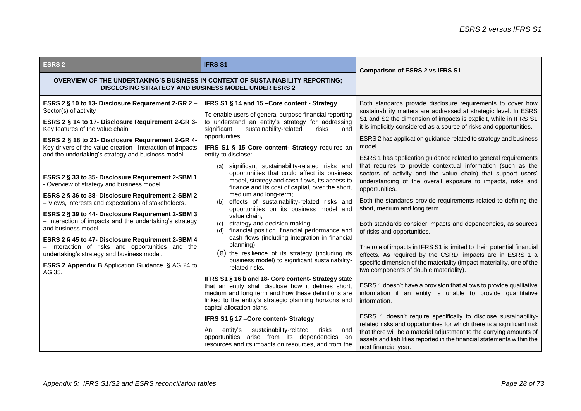| <b>ESRS 2</b>                                                                                                                                                                                                                                                                                                                                                                                                                                                                                                                                                                                                                                                                                                                                                                                                                                                                                                             | <b>IFRS S1</b>                                                                                                                                                                                                                                                                                                                                                                                                                                                                                                                                                                                                                                                                                                                                                                                                                                                                                                                                                                                                                                                                                                                                                                                                                                                                                   | <b>Comparison of ESRS 2 vs IFRS S1</b>                                                                                                                                                                                                                                                                                                                                                                                                                                                                                                                                                                                                                                                                                                                                                                                                                                                                                                                                                                                                                                                                                                                                                                                                                                                                                                                                                                   |
|---------------------------------------------------------------------------------------------------------------------------------------------------------------------------------------------------------------------------------------------------------------------------------------------------------------------------------------------------------------------------------------------------------------------------------------------------------------------------------------------------------------------------------------------------------------------------------------------------------------------------------------------------------------------------------------------------------------------------------------------------------------------------------------------------------------------------------------------------------------------------------------------------------------------------|--------------------------------------------------------------------------------------------------------------------------------------------------------------------------------------------------------------------------------------------------------------------------------------------------------------------------------------------------------------------------------------------------------------------------------------------------------------------------------------------------------------------------------------------------------------------------------------------------------------------------------------------------------------------------------------------------------------------------------------------------------------------------------------------------------------------------------------------------------------------------------------------------------------------------------------------------------------------------------------------------------------------------------------------------------------------------------------------------------------------------------------------------------------------------------------------------------------------------------------------------------------------------------------------------|----------------------------------------------------------------------------------------------------------------------------------------------------------------------------------------------------------------------------------------------------------------------------------------------------------------------------------------------------------------------------------------------------------------------------------------------------------------------------------------------------------------------------------------------------------------------------------------------------------------------------------------------------------------------------------------------------------------------------------------------------------------------------------------------------------------------------------------------------------------------------------------------------------------------------------------------------------------------------------------------------------------------------------------------------------------------------------------------------------------------------------------------------------------------------------------------------------------------------------------------------------------------------------------------------------------------------------------------------------------------------------------------------------|
| OVERVIEW OF THE UNDERTAKING'S BUSINESS IN CONTEXT OF SUSTAINABILITY REPORTING;<br><b>DISCLOSING STRATEGY AND BUSINESS MODEL UNDER ESRS 2</b>                                                                                                                                                                                                                                                                                                                                                                                                                                                                                                                                                                                                                                                                                                                                                                              |                                                                                                                                                                                                                                                                                                                                                                                                                                                                                                                                                                                                                                                                                                                                                                                                                                                                                                                                                                                                                                                                                                                                                                                                                                                                                                  |                                                                                                                                                                                                                                                                                                                                                                                                                                                                                                                                                                                                                                                                                                                                                                                                                                                                                                                                                                                                                                                                                                                                                                                                                                                                                                                                                                                                          |
| ESRS 2 § 10 to 13- Disclosure Requirement 2-GR 2 -<br>Sector(s) of activity<br>ESRS 2 § 14 to 17- Disclosure Requirement 2-GR 3-<br>Key features of the value chain<br>ESRS 2 § 18 to 21- Disclosure Requirement 2-GR 4-<br>Key drivers of the value creation- Interaction of impacts<br>and the undertaking's strategy and business model.<br>ESRS 2 § 33 to 35- Disclosure Requirement 2-SBM 1<br>- Overview of strategy and business model.<br>ESRS 2 § 36 to 38- Disclosure Requirement 2-SBM 2<br>- Views, interests and expectations of stakeholders.<br>ESRS 2 § 39 to 44- Disclosure Requirement 2-SBM 3<br>- Interaction of impacts and the undertaking's strategy<br>and business model.<br>ESRS 2 § 45 to 47- Disclosure Requirement 2-SBM 4<br>- Interaction of risks and opportunities and the<br>undertaking's strategy and business model.<br>ESRS 2 Appendix B Application Guidance, § AG 24 to<br>AG 35. | IFRS S1 § 14 and 15 - Core content - Strategy<br>To enable users of general purpose financial reporting<br>to understand an entity's strategy for addressing<br>sustainability-related<br>significant<br>risks<br>and<br>opportunities.<br>IFRS S1 § 15 Core content- Strategy requires an<br>entity to disclose:<br>(a) significant sustainability-related risks and<br>opportunities that could affect its business<br>model, strategy and cash flows, its access to<br>finance and its cost of capital, over the short,<br>medium and long-term;<br>(b) effects of sustainability-related risks and<br>opportunities on its business model and<br>value chain,<br>(c) strategy and decision-making,<br>(d) financial position, financial performance and<br>cash flows (including integration in financial<br>planning)<br>(e) the resilience of its strategy (including its<br>business model) to significant sustainability-<br>related risks.<br>IFRS S1 § 16 b and 18- Core content- Strategy state<br>that an entity shall disclose how it defines short,<br>medium and long term and how these definitions are<br>linked to the entity's strategic planning horizons and<br>capital allocation plans.<br>IFRS S1 § 17 - Core content- Strategy<br>sustainability-related<br>risks<br>An | Both standards provide disclosure requirements to cover how<br>sustainability matters are addressed at strategic level. In ESRS<br>S1 and S2 the dimension of impacts is explicit, while in IFRS S1<br>it is implicitly considered as a source of risks and opportunities.<br>ESRS 2 has application guidance related to strategy and business<br>model.<br>ESRS 1 has application guidance related to general requirements<br>that requires to provide contextual information (such as the<br>sectors of activity and the value chain) that support users'<br>understanding of the overall exposure to impacts, risks and<br>opportunities.<br>Both the standards provide requirements related to defining the<br>short, medium and long term.<br>Both standards consider impacts and dependencies, as sources<br>of risks and opportunities.<br>The role of impacts in IFRS S1 is limited to their potential financial<br>effects. As required by the CSRD, impacts are in ESRS 1 a<br>specific dimension of the materiality (impact materiality, one of the<br>two components of double materiality).<br>ESRS 1 doesn't have a provision that allows to provide qualitative<br>information if an entity is unable to provide quantitative<br>information.<br>ESRS 1 doesn't require specifically to disclose sustainability-<br>related risks and opportunities for which there is a significant risk |
|                                                                                                                                                                                                                                                                                                                                                                                                                                                                                                                                                                                                                                                                                                                                                                                                                                                                                                                           | entity's<br>and<br>opportunities arise from its dependencies on<br>resources and its impacts on resources, and from the                                                                                                                                                                                                                                                                                                                                                                                                                                                                                                                                                                                                                                                                                                                                                                                                                                                                                                                                                                                                                                                                                                                                                                          | that there will be a material adjustment to the carrying amounts of<br>assets and liabilities reported in the financial statements within the<br>next financial year.                                                                                                                                                                                                                                                                                                                                                                                                                                                                                                                                                                                                                                                                                                                                                                                                                                                                                                                                                                                                                                                                                                                                                                                                                                    |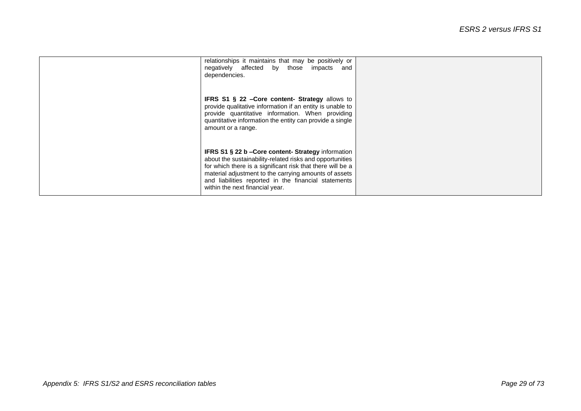| relationships it maintains that may be positively or<br>negatively affected by those impacts and<br>dependencies.                                                                                                                                                                                                                        |  |
|------------------------------------------------------------------------------------------------------------------------------------------------------------------------------------------------------------------------------------------------------------------------------------------------------------------------------------------|--|
| <b>IFRS S1 <math>\S</math> 22 – Core content- Strategy allows to</b><br>provide qualitative information if an entity is unable to<br>provide quantitative information. When providing<br>quantitative information the entity can provide a single<br>amount or a range.                                                                  |  |
| <b>IFRS S1 § 22 b – Core content- Strategy information</b><br>about the sustainability-related risks and opportunities<br>for which there is a significant risk that there will be a<br>material adjustment to the carrying amounts of assets<br>and liabilities reported in the financial statements<br>within the next financial year. |  |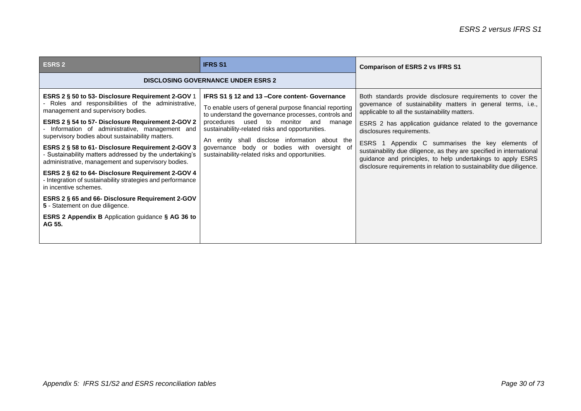| <b>ESRS 2</b>                                                                                                                                                                                                                                                                                                                                                                                                                                                                                                                                                                                                                                                                                                                                                                | <b>IFRS S1</b>                                                                                                                                                                                                                                                                                                                                                                                                            | <b>Comparison of ESRS 2 vs IFRS S1</b>                                                                                                                                                                                                                                                                                                                                                                                                                                                                                                    |
|------------------------------------------------------------------------------------------------------------------------------------------------------------------------------------------------------------------------------------------------------------------------------------------------------------------------------------------------------------------------------------------------------------------------------------------------------------------------------------------------------------------------------------------------------------------------------------------------------------------------------------------------------------------------------------------------------------------------------------------------------------------------------|---------------------------------------------------------------------------------------------------------------------------------------------------------------------------------------------------------------------------------------------------------------------------------------------------------------------------------------------------------------------------------------------------------------------------|-------------------------------------------------------------------------------------------------------------------------------------------------------------------------------------------------------------------------------------------------------------------------------------------------------------------------------------------------------------------------------------------------------------------------------------------------------------------------------------------------------------------------------------------|
| <b>DISCLOSING GOVERNANCE UNDER ESRS 2</b>                                                                                                                                                                                                                                                                                                                                                                                                                                                                                                                                                                                                                                                                                                                                    |                                                                                                                                                                                                                                                                                                                                                                                                                           |                                                                                                                                                                                                                                                                                                                                                                                                                                                                                                                                           |
| ESRS 2 § 50 to 53- Disclosure Requirement 2-GOV 1<br>Roles and responsibilities of the administrative,<br>management and supervisory bodies.<br>ESRS 2 § 54 to 57- Disclosure Requirement 2-GOV 2<br>Information of administrative, management and<br>supervisory bodies about sustainability matters.<br>ESRS 2 § 58 to 61- Disclosure Requirement 2-GOV 3<br>Sustainability matters addressed by the undertaking's<br>administrative, management and supervisory bodies.<br>ESRS 2 § 62 to 64- Disclosure Requirement 2-GOV 4<br>- Integration of sustainability strategies and performance<br>in incentive schemes.<br>ESRS 2 § 65 and 66- Disclosure Requirement 2-GOV<br>5 - Statement on due diligence.<br>ESRS 2 Appendix B Application guidance § AG 36 to<br>AG 55. | IFRS S1 § 12 and 13 - Core content- Governance<br>To enable users of general purpose financial reporting<br>to understand the governance processes, controls and<br>used to<br>monitor and<br>procedures<br>manage<br>sustainability-related risks and opportunities.<br>An entity shall disclose information about the<br>governance body or bodies with oversight of<br>sustainability-related risks and opportunities. | Both standards provide disclosure requirements to cover the<br>governance of sustainability matters in general terms, i.e.,<br>applicable to all the sustainability matters.<br>ESRS 2 has application guidance related to the governance<br>disclosures requirements.<br>ESRS 1 Appendix C summarises the key elements of<br>sustainability due diligence, as they are specified in international<br>guidance and principles, to help undertakings to apply ESRS<br>disclosure requirements in relation to sustainability due diligence. |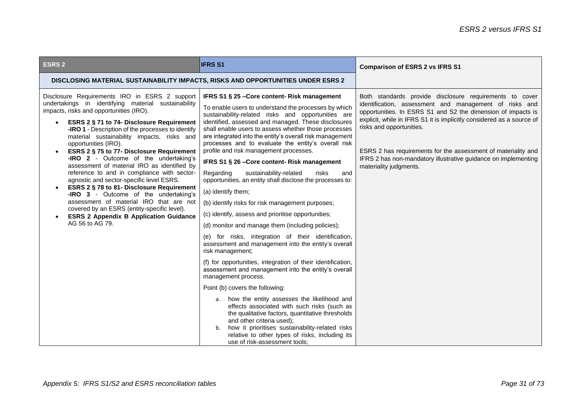| <b>ESRS 2</b>                                                                                                                                                                                                                                                                                                                                                                                                                                                                                                                                                                                                                                                                                                                                                                                                      | <b>IFRS S1</b>                                                                                                                                                                                                                                                                                                                                                                                                                                                                                                                                                                                                                                                                                                                                                                                                                                                                                                                                                                                                                                                                                                                                                                                                                                                                                                                                                                                                                                   | <b>Comparison of ESRS 2 vs IFRS S1</b>                                                                                                                                                                                                                                                                                                                                                                                                              |
|--------------------------------------------------------------------------------------------------------------------------------------------------------------------------------------------------------------------------------------------------------------------------------------------------------------------------------------------------------------------------------------------------------------------------------------------------------------------------------------------------------------------------------------------------------------------------------------------------------------------------------------------------------------------------------------------------------------------------------------------------------------------------------------------------------------------|--------------------------------------------------------------------------------------------------------------------------------------------------------------------------------------------------------------------------------------------------------------------------------------------------------------------------------------------------------------------------------------------------------------------------------------------------------------------------------------------------------------------------------------------------------------------------------------------------------------------------------------------------------------------------------------------------------------------------------------------------------------------------------------------------------------------------------------------------------------------------------------------------------------------------------------------------------------------------------------------------------------------------------------------------------------------------------------------------------------------------------------------------------------------------------------------------------------------------------------------------------------------------------------------------------------------------------------------------------------------------------------------------------------------------------------------------|-----------------------------------------------------------------------------------------------------------------------------------------------------------------------------------------------------------------------------------------------------------------------------------------------------------------------------------------------------------------------------------------------------------------------------------------------------|
| DISCLOSING MATERIAL SUSTAINABILITY IMPACTS, RISKS AND OPPORTUNITIES UNDER ESRS 2                                                                                                                                                                                                                                                                                                                                                                                                                                                                                                                                                                                                                                                                                                                                   |                                                                                                                                                                                                                                                                                                                                                                                                                                                                                                                                                                                                                                                                                                                                                                                                                                                                                                                                                                                                                                                                                                                                                                                                                                                                                                                                                                                                                                                  |                                                                                                                                                                                                                                                                                                                                                                                                                                                     |
| Disclosure Requirements IRO in ESRS 2 support<br>undertakings in identifying material sustainability<br>impacts, risks and opportunities (IRO).<br><b>ESRS 2 § 71 to 74- Disclosure Requirement</b><br>-IRO 1 - Description of the processes to identify<br>material sustainability impacts, risks and<br>opportunities (IRO).<br>ESRS 2 § 75 to 77- Disclosure Requirement<br>-IRO 2 - Outcome of the undertaking's<br>assessment of material IRO as identified by<br>reference to and in compliance with sector-<br>agnostic and sector-specific level ESRS.<br>ESRS 2 § 78 to 81- Disclosure Requirement<br>-IRO 3 - Outcome of the undertaking's<br>assessment of material IRO that are not<br>covered by an ESRS (entity-specific level).<br><b>ESRS 2 Appendix B Application Guidance</b><br>AG 56 to AG 79. | IFRS S1 § 25 - Core content - Risk management<br>To enable users to understand the processes by which<br>sustainability-related risks and opportunities are<br>identified, assessed and managed. These disclosures<br>shall enable users to assess whether those processes<br>are integrated into the entity's overall risk management<br>processes and to evaluate the entity's overall risk<br>profile and risk management processes.<br>IFRS S1 § 26 - Core content- Risk management<br>sustainability-related<br>Regarding<br>risks<br>and<br>opportunities, an entity shall disclose the processes to:<br>(a) identify them;<br>(b) identify risks for risk management purposes;<br>(c) identify, assess and prioritise opportunities;<br>(d) monitor and manage them (including policies);<br>(e) for risks, integration of their identification,<br>assessment and management into the entity's overall<br>risk management;<br>(f) for opportunities, integration of their identification,<br>assessment and management into the entity's overall<br>management process.<br>Point (b) covers the following:<br>a. how the entity assesses the likelihood and<br>effects associated with such risks (such as<br>the qualitative factors, quantitative thresholds<br>and other criteria used);<br>how it prioritises sustainability-related risks<br>b.<br>relative to other types of risks, including its<br>use of risk-assessment tools; | Both standards provide disclosure requirements to cover<br>identification, assessment and management of risks and<br>opportunities. In ESRS S1 and S2 the dimension of impacts is<br>explicit, while in IFRS S1 it is implicitly considered as a source of<br>risks and opportunities.<br>ESRS 2 has requirements for the assessment of materiality and<br>IFRS 2 has non-mandatory illustrative guidance on implementing<br>materiality judgments. |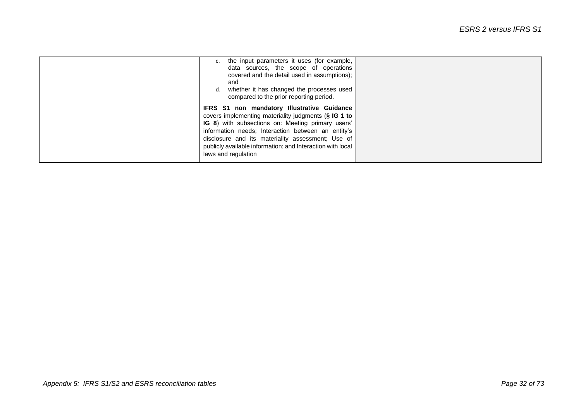| c. the input parameters it uses (for example,<br>data sources, the scope of operations<br>covered and the detail used in assumptions);<br>and<br>d. whether it has changed the processes used<br>compared to the prior reporting period.                                                                                                                 |  |
|----------------------------------------------------------------------------------------------------------------------------------------------------------------------------------------------------------------------------------------------------------------------------------------------------------------------------------------------------------|--|
| IFRS S1 non mandatory Illustrative Guidance<br>covers implementing materiality judgments (§ IG 1 to<br>IG 8) with subsections on: Meeting primary users'<br>information needs; Interaction between an entity's<br>disclosure and its materiality assessment; Use of<br>publicly available information; and Interaction with local<br>laws and regulation |  |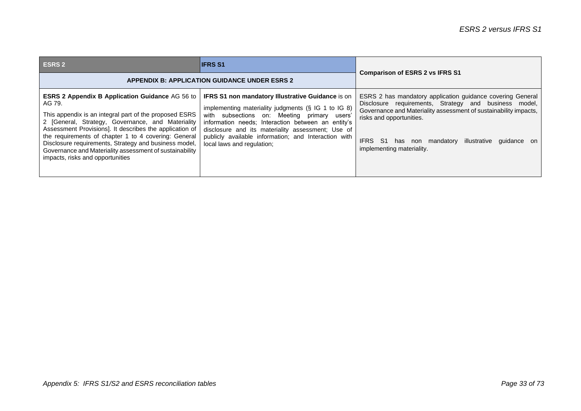| <b>ESRS 2</b>                                                                                                                                                                                                                                                                                                                                                                                                                                              | <b>IFRS S1</b>                                                                                                                                                                                                                                                                                                                                                       | <b>Comparison of ESRS 2 vs IFRS S1</b>                                                                                                                                                                                                                                                                    |
|------------------------------------------------------------------------------------------------------------------------------------------------------------------------------------------------------------------------------------------------------------------------------------------------------------------------------------------------------------------------------------------------------------------------------------------------------------|----------------------------------------------------------------------------------------------------------------------------------------------------------------------------------------------------------------------------------------------------------------------------------------------------------------------------------------------------------------------|-----------------------------------------------------------------------------------------------------------------------------------------------------------------------------------------------------------------------------------------------------------------------------------------------------------|
| <b>APPENDIX B: APPLICATION GUIDANCE UNDER ESRS 2</b>                                                                                                                                                                                                                                                                                                                                                                                                       |                                                                                                                                                                                                                                                                                                                                                                      |                                                                                                                                                                                                                                                                                                           |
| <b>ESRS 2 Appendix B Application Guidance AG 56 to</b><br>AG 79.<br>This appendix is an integral part of the proposed ESRS<br>2 [General, Strategy, Governance, and Materiality<br>Assessment Provisions]. It describes the application of<br>the requirements of chapter 1 to 4 covering: General<br>Disclosure requirements, Strategy and business model,<br>Governance and Materiality assessment of sustainability<br>impacts, risks and opportunities | <b>IFRS S1 non mandatory Illustrative Guidance is on</b><br>implementing materiality judgments $(S \nI G 1$ to IG 8)<br>with subsections on: Meeting primary users'<br>information needs: Interaction between an entity's<br>disclosure and its materiality assessment; Use of<br>publicly available information; and Interaction with<br>local laws and regulation; | ESRS 2 has mandatory application guidance covering General<br>Disclosure requirements, Strategy and business model,<br>Governance and Materiality assessment of sustainability impacts,<br>risks and opportunities.<br>IFRS S1 has non mandatory illustrative quidance<br>on<br>implementing materiality. |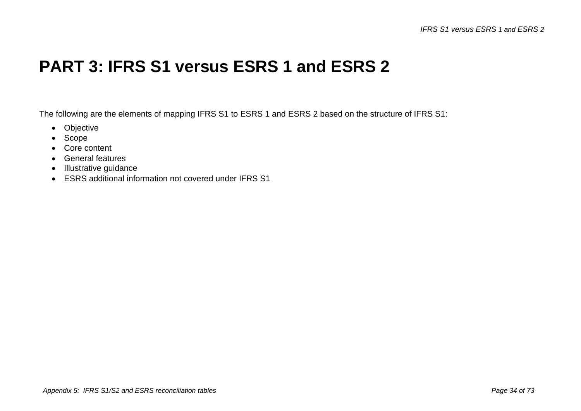#### **PART 3: IFRS S1 versus ESRS 1 and ESRS 2**

The following are the elements of mapping IFRS S1 to ESRS 1 and ESRS 2 based on the structure of IFRS S1:

- Objective
- Scope
- Core content
- General features
- Illustrative guidance
- ESRS additional information not covered under IFRS S1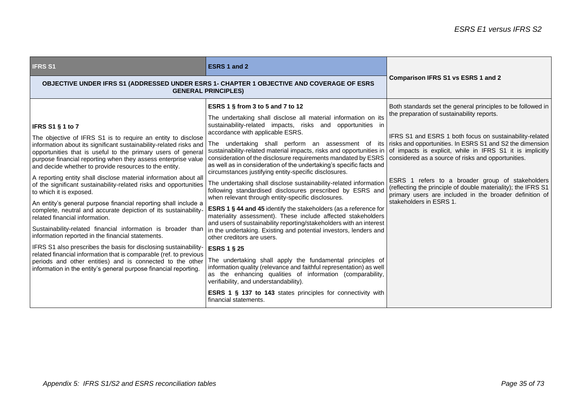| <b>IFRS S1</b>                                                                                                                                                                                                                                                                                                                                                                                                                                                                                                                                                                                                                                                                                                                                                                                                                                                                                                                                                                                                                                                                                       | ESRS 1 and 2                                                                                                                                                                                                                                                                                                                                                                                                                                                                                                                                                                                                                                                                                                                                                                                                                                                                                                                                                                                                                                                                                                                                                                                                                                                                                                                                                                                                                                                                                              | <b>Comparison IFRS S1 vs ESRS 1 and 2</b>                                                                                                                                                                                                                                                                                                                                                                                             |
|------------------------------------------------------------------------------------------------------------------------------------------------------------------------------------------------------------------------------------------------------------------------------------------------------------------------------------------------------------------------------------------------------------------------------------------------------------------------------------------------------------------------------------------------------------------------------------------------------------------------------------------------------------------------------------------------------------------------------------------------------------------------------------------------------------------------------------------------------------------------------------------------------------------------------------------------------------------------------------------------------------------------------------------------------------------------------------------------------|-----------------------------------------------------------------------------------------------------------------------------------------------------------------------------------------------------------------------------------------------------------------------------------------------------------------------------------------------------------------------------------------------------------------------------------------------------------------------------------------------------------------------------------------------------------------------------------------------------------------------------------------------------------------------------------------------------------------------------------------------------------------------------------------------------------------------------------------------------------------------------------------------------------------------------------------------------------------------------------------------------------------------------------------------------------------------------------------------------------------------------------------------------------------------------------------------------------------------------------------------------------------------------------------------------------------------------------------------------------------------------------------------------------------------------------------------------------------------------------------------------------|---------------------------------------------------------------------------------------------------------------------------------------------------------------------------------------------------------------------------------------------------------------------------------------------------------------------------------------------------------------------------------------------------------------------------------------|
|                                                                                                                                                                                                                                                                                                                                                                                                                                                                                                                                                                                                                                                                                                                                                                                                                                                                                                                                                                                                                                                                                                      | OBJECTIVE UNDER IFRS S1 (ADDRESSED UNDER ESRS 1- CHAPTER 1 OBJECTIVE AND COVERAGE OF ESRS<br><b>GENERAL PRINCIPLES)</b>                                                                                                                                                                                                                                                                                                                                                                                                                                                                                                                                                                                                                                                                                                                                                                                                                                                                                                                                                                                                                                                                                                                                                                                                                                                                                                                                                                                   |                                                                                                                                                                                                                                                                                                                                                                                                                                       |
| <b>IFRS S1 § 1 to 7</b><br>The objective of IFRS S1 is to require an entity to disclose<br>information about its significant sustainability-related risks and<br>opportunities that is useful to the primary users of general<br>purpose financial reporting when they assess enterprise value<br>and decide whether to provide resources to the entity.<br>A reporting entity shall disclose material information about all<br>of the significant sustainability-related risks and opportunities<br>to which it is exposed.<br>An entity's general purpose financial reporting shall include a<br>complete, neutral and accurate depiction of its sustainability-<br>related financial information.<br>Sustainability-related financial information is broader than<br>information reported in the financial statements.<br>IFRS S1 also prescribes the basis for disclosing sustainability-<br>related financial information that is comparable (ref. to previous<br>periods and other entities) and is connected to the other<br>information in the entity's general purpose financial reporting. | ESRS 1 § from 3 to 5 and 7 to 12<br>The undertaking shall disclose all material information on its<br>sustainability-related impacts, risks and opportunities in<br>accordance with applicable ESRS.<br>The undertaking shall perform an assessment of its risks and opportunities. In ESRS S1 and S2 the dimension<br>sustainability-related material impacts, risks and opportunities in of impacts is explicit, while in IFRS S1 it is implicitly<br>consideration of the disclosure requirements mandated by ESRS<br>as well as in consideration of the undertaking's specific facts and<br>circumstances justifying entity-specific disclosures.<br>The undertaking shall disclose sustainability-related information<br>following standardised disclosures prescribed by ESRS and<br>when relevant through entity-specific disclosures.<br><b>ESRS 1 § 44 and 45 identify the stakeholders (as a reference for</b><br>materiality assessment). These include affected stakeholders<br>and users of sustainability reporting/stakeholders with an interest<br>in the undertaking. Existing and potential investors, lenders and<br>other creditors are users.<br><b>ESRS 1 § 25</b><br>The undertaking shall apply the fundamental principles of<br>information quality (relevance and faithful representation) as well<br>as the enhancing qualities of information (comparability,<br>verifiability, and understandability).<br><b>ESRS 1 § 137 to 143</b> states principles for connectivity with | Both standards set the general principles to be followed in<br>the preparation of sustainability reports.<br>IFRS S1 and ESRS 1 both focus on sustainability-related<br>considered as a source of risks and opportunities.<br>ESRS 1 refers to a broader group of stakeholders<br>(reflecting the principle of double materiality); the IFRS S1<br>primary users are included in the broader definition of<br>stakeholders in ESRS 1. |
|                                                                                                                                                                                                                                                                                                                                                                                                                                                                                                                                                                                                                                                                                                                                                                                                                                                                                                                                                                                                                                                                                                      | financial statements.                                                                                                                                                                                                                                                                                                                                                                                                                                                                                                                                                                                                                                                                                                                                                                                                                                                                                                                                                                                                                                                                                                                                                                                                                                                                                                                                                                                                                                                                                     |                                                                                                                                                                                                                                                                                                                                                                                                                                       |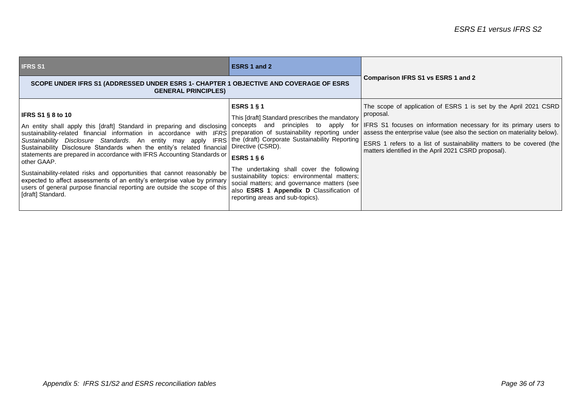| <b>IFRS S1</b>                                                                                                                                                                                                                                                                                                                                                                                                                                                                                                                                                                                                                                                                                                                                                                                                                                  | ESRS 1 and 2                                                                                                                                                                                                                                                                                                                                                                                  |                                                                                                                                                                                                                                                                                        |
|-------------------------------------------------------------------------------------------------------------------------------------------------------------------------------------------------------------------------------------------------------------------------------------------------------------------------------------------------------------------------------------------------------------------------------------------------------------------------------------------------------------------------------------------------------------------------------------------------------------------------------------------------------------------------------------------------------------------------------------------------------------------------------------------------------------------------------------------------|-----------------------------------------------------------------------------------------------------------------------------------------------------------------------------------------------------------------------------------------------------------------------------------------------------------------------------------------------------------------------------------------------|----------------------------------------------------------------------------------------------------------------------------------------------------------------------------------------------------------------------------------------------------------------------------------------|
| SCOPE UNDER IFRS S1 (ADDRESSED UNDER ESRS 1- CHAPTER 1 OBJECTIVE AND COVERAGE OF ESRS<br><b>GENERAL PRINCIPLES)</b>                                                                                                                                                                                                                                                                                                                                                                                                                                                                                                                                                                                                                                                                                                                             |                                                                                                                                                                                                                                                                                                                                                                                               | Comparison IFRS S1 vs ESRS 1 and 2                                                                                                                                                                                                                                                     |
| <b>IFRS S1 § 8 to 10</b><br>An entity shall apply this [draft] Standard in preparing and disclosing   concepts and<br>sustainability-related financial information in accordance with IFRS preparation of sustainability reporting under assess the enterprise value (see also the section on materiality below).<br><b>IFRS</b><br>Sustainability Disclosure Standards. An entity may apply<br>Sustainability Disclosure Standards when the entity's related financial Directive (CSRD).<br>statements are prepared in accordance with IFRS Accounting Standards or<br>other GAAP.<br>Sustainability-related risks and opportunities that cannot reasonably be<br>expected to affect assessments of an entity's enterprise value by primary<br>users of general purpose financial reporting are outside the scope of this<br>[draft] Standard. | ESRS 1 $\S$ 1<br>This [draft] Standard prescribes the mandatory<br>principles to<br>apply<br>the (draft) Corporate Sustainability Reporting<br><b>ESRS 1 § 6</b><br>The undertaking shall cover the following<br>sustainability topics: environmental matters;<br>social matters; and governance matters (see<br>also ESRS 1 Appendix D Classification of<br>reporting areas and sub-topics). | The scope of application of ESRS 1 is set by the April 2021 CSRD<br>proposal.<br>for IFRS S1 focuses on information necessary for its primary users to<br>ESRS 1 refers to a list of sustainability matters to be covered (the<br>matters identified in the April 2021 CSRD proposal). |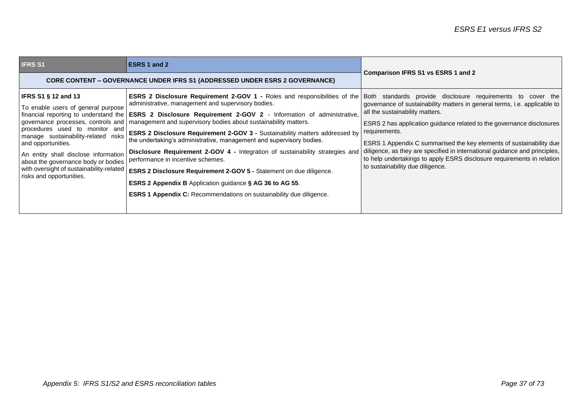| <b>IFRS S1</b>                                                                                                                                                                                                                                                                                                            | <b>ESRS 1 and 2</b>                                                                                                                                                                                                                                                                                                                                                                                                                                                                                                                                                                                                                                                                                                                                                                                                                                                                                                                    | <b>Comparison IFRS S1 vs ESRS 1 and 2</b>                                                                                                                                                                                                                                                                                                                                                                                                                                 |  |
|---------------------------------------------------------------------------------------------------------------------------------------------------------------------------------------------------------------------------------------------------------------------------------------------------------------------------|----------------------------------------------------------------------------------------------------------------------------------------------------------------------------------------------------------------------------------------------------------------------------------------------------------------------------------------------------------------------------------------------------------------------------------------------------------------------------------------------------------------------------------------------------------------------------------------------------------------------------------------------------------------------------------------------------------------------------------------------------------------------------------------------------------------------------------------------------------------------------------------------------------------------------------------|---------------------------------------------------------------------------------------------------------------------------------------------------------------------------------------------------------------------------------------------------------------------------------------------------------------------------------------------------------------------------------------------------------------------------------------------------------------------------|--|
| <b>CORE CONTENT – GOVERNANCE UNDER IFRS S1 (ADDRESSED UNDER ESRS 2 GOVERNANCE)</b>                                                                                                                                                                                                                                        |                                                                                                                                                                                                                                                                                                                                                                                                                                                                                                                                                                                                                                                                                                                                                                                                                                                                                                                                        |                                                                                                                                                                                                                                                                                                                                                                                                                                                                           |  |
| <b>IFRS S1 § 12 and 13</b><br>To enable users of general purpose<br>procedures used to monitor and<br>manage sustainability-related<br>risks<br>and opportunities.<br>An entity shall disclose information<br>about the governance body or bodies<br>with oversight of sustainability-related<br>risks and opportunities. | <b>ESRS 2 Disclosure Requirement 2-GOV 1 -</b> Roles and responsibilities of the Both standards provide disclosure requirements to cover the<br>administrative, management and supervisory bodies.<br>financial reporting to understand the <b>ESRS 2 Disclosure Requirement 2-GOV 2</b> - Information of administrative,<br>governance processes, controls and   management and supervisory bodies about sustainability matters.<br>ESRS 2 Disclosure Requirement 2-GOV 3 - Sustainability matters addressed by<br>the undertaking's administrative, management and supervisory bodies.<br>Disclosure Requirement 2-GOV 4 - Integration of sustainability strategies and<br>performance in incentive schemes.<br>ESRS 2 Disclosure Requirement 2-GOV 5 - Statement on due diligence.<br><b>ESRS 2 Appendix B</b> Application guidance § AG 36 to AG 55.<br><b>ESRS 1 Appendix C:</b> Recommendations on sustainability due diligence. | governance of sustainability matters in general terms, i.e. applicable to<br>all the sustainability matters.<br>ESRS 2 has application guidance related to the governance disclosures<br>requirements.<br>ESRS 1 Appendix C summarised the key elements of sustainability due<br>diligence, as they are specified in international guidance and principles,<br>to help undertakings to apply ESRS disclosure requirements in relation<br>to sustainability due diligence. |  |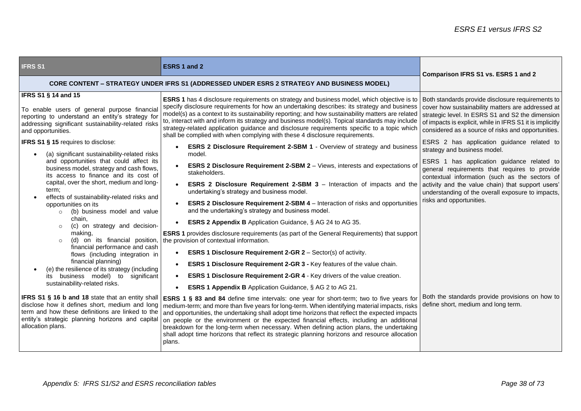| <b>IFRS S1</b>                                                                                                                                                                                                                                                                                                                                                                                                                                                                                       | ESRS 1 and 2                                                                                                                                                                                                                                                                                                                                                                                                                                                                                                                                                                                                                                                                                                                                                                                                                                                                                                                                                     | Comparison IFRS S1 vs. ESRS 1 and 2                                                                                                                                                                                                                                                                                         |
|------------------------------------------------------------------------------------------------------------------------------------------------------------------------------------------------------------------------------------------------------------------------------------------------------------------------------------------------------------------------------------------------------------------------------------------------------------------------------------------------------|------------------------------------------------------------------------------------------------------------------------------------------------------------------------------------------------------------------------------------------------------------------------------------------------------------------------------------------------------------------------------------------------------------------------------------------------------------------------------------------------------------------------------------------------------------------------------------------------------------------------------------------------------------------------------------------------------------------------------------------------------------------------------------------------------------------------------------------------------------------------------------------------------------------------------------------------------------------|-----------------------------------------------------------------------------------------------------------------------------------------------------------------------------------------------------------------------------------------------------------------------------------------------------------------------------|
| <b>CORE CONTENT - STRATEGY UNDER IFRS S1 (ADDRESSED UNDER ESRS 2 STRATEGY AND BUSINESS MODEL)</b>                                                                                                                                                                                                                                                                                                                                                                                                    |                                                                                                                                                                                                                                                                                                                                                                                                                                                                                                                                                                                                                                                                                                                                                                                                                                                                                                                                                                  |                                                                                                                                                                                                                                                                                                                             |
| <b>IFRS S1 § 14 and 15</b><br>To enable users of general purpose financial<br>reporting to understand an entity's strategy for<br>addressing significant sustainability-related risks<br>and opportunities.<br><b>IFRS S1 § 15</b> requires to disclose:                                                                                                                                                                                                                                             | <b>ESRS 1</b> has 4 disclosure requirements on strategy and business model, which objective is to<br>specify disclosure requirements for how an undertaking describes: its strategy and business<br>model(s) as a context to its sustainability reporting; and how sustainability matters are related<br>to, interact with and inform its strategy and business model(s). Topical standards may include<br>strategy-related application guidance and disclosure requirements specific to a topic which<br>shall be complied with when complying with these 4 disclosure requirements.<br><b>ESRS 2 Disclosure Requirement 2-SBM 1 - Overview of strategy and business</b>                                                                                                                                                                                                                                                                                        | Both standards provide disclosure requirements to<br>cover how sustainability matters are addressed at<br>strategic level. In ESRS S1 and S2 the dimension<br>of impacts is explicit, while in IFRS S1 it is implicitly<br>considered as a source of risks and opportunities.<br>ESRS 2 has application guidance related to |
| (a) significant sustainability-related risks<br>and opportunities that could affect its<br>business model, strategy and cash flows,<br>its access to finance and its cost of<br>capital, over the short, medium and long-<br>term;<br>effects of sustainability-related risks and<br>opportunities on its<br>(b) business model and value<br>$\circ$<br>chain,<br>(c) on strategy and decision-<br>$\circ$<br>making,<br>(d) on its financial position,<br>$\circ$<br>financial performance and cash | model.<br>ESRS 2 Disclosure Requirement 2-SBM 2 - Views, interests and expectations of<br>stakeholders.<br><b>ESRS 2 Disclosure Requirement 2-SBM 3</b> – Interaction of impacts and the activity and the value chain) that support users'<br>undertaking's strategy and business model.<br><b>ESRS 2 Disclosure Requirement 2-SBM 4</b> – Interaction of risks and opportunities<br>and the undertaking's strategy and business model.<br><b>ESRS 2 Appendix B</b> Application Guidance, § AG 24 to AG 35.<br><b>ESRS 1</b> provides disclosure requirements (as part of the General Requirements) that support<br>the provision of contextual information.                                                                                                                                                                                                                                                                                                     | strategy and business model.<br>ESRS 1 has application guidance related to<br>general requirements that requires to provide<br>contextual information (such as the sectors of<br>understanding of the overall exposure to impacts,<br>risks and opportunities.                                                              |
| flows (including integration in<br>financial planning)<br>(e) the resilience of its strategy (including<br>its business model) to significant<br>sustainability-related risks.<br>disclose how it defines short, medium and long<br>term and how these definitions are linked to the<br>entity's strategic planning horizons and capital<br>allocation plans.                                                                                                                                        | <b>ESRS 1 Disclosure Requirement 2-GR 2 - Sector(s) of activity.</b><br>ESRS 1 Disclosure Requirement 2-GR 3 - Key features of the value chain.<br>ESRS 1 Disclosure Requirement 2-GR 4 - Key drivers of the value creation.<br><b>ESRS 1 Appendix B</b> Application Guidance, § AG 2 to AG 21.<br>$\bullet$<br>IFRS S1 § 16 b and 18 state that an entity shall   ESRS 1 § 83 and 84 define time intervals: one year for short-term; two to five years for<br>medium-term; and more than five years for long-term. When identifying material impacts, risks<br>and opportunities, the undertaking shall adopt time horizons that reflect the expected impacts<br>on people or the environment or the expected financial effects, including an additional<br>breakdown for the long-term when necessary. When defining action plans, the undertaking<br>shall adopt time horizons that reflect its strategic planning horizons and resource allocation<br>plans. | Both the standards provide provisions on how to<br>define short, medium and long term.                                                                                                                                                                                                                                      |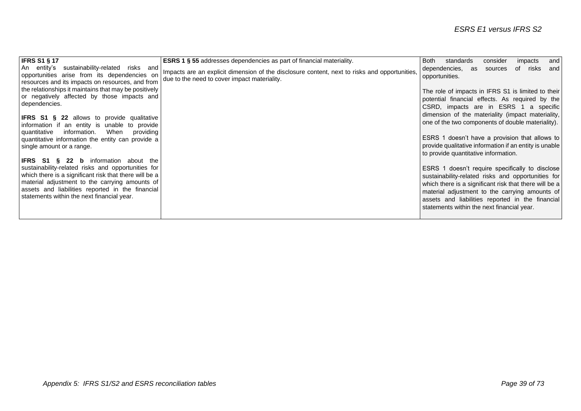| <b>IFRS S1 § 17</b>                                                                                                                                                                                                                                                                                         | <b>ESRS 1 § 55</b> addresses dependencies as part of financial materiality.                                                                   | and<br><b>Both</b><br>standards<br>consider<br>impacts                                                                                                                                                                                                                                                              |
|-------------------------------------------------------------------------------------------------------------------------------------------------------------------------------------------------------------------------------------------------------------------------------------------------------------|-----------------------------------------------------------------------------------------------------------------------------------------------|---------------------------------------------------------------------------------------------------------------------------------------------------------------------------------------------------------------------------------------------------------------------------------------------------------------------|
| An entity's sustainability-related<br>risks and<br>opportunities arise from its dependencies on<br>resources and its impacts on resources, and from                                                                                                                                                         | Impacts are an explicit dimension of the disclosure content, next to risks and opportunities,<br>due to the need to cover impact materiality. | of risks<br>dependencies,<br>and<br>as<br>sources<br>opportunities.                                                                                                                                                                                                                                                 |
| the relationships it maintains that may be positively<br>or negatively affected by those impacts and<br>dependencies.                                                                                                                                                                                       |                                                                                                                                               | The role of impacts in IFRS S1 is limited to their<br>potential financial effects. As required by the<br>CSRD, impacts are in ESRS 1 a specific                                                                                                                                                                     |
| <b>IFRS S1 § 22</b> allows to provide qualitative<br>information if an entity is unable to provide<br>When<br>information.<br>providing<br>  quantitative                                                                                                                                                   |                                                                                                                                               | dimension of the materiality (impact materiality,<br>one of the two components of double materiality).                                                                                                                                                                                                              |
| quantitative information the entity can provide a<br>single amount or a range.                                                                                                                                                                                                                              |                                                                                                                                               | ESRS 1 doesn't have a provision that allows to<br>provide qualitative information if an entity is unable<br>to provide quantitative information.                                                                                                                                                                    |
| IFRS S1 § 22 b<br>information about the<br>sustainability-related risks and opportunities for<br>which there is a significant risk that there will be a<br>material adjustment to the carrying amounts of<br>assets and liabilities reported in the financial<br>statements within the next financial year. |                                                                                                                                               | ESRS 1 doesn't require specifically to disclose<br>sustainability-related risks and opportunities for<br>which there is a significant risk that there will be a<br>material adjustment to the carrying amounts of<br>assets and liabilities reported in the financial<br>statements within the next financial year. |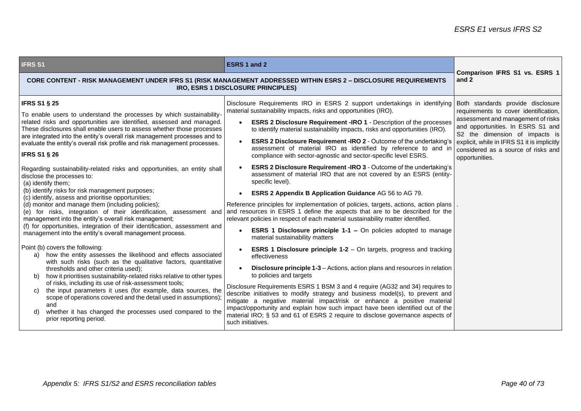| <b>IFRS S1</b>                                                                                                                                                                                                                                                                                                                                                                                                                                                                                                                                                                                                                                                                                                                                                                                                                                                                                                                                                                                                                                                                                                                                                                                                                                                                                                                                                                                                                                                                                                                                                                                                        | <b>ESRS 1 and 2</b>                                                                                                                                                                                                                                                                                                                                                                                                                                                                                                                                                                                                                                                                                                                                                                                                                                                                                                                                                                                                                                                                                                                                                                                                                                                                                                                                                                                                                                                                                                                                                                                                                                                                                                                                                                                           | Comparison IFRS S1 vs. ESRS 1                                                                                                                                                                                                                                                                   |
|-----------------------------------------------------------------------------------------------------------------------------------------------------------------------------------------------------------------------------------------------------------------------------------------------------------------------------------------------------------------------------------------------------------------------------------------------------------------------------------------------------------------------------------------------------------------------------------------------------------------------------------------------------------------------------------------------------------------------------------------------------------------------------------------------------------------------------------------------------------------------------------------------------------------------------------------------------------------------------------------------------------------------------------------------------------------------------------------------------------------------------------------------------------------------------------------------------------------------------------------------------------------------------------------------------------------------------------------------------------------------------------------------------------------------------------------------------------------------------------------------------------------------------------------------------------------------------------------------------------------------|---------------------------------------------------------------------------------------------------------------------------------------------------------------------------------------------------------------------------------------------------------------------------------------------------------------------------------------------------------------------------------------------------------------------------------------------------------------------------------------------------------------------------------------------------------------------------------------------------------------------------------------------------------------------------------------------------------------------------------------------------------------------------------------------------------------------------------------------------------------------------------------------------------------------------------------------------------------------------------------------------------------------------------------------------------------------------------------------------------------------------------------------------------------------------------------------------------------------------------------------------------------------------------------------------------------------------------------------------------------------------------------------------------------------------------------------------------------------------------------------------------------------------------------------------------------------------------------------------------------------------------------------------------------------------------------------------------------------------------------------------------------------------------------------------------------|-------------------------------------------------------------------------------------------------------------------------------------------------------------------------------------------------------------------------------------------------------------------------------------------------|
|                                                                                                                                                                                                                                                                                                                                                                                                                                                                                                                                                                                                                                                                                                                                                                                                                                                                                                                                                                                                                                                                                                                                                                                                                                                                                                                                                                                                                                                                                                                                                                                                                       | CORE CONTENT - RISK MANAGEMENT UNDER IFRS S1 (RISK MANAGEMENT ADDRESSED WITHIN ESRS 2 - DISCLOSURE REQUIREMENTS<br>IRO, ESRS 1 DISCLOSURE PRINCIPLES)                                                                                                                                                                                                                                                                                                                                                                                                                                                                                                                                                                                                                                                                                                                                                                                                                                                                                                                                                                                                                                                                                                                                                                                                                                                                                                                                                                                                                                                                                                                                                                                                                                                         | and 2                                                                                                                                                                                                                                                                                           |
| <b>IFRS S1 § 25</b><br>To enable users to understand the processes by which sustainability-<br>related risks and opportunities are identified, assessed and managed.<br>These disclosures shall enable users to assess whether those processes<br>are integrated into the entity's overall risk management processes and to<br>evaluate the entity's overall risk profile and risk management processes.<br><b>IFRS S1 § 26</b><br>Regarding sustainability-related risks and opportunities, an entity shall<br>disclose the processes to:<br>(a) identify them;<br>(b) identify risks for risk management purposes;<br>(c) identify, assess and prioritise opportunities;<br>(d) monitor and manage them (including policies);<br>(e) for risks, integration of their identification, assessment and<br>management into the entity's overall risk management;<br>(f) for opportunities, integration of their identification, assessment and<br>management into the entity's overall management process.<br>Point (b) covers the following:<br>how the entity assesses the likelihood and effects associated<br>a)<br>with such risks (such as the qualitative factors, quantitative<br>thresholds and other criteria used);<br>how it prioritises sustainability-related risks relative to other types<br>b)<br>of risks, including its use of risk-assessment tools;<br>the input parameters it uses (for example, data sources, the<br>C)<br>scope of operations covered and the detail used in assumptions);<br>and<br>whether it has changed the processes used compared to the<br>d)<br>prior reporting period. | Disclosure Requirements IRO in ESRS 2 support undertakings in identifying<br>material sustainability impacts, risks and opportunities (IRO).<br><b>ESRS 2 Disclosure Requirement -IRO 1 - Description of the processes</b><br>$\bullet$<br>to identify material sustainability impacts, risks and opportunities (IRO).<br><b>ESRS 2 Disclosure Requirement -IRO 2 - Outcome of the undertaking's</b><br>assessment of material IRO as identified by reference to and ir<br>compliance with sector-agnostic and sector-specific level ESRS.<br><b>ESRS 2 Disclosure Requirement -IRO 3 - Outcome of the undertaking's</b><br>assessment of material IRO that are not covered by an ESRS (entity-<br>specific level).<br><b>ESRS 2 Appendix B Application Guidance AG 56 to AG 79.</b><br>Reference principles for implementation of policies, targets, actions, action plans<br>and resources in ESRS 1 define the aspects that are to be described for the<br>relevant policies in respect of each material sustainability matter identified.<br><b>ESRS 1 Disclosure principle 1-1 - On policies adopted to manage</b><br>material sustainability matters<br><b>ESRS 1 Disclosure principle 1-2</b> – On targets, progress and tracking<br>effectiveness<br><b>Disclosure principle 1-3</b> – Actions, action plans and resources in relation<br>to policies and targets<br>Disclosure Requirements ESRS 1 BSM 3 and 4 require (AG32 and 34) requires to<br>describe initiatives to modify strategy and business model(s), to prevent and<br>mitigate a negative material impact/risk or enhance a positive material<br>impact/opportunity and explain how such impact have been identified out of the<br>material IRO; § 53 and 61 of ESRS 2 require to disclose governance aspects of<br>such initiatives. | Both standards provide disclosure<br>requirements to cover identification,<br>assessment and management of risks<br>and opportunities. In ESRS S1 and<br>S2 the dimension of impacts is<br>explicit, while in IFRS S1 it is implicitly<br>considered as a source of risks and<br>opportunities. |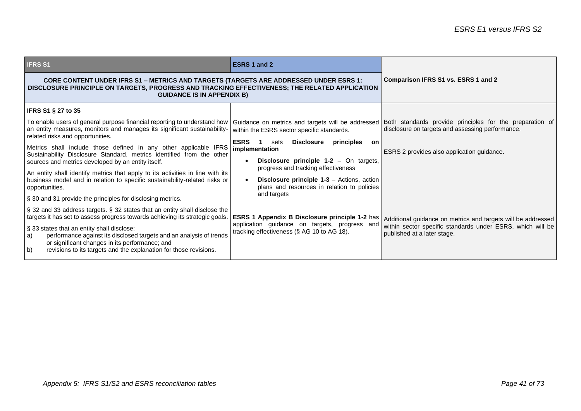| <b>IFRS S1</b>                                                                                                                                                                                                                                                                                                                                                                                                     | <b>ESRS 1 and 2</b>                                                                                                                                                                 |                                                                                                                                                           |
|--------------------------------------------------------------------------------------------------------------------------------------------------------------------------------------------------------------------------------------------------------------------------------------------------------------------------------------------------------------------------------------------------------------------|-------------------------------------------------------------------------------------------------------------------------------------------------------------------------------------|-----------------------------------------------------------------------------------------------------------------------------------------------------------|
| <b>CORE CONTENT UNDER IFRS S1 – METRICS AND TARGETS (TARGETS ARE ADDRESSED UNDER ESRS 1:</b><br>DISCLOSURE PRINCIPLE ON TARGETS, PROGRESS AND TRACKING EFFECTIVENESS; THE RELATED APPLICATION<br><b>GUIDANCE IS IN APPENDIX B)</b>                                                                                                                                                                                 |                                                                                                                                                                                     | Comparison IFRS S1 vs. ESRS 1 and 2                                                                                                                       |
| <b>IFRS S1 § 27 to 35</b>                                                                                                                                                                                                                                                                                                                                                                                          |                                                                                                                                                                                     |                                                                                                                                                           |
| To enable users of general purpose financial reporting to understand how<br>an entity measures, monitors and manages its significant sustainability-<br>related risks and opportunities.                                                                                                                                                                                                                           | Guidance on metrics and targets will be addressed<br>within the ESRS sector specific standards.                                                                                     | Both standards provide principles for the preparation of<br>disclosure on targets and assessing performance.                                              |
| Metrics shall include those defined in any other applicable IFRS<br>Sustainability Disclosure Standard, metrics identified from the other<br>sources and metrics developed by an entity itself.                                                                                                                                                                                                                    | <b>ESRS</b><br>Disclosure<br>$\blacksquare$<br>sets<br>principles<br>on<br>implementation<br><b>Disclosure principle 1-2</b> $-$ On targets,<br>progress and tracking effectiveness | ESRS 2 provides also application guidance.                                                                                                                |
| An entity shall identify metrics that apply to its activities in line with its<br>business model and in relation to specific sustainability-related risks or<br>opportunities.                                                                                                                                                                                                                                     | Disclosure principle 1-3 - Actions, action<br>plans and resources in relation to policies<br>and targets                                                                            |                                                                                                                                                           |
| § 30 and 31 provide the principles for disclosing metrics.                                                                                                                                                                                                                                                                                                                                                         |                                                                                                                                                                                     |                                                                                                                                                           |
| § 32 and 33 address targets. § 32 states that an entity shall disclose the<br>targets it has set to assess progress towards achieving its strategic goals.<br>§ 33 states that an entity shall disclose:<br>performance against its disclosed targets and an analysis of trends<br>a)<br>or significant changes in its performance; and<br>b)<br>revisions to its targets and the explanation for those revisions. | <b>ESRS 1 Appendix B Disclosure principle 1-2 has</b><br>application guidance on targets, progress and<br>tracking effectiveness (§ AG 10 to AG 18).                                | Additional guidance on metrics and targets will be addressed<br>within sector specific standards under ESRS, which will be<br>published at a later stage. |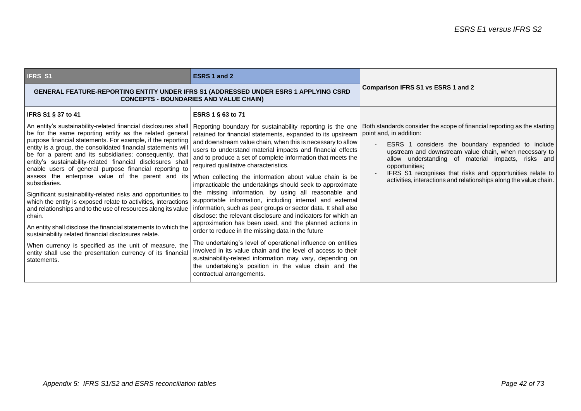| <b>IFRS S1</b>                                                                                                                                                                                                                                                                                                                                                                                                                                                                                                                                                                                                                                                                                                                                                                                                                                                                                                                                                                                                             | ESRS 1 and 2                                                                                                                                                                                                                                                                                                                                                                                                                                                                                                                                                                                                                                                                                                                                                                                                                                                                                                                                                                                                                                                                                                                                                          |                                                                                                                                                                                                                                                                                                                                                                                                                              |
|----------------------------------------------------------------------------------------------------------------------------------------------------------------------------------------------------------------------------------------------------------------------------------------------------------------------------------------------------------------------------------------------------------------------------------------------------------------------------------------------------------------------------------------------------------------------------------------------------------------------------------------------------------------------------------------------------------------------------------------------------------------------------------------------------------------------------------------------------------------------------------------------------------------------------------------------------------------------------------------------------------------------------|-----------------------------------------------------------------------------------------------------------------------------------------------------------------------------------------------------------------------------------------------------------------------------------------------------------------------------------------------------------------------------------------------------------------------------------------------------------------------------------------------------------------------------------------------------------------------------------------------------------------------------------------------------------------------------------------------------------------------------------------------------------------------------------------------------------------------------------------------------------------------------------------------------------------------------------------------------------------------------------------------------------------------------------------------------------------------------------------------------------------------------------------------------------------------|------------------------------------------------------------------------------------------------------------------------------------------------------------------------------------------------------------------------------------------------------------------------------------------------------------------------------------------------------------------------------------------------------------------------------|
| GENERAL FEATURE-REPORTING ENTITY UNDER IFRS S1 (ADDRESSED UNDER ESRS 1 APPLYING CSRD<br><b>CONCEPTS - BOUNDARIES AND VALUE CHAIN)</b>                                                                                                                                                                                                                                                                                                                                                                                                                                                                                                                                                                                                                                                                                                                                                                                                                                                                                      |                                                                                                                                                                                                                                                                                                                                                                                                                                                                                                                                                                                                                                                                                                                                                                                                                                                                                                                                                                                                                                                                                                                                                                       | Comparison IFRS S1 vs ESRS 1 and 2                                                                                                                                                                                                                                                                                                                                                                                           |
| IFRS S1 § 37 to 41<br>An entity's sustainability-related financial disclosures shall<br>be for the same reporting entity as the related general<br>purpose financial statements. For example, if the reporting<br>entity is a group, the consolidated financial statements will<br>be for a parent and its subsidiaries; consequently, that<br>entity's sustainability-related financial disclosures shall<br>enable users of general purpose financial reporting to<br>assess the enterprise value of the parent and its<br>subsidiaries.<br>Significant sustainability-related risks and opportunities to<br>which the entity is exposed relate to activities, interactions<br>and relationships and to the use of resources along its value<br>chain.<br>An entity shall disclose the financial statements to which the<br>sustainability related financial disclosures relate.<br>When currency is specified as the unit of measure, the<br>entity shall use the presentation currency of its financial<br>statements. | ESRS 1 § 63 to 71<br>Reporting boundary for sustainability reporting is the one<br>retained for financial statements, expanded to its upstream<br>and downstream value chain, when this is necessary to allow<br>users to understand material impacts and financial effects<br>and to produce a set of complete information that meets the<br>required qualitative characteristics.<br>When collecting the information about value chain is be<br>impracticable the undertakings should seek to approximate<br>the missing information, by using all reasonable and<br>supportable information, including internal and external<br>information, such as peer groups or sector data. It shall also<br>disclose: the relevant disclosure and indicators for which an<br>approximation has been used, and the planned actions in<br>order to reduce in the missing data in the future<br>The undertaking's level of operational influence on entities<br>involved in its value chain and the level of access to their<br>sustainability-related information may vary, depending on<br>the undertaking's position in the value chain and the<br>contractual arrangements. | Both standards consider the scope of financial reporting as the starting<br>point and, in addition:<br>ESRS 1 considers the boundary expanded to include<br>upstream and downstream value chain, when necessary to<br>allow understanding of material impacts, risks and<br>opportunities:<br>IFRS S1 recognises that risks and opportunities relate to<br>activities, interactions and relationships along the value chain. |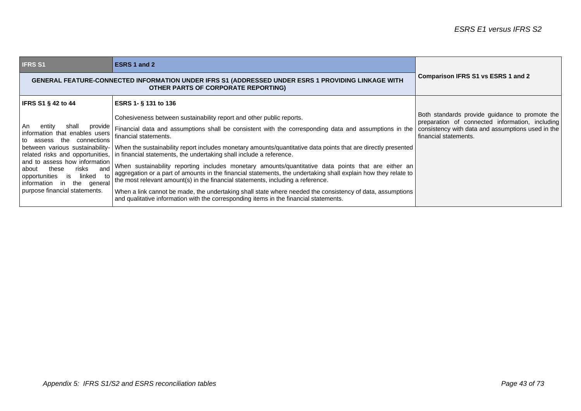| <b>IFRS S1</b>                                                                                                                                                                                                                                                                    | ESRS 1 and 2                                                                                                                                                                                                                                                                                                                                                                                                                                                                                                                                                                                                                                                                                                                                                                                                                                                                                                                                                                      |                                                                                                                                                                                 |
|-----------------------------------------------------------------------------------------------------------------------------------------------------------------------------------------------------------------------------------------------------------------------------------|-----------------------------------------------------------------------------------------------------------------------------------------------------------------------------------------------------------------------------------------------------------------------------------------------------------------------------------------------------------------------------------------------------------------------------------------------------------------------------------------------------------------------------------------------------------------------------------------------------------------------------------------------------------------------------------------------------------------------------------------------------------------------------------------------------------------------------------------------------------------------------------------------------------------------------------------------------------------------------------|---------------------------------------------------------------------------------------------------------------------------------------------------------------------------------|
| GENERAL FEATURE-CONNECTED INFORMATION UNDER IFRS S1 (ADDRESSED UNDER ESRS 1 PROVIDING LINKAGE WITH<br>OTHER PARTS OF CORPORATE REPORTING)                                                                                                                                         |                                                                                                                                                                                                                                                                                                                                                                                                                                                                                                                                                                                                                                                                                                                                                                                                                                                                                                                                                                                   | Comparison IFRS S1 vs ESRS 1 and 2                                                                                                                                              |
| <b>IFRS S1 § 42 to 44</b>                                                                                                                                                                                                                                                         | ESRS 1- § 131 to 136                                                                                                                                                                                                                                                                                                                                                                                                                                                                                                                                                                                                                                                                                                                                                                                                                                                                                                                                                              |                                                                                                                                                                                 |
| l An<br>entity<br>shall<br>provide<br>information that enables users<br>to assess the<br>connections<br>and to assess how information<br>risks<br>these<br>and<br>about<br>linked<br>opportunities<br>to<br>is.<br>information in<br>the general<br>purpose financial statements. | Cohesiveness between sustainability report and other public reports.<br>Financial data and assumptions shall be consistent with the corresponding data and assumptions in the<br>financial statements.<br>between various sustainability- When the sustainability report includes monetary amounts/quantitative data points that are directly presented<br>related risks and opportunities, in financial statements, the undertaking shall include a reference.<br>When sustainability reporting includes monetary amounts/quantitative data points that are either an<br>aggregation or a part of amounts in the financial statements, the undertaking shall explain how they relate to<br>the most relevant amount(s) in the financial statements, including a reference.<br>When a link cannot be made, the undertaking shall state where needed the consistency of data, assumptions<br>and qualitative information with the corresponding items in the financial statements. | Both standards provide guidance to promote the<br>preparation of connected information, including<br>consistency with data and assumptions used in the<br>financial statements. |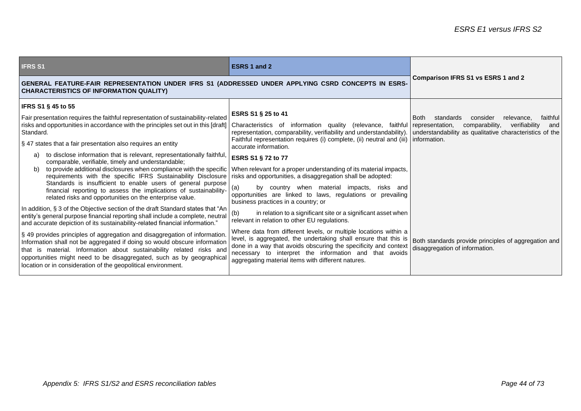| <b>IFRS S1</b>                                                                                                                                                                                                                                                                                                                                                            | <b>ESRS 1 and 2</b>                                                                                                                                                                                                                                                                                                    |                                                                                        |
|---------------------------------------------------------------------------------------------------------------------------------------------------------------------------------------------------------------------------------------------------------------------------------------------------------------------------------------------------------------------------|------------------------------------------------------------------------------------------------------------------------------------------------------------------------------------------------------------------------------------------------------------------------------------------------------------------------|----------------------------------------------------------------------------------------|
| GENERAL FEATURE-FAIR REPRESENTATION UNDER IFRS S1 (ADDRESSED UNDER APPLYING CSRD CONCEPTS IN ESRS-<br><b>CHARACTERISTICS OF INFORMATION QUALITY)</b>                                                                                                                                                                                                                      |                                                                                                                                                                                                                                                                                                                        | <b>Comparison IFRS S1 vs ESRS 1 and 2</b>                                              |
| IFRS S1 § 45 to 55                                                                                                                                                                                                                                                                                                                                                        |                                                                                                                                                                                                                                                                                                                        |                                                                                        |
| Fair presentation requires the faithful representation of sustainability-related                                                                                                                                                                                                                                                                                          | ESRS S1 § 25 to 41                                                                                                                                                                                                                                                                                                     | consider<br>relevance.<br>standards<br>faithful<br><b>Both</b>                         |
| risks and opportunities in accordance with the principles set out in this [draft]<br>Standard.                                                                                                                                                                                                                                                                            | Characteristics of information quality (relevance, faithful representation,<br>representation, comparability, verifiability and understandability). understandability as qualitative characteristics of the                                                                                                            | comparability,<br>verifiability<br>and                                                 |
| § 47 states that a fair presentation also requires an entity                                                                                                                                                                                                                                                                                                              | Faithful representation requires (i) complete, (ii) neutral and (iii)   information.<br>accurate information.                                                                                                                                                                                                          |                                                                                        |
| to disclose information that is relevant, representationally faithful,<br>a)<br>comparable, verifiable, timely and understandable;                                                                                                                                                                                                                                        | ESRS S1 § 72 to 77                                                                                                                                                                                                                                                                                                     |                                                                                        |
| to provide additional disclosures when compliance with the specific<br>b)<br>requirements with the specific IFRS Sustainability Disclosure                                                                                                                                                                                                                                | When relevant for a proper understanding of its material impacts,<br>risks and opportunities, a disaggregation shall be adopted:                                                                                                                                                                                       |                                                                                        |
| Standards is insufficient to enable users of general purpose<br>financial reporting to assess the implications of sustainability-<br>related risks and opportunities on the enterprise value.                                                                                                                                                                             | (a)<br>by country when material impacts, risks and<br>opportunities are linked to laws, regulations or prevailing<br>business practices in a country; or                                                                                                                                                               |                                                                                        |
| In addition, § 3 of the Objective section of the draft Standard states that "An<br>entity's general purpose financial reporting shall include a complete, neutral<br>and accurate depiction of its sustainability-related financial information."                                                                                                                         | in relation to a significant site or a significant asset when<br>(b)<br>relevant in relation to other EU regulations.                                                                                                                                                                                                  |                                                                                        |
| § 49 provides principles of aggregation and disaggregation of information.<br>Information shall not be aggregated if doing so would obscure information<br>that is material. Information about sustainability related risks and<br>opportunities might need to be disaggregated, such as by geographical<br>location or in consideration of the geopolitical environment. | Where data from different levels, or multiple locations within a<br>level, is aggregated, the undertaking shall ensure that this is<br>done in a way that avoids obscuring the specificity and context<br>necessary to interpret the information and that avoids<br>aggregating material items with different natures. | Both standards provide principles of aggregation and<br>disaggregation of information. |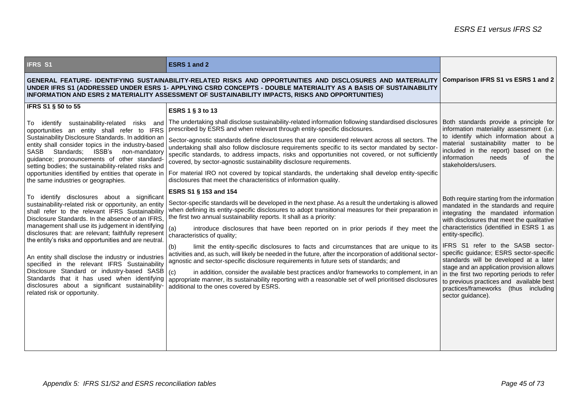| <b>IFRS S1</b>                                                                                                                                                                                                                                                                                                                      | ESRS 1 and 2                                                                                                                                                                                                                                                                                                                                                                     |                                                                                                                                                                                                                                            |  |
|-------------------------------------------------------------------------------------------------------------------------------------------------------------------------------------------------------------------------------------------------------------------------------------------------------------------------------------|----------------------------------------------------------------------------------------------------------------------------------------------------------------------------------------------------------------------------------------------------------------------------------------------------------------------------------------------------------------------------------|--------------------------------------------------------------------------------------------------------------------------------------------------------------------------------------------------------------------------------------------|--|
| GENERAL FEATURE- IDENTIFYING SUSTAINABILITY-RELATED RISKS AND OPPORTUNITIES AND DISCLOSURES AND MATERIALITY<br>UNDER IFRS S1 (ADDRESSED UNDER ESRS 1- APPLYING CSRD CONCEPTS - DOUBLE MATERIALITY AS A BASIS OF SUSTAINABILITY<br>INFORMATION AND ESRS 2 MATERIALITY ASSESSMENT OF SUSTAINABILITY IMPACTS, RISKS AND OPPORTUNITIES) |                                                                                                                                                                                                                                                                                                                                                                                  | <b>Comparison IFRS S1 vs ESRS 1 and 2</b>                                                                                                                                                                                                  |  |
| IFRS S1 § 50 to 55                                                                                                                                                                                                                                                                                                                  | ESRS 1 § 3 to 13                                                                                                                                                                                                                                                                                                                                                                 |                                                                                                                                                                                                                                            |  |
| To identify sustainability-related risks and<br>opportunities an entity shall refer to IFRS                                                                                                                                                                                                                                         | The undertaking shall disclose sustainability-related information following standardised disclosures<br>prescribed by ESRS and when relevant through entity-specific disclosures.                                                                                                                                                                                                | Both standards provide a principle for<br>information materiality assessment (i.e.                                                                                                                                                         |  |
| Sustainability Disclosure Standards. In addition an<br>entity shall consider topics in the industry-based<br>Standards; ISSB's<br>SASB<br>non-mandatory<br>guidance; pronouncements of other standard<br>setting bodies; the sustainability-related risks and                                                                       | Sector-agnostic standards define disclosures that are considered relevant across all sectors. The<br>undertaking shall also follow disclosure requirements specific to its sector mandated by sector-<br>specific standards, to address impacts, risks and opportunities not covered, or not sufficiently<br>covered, by sector-agnostic sustainability disclosure requirements. | to identify which information about a<br>material sustainability matter to be<br>included in the report) based on the<br>information<br>needs<br>οf<br>the<br>stakeholders/users.                                                          |  |
| the same industries or geographies.                                                                                                                                                                                                                                                                                                 | opportunities identified by entities that operate in   For material IRO not covered by topical standards, the undertaking shall develop entity-specific<br>disclosures that meet the characteristics of information quality.                                                                                                                                                     |                                                                                                                                                                                                                                            |  |
| To identify disclosures about a significant                                                                                                                                                                                                                                                                                         | ESRS S1 § 153 and 154                                                                                                                                                                                                                                                                                                                                                            |                                                                                                                                                                                                                                            |  |
| sustainability-related risk or opportunity, an entity<br>shall refer to the relevant IFRS Sustainability<br>Disclosure Standards. In the absence of an IFRS.                                                                                                                                                                        | Sector-specific standards will be developed in the next phase. As a result the undertaking is allowed<br>when defining its entity-specific disclosures to adopt transitional measures for their preparation in<br>the first two annual sustainability reports. It shall as a priority:                                                                                           | Both require starting from the information<br>mandated in the standards and require<br>integrating the mandated information<br>with disclosures that meet the qualitative<br>characteristics (identified in ESRS 1 as<br>entity-specific). |  |
| management shall use its judgement in identifying<br>disclosures that: are relevant; faithfully represent<br>the entity's risks and opportunities and are neutral.                                                                                                                                                                  | introduce disclosures that have been reported on in prior periods if they meet the<br>(a)<br>characteristics of quality;                                                                                                                                                                                                                                                         |                                                                                                                                                                                                                                            |  |
| An entity shall disclose the industry or industries<br>specified in the relevant IFRS Sustainability                                                                                                                                                                                                                                | limit the entity-specific disclosures to facts and circumstances that are unique to its<br>(b)<br>activities and, as such, will likely be needed in the future, after the incorporation of additional sector-<br>agnostic and sector-specific disclosure requirements in future sets of standards; and                                                                           | IFRS S1 refer to the SASB sector-<br>specific guidance; ESRS sector-specific<br>standards will be developed at a later                                                                                                                     |  |
| Disclosure Standard or industry-based SASB<br>Standards that it has used when identifying<br>disclosures about a significant sustainability-<br>related risk or opportunity.                                                                                                                                                        | in addition, consider the available best practices and/or frameworks to complement, in an<br>(c)<br>appropriate manner, its sustainability reporting with a reasonable set of well prioritised disclosures<br>additional to the ones covered by ESRS.                                                                                                                            | stage and an application provision allows<br>in the first two reporting periods to refer<br>to previous practices and available best<br>practices/frameworks (thus including<br>sector guidance).                                          |  |
|                                                                                                                                                                                                                                                                                                                                     |                                                                                                                                                                                                                                                                                                                                                                                  |                                                                                                                                                                                                                                            |  |
|                                                                                                                                                                                                                                                                                                                                     |                                                                                                                                                                                                                                                                                                                                                                                  |                                                                                                                                                                                                                                            |  |
|                                                                                                                                                                                                                                                                                                                                     |                                                                                                                                                                                                                                                                                                                                                                                  |                                                                                                                                                                                                                                            |  |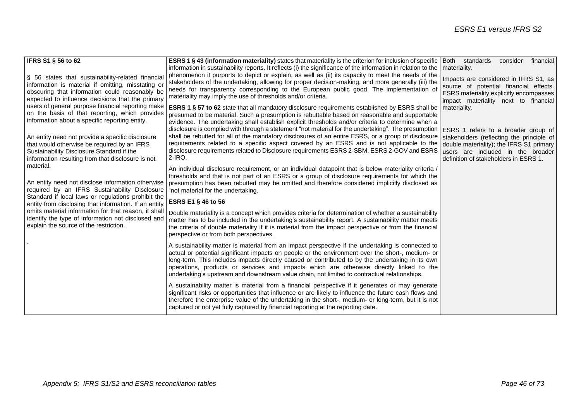| <b>IFRS S1 § 56 to 62</b>                                                                                   | ESRS 1 § 43 (information materiality) states that materiality is the criterion for inclusion of specific                                                                                                   | Both standards<br>consider<br>financial        |
|-------------------------------------------------------------------------------------------------------------|------------------------------------------------------------------------------------------------------------------------------------------------------------------------------------------------------------|------------------------------------------------|
|                                                                                                             | information in sustainability reports. It reflects (i) the significance of the information in relation to the                                                                                              | materiality.                                   |
| § 56 states that sustainability-related financial                                                           | phenomenon it purports to depict or explain, as well as (ii) its capacity to meet the needs of the<br>stakeholders of the undertaking, allowing for proper decision-making, and more generally (iii) the   | Impacts are considered in IFRS S1, as          |
| information is material if omitting, misstating or                                                          | needs for transparency corresponding to the European public good. The implementation of                                                                                                                    | source of potential financial effects.         |
| obscuring that information could reasonably be                                                              | materiality may imply the use of thresholds and/or criteria.                                                                                                                                               | <b>ESRS</b> materiality explicitly encompasses |
| expected to influence decisions that the primary                                                            |                                                                                                                                                                                                            | impact materiality next to financial           |
| users of general purpose financial reporting make                                                           | <b>ESRS 1 § 57 to 62</b> state that all mandatory disclosure requirements established by ESRS shall be                                                                                                     | materiality.                                   |
| on the basis of that reporting, which provides                                                              | presumed to be material. Such a presumption is rebuttable based on reasonable and supportable                                                                                                              |                                                |
| information about a specific reporting entity.                                                              | evidence. The undertaking shall establish explicit thresholds and/or criteria to determine when a                                                                                                          |                                                |
|                                                                                                             | disclosure is complied with through a statement "not material for the undertaking". The presumption                                                                                                        | ESRS 1 refers to a broader group of            |
| An entity need not provide a specific disclosure                                                            | shall be rebutted for all of the mandatory disclosures of an entire ESRS, or a group of disclosure                                                                                                         | stakeholders (reflecting the principle of      |
| that would otherwise be required by an IFRS                                                                 | requirements related to a specific aspect covered by an ESRS and is not applicable to the                                                                                                                  | double materiality); the IFRS S1 primary       |
| Sustainability Disclosure Standard if the                                                                   | disclosure requirements related to Disclosure requirements ESRS 2-SBM, ESRS 2-GOV and ESRS<br>$2$ -IRO.                                                                                                    | users are included in the broader              |
| information resulting from that disclosure is not                                                           |                                                                                                                                                                                                            | definition of stakeholders in ESRS 1.          |
| material.                                                                                                   | An individual disclosure requirement, or an individual datapoint that is below materiality criteria /                                                                                                      |                                                |
|                                                                                                             | thresholds and that is not part of an ESRS or a group of disclosure requirements for which the                                                                                                             |                                                |
| An entity need not disclose information otherwise                                                           | presumption has been rebutted may be omitted and therefore considered implicitly disclosed as                                                                                                              |                                                |
| required by an IFRS Sustainability Disclosure                                                               | "not material for the undertaking.                                                                                                                                                                         |                                                |
| Standard if local laws or regulations prohibit the<br>entity from disclosing that information. If an entity | ESRS E1 § 46 to 56                                                                                                                                                                                         |                                                |
| omits material information for that reason, it shall                                                        | Double materiality is a concept which provides criteria for determination of whether a sustainability                                                                                                      |                                                |
| identify the type of information not disclosed and                                                          | matter has to be included in the undertaking's sustainability report. A sustainability matter meets                                                                                                        |                                                |
| explain the source of the restriction.                                                                      | the criteria of double materiality if it is material from the impact perspective or from the financial                                                                                                     |                                                |
|                                                                                                             | perspective or from both perspectives.                                                                                                                                                                     |                                                |
|                                                                                                             |                                                                                                                                                                                                            |                                                |
|                                                                                                             | A sustainability matter is material from an impact perspective if the undertaking is connected to<br>actual or potential significant impacts on people or the environment over the short-, medium- or      |                                                |
|                                                                                                             | long-term. This includes impacts directly caused or contributed to by the undertaking in its own                                                                                                           |                                                |
|                                                                                                             | operations, products or services and impacts which are otherwise directly linked to the                                                                                                                    |                                                |
|                                                                                                             | undertaking's upstream and downstream value chain, not limited to contractual relationships.                                                                                                               |                                                |
|                                                                                                             |                                                                                                                                                                                                            |                                                |
|                                                                                                             | A sustainability matter is material from a financial perspective if it generates or may generate<br>significant risks or opportunities that influence or are likely to influence the future cash flows and |                                                |
|                                                                                                             | therefore the enterprise value of the undertaking in the short-, medium- or long-term, but it is not                                                                                                       |                                                |
|                                                                                                             | captured or not yet fully captured by financial reporting at the reporting date.                                                                                                                           |                                                |
|                                                                                                             |                                                                                                                                                                                                            |                                                |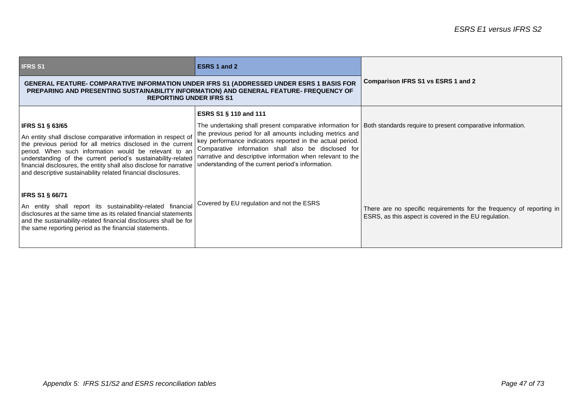| <b>IFRS S1</b>                                                                                                                                                                                                                                                                                                                                                                                  | <b>ESRS 1 and 2</b>                                                                                                                                                                                                                                                                               |                                                                                                                               |
|-------------------------------------------------------------------------------------------------------------------------------------------------------------------------------------------------------------------------------------------------------------------------------------------------------------------------------------------------------------------------------------------------|---------------------------------------------------------------------------------------------------------------------------------------------------------------------------------------------------------------------------------------------------------------------------------------------------|-------------------------------------------------------------------------------------------------------------------------------|
| <b>GENERAL FEATURE- COMPARATIVE INFORMATION UNDER IFRS S1 (ADDRESSED UNDER ESRS 1 BASIS FOR</b><br>PREPARING AND PRESENTING SUSTAINABILITY INFORMATION) AND GENERAL FEATURE-FREQUENCY OF<br><b>REPORTING UNDER IFRS S1</b>                                                                                                                                                                      |                                                                                                                                                                                                                                                                                                   | <b>Comparison IFRS S1 vs ESRS 1 and 2</b>                                                                                     |
|                                                                                                                                                                                                                                                                                                                                                                                                 | ESRS S1 § 110 and 111                                                                                                                                                                                                                                                                             |                                                                                                                               |
| <b>IFRS S1 § 63/65</b>                                                                                                                                                                                                                                                                                                                                                                          | The undertaking shall present comparative information for   Both standards require to present comparative information.                                                                                                                                                                            |                                                                                                                               |
| An entity shall disclose comparative information in respect of<br>the previous period for all metrics disclosed in the current<br>period. When such information would be relevant to an<br>understanding of the current period's sustainability-related<br>financial disclosures, the entity shall also disclose for narrative<br>and descriptive sustainability related financial disclosures. | the previous period for all amounts including metrics and<br>key performance indicators reported in the actual period.<br>Comparative information shall also be disclosed for<br>narrative and descriptive information when relevant to the<br>understanding of the current period's information. |                                                                                                                               |
| <b>IFRS S1 § 66/71</b>                                                                                                                                                                                                                                                                                                                                                                          |                                                                                                                                                                                                                                                                                                   |                                                                                                                               |
| An entity shall report its sustainability-related financial<br>disclosures at the same time as its related financial statements<br>and the sustainability-related financial disclosures shall be for<br>the same reporting period as the financial statements.                                                                                                                                  | Covered by EU regulation and not the ESRS                                                                                                                                                                                                                                                         | There are no specific requirements for the frequency of reporting in<br>ESRS, as this aspect is covered in the EU regulation. |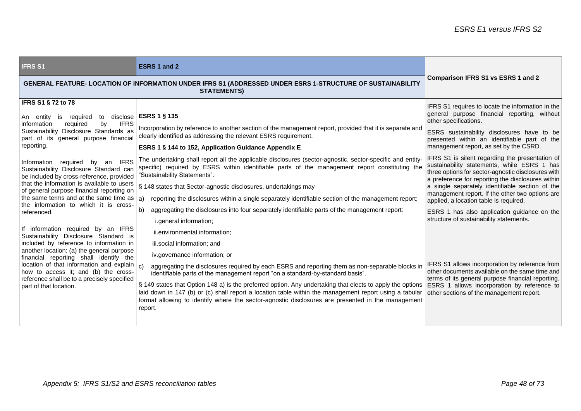| <b>IFRS S1</b>                                                                                                                                                                                                                                                                                                                                                                                                                                                                                                                                                                                                                                                                                                                                                                                                                                                                                                                            | <b>ESRS 1 and 2</b>                                                                                                                                                                                                                                                                                                                                                                                                                                                                                                                                                                                                                                                                                                                                                                                                                                                                                                                                                                                                                                                                                                                                                                                                                                                                                                                                                                                                                                   |                                                                                                                                                                                                                                                                                                                                                                                                                                                                                                                                                                                                                                                                                                                                                                                                                                                                                                                                                                               |
|-------------------------------------------------------------------------------------------------------------------------------------------------------------------------------------------------------------------------------------------------------------------------------------------------------------------------------------------------------------------------------------------------------------------------------------------------------------------------------------------------------------------------------------------------------------------------------------------------------------------------------------------------------------------------------------------------------------------------------------------------------------------------------------------------------------------------------------------------------------------------------------------------------------------------------------------|-------------------------------------------------------------------------------------------------------------------------------------------------------------------------------------------------------------------------------------------------------------------------------------------------------------------------------------------------------------------------------------------------------------------------------------------------------------------------------------------------------------------------------------------------------------------------------------------------------------------------------------------------------------------------------------------------------------------------------------------------------------------------------------------------------------------------------------------------------------------------------------------------------------------------------------------------------------------------------------------------------------------------------------------------------------------------------------------------------------------------------------------------------------------------------------------------------------------------------------------------------------------------------------------------------------------------------------------------------------------------------------------------------------------------------------------------------|-------------------------------------------------------------------------------------------------------------------------------------------------------------------------------------------------------------------------------------------------------------------------------------------------------------------------------------------------------------------------------------------------------------------------------------------------------------------------------------------------------------------------------------------------------------------------------------------------------------------------------------------------------------------------------------------------------------------------------------------------------------------------------------------------------------------------------------------------------------------------------------------------------------------------------------------------------------------------------|
| GENERAL FEATURE- LOCATION OF INFORMATION UNDER IFRS S1 (ADDRESSED UNDER ESRS 1-STRUCTURE OF SUSTAINABILITY<br><b>STATEMENTS)</b>                                                                                                                                                                                                                                                                                                                                                                                                                                                                                                                                                                                                                                                                                                                                                                                                          |                                                                                                                                                                                                                                                                                                                                                                                                                                                                                                                                                                                                                                                                                                                                                                                                                                                                                                                                                                                                                                                                                                                                                                                                                                                                                                                                                                                                                                                       | <b>Comparison IFRS S1 vs ESRS 1 and 2</b>                                                                                                                                                                                                                                                                                                                                                                                                                                                                                                                                                                                                                                                                                                                                                                                                                                                                                                                                     |
| <b>IFRS S1 § 72 to 78</b><br>An entity<br>is<br>required<br>to<br>by<br><b>IFRS</b><br>information<br>required<br>Sustainability Disclosure Standards as<br>part of its general purpose financial<br>reporting.<br><b>IFRS</b><br>Information required by an<br>Sustainability Disclosure Standard can<br>be included by cross-reference, provided<br>that the information is available to users<br>of general purpose financial reporting on<br>the same terms and at the same time as $ a\rangle$<br>the information to which it is cross-<br>referenced.<br>If information required by an IFRS<br>Sustainability Disclosure Standard is<br>included by reference to information in<br>another location: (a) the general purpose<br>financial reporting shall identify the<br>location of that information and explain<br>how to access it; and (b) the cross-<br>reference shall be to a precisely specified<br>part of that location. | disclose   ESRS 1 § 135<br>Incorporation by reference to another section of the management report, provided that it is separate and<br>clearly identified as addressing the relevant ESRS requirement.<br>ESRS 1 § 144 to 152, Application Guidance Appendix E<br>The undertaking shall report all the applicable disclosures (sector-agnostic, sector-specific and entity-<br>specific) required by ESRS within identifiable parts of the management report constituting the<br>"Sustainability Statements".<br>§ 148 states that Sector-agnostic disclosures, undertakings may<br>reporting the disclosures within a single separately identifiable section of the management report;<br>b)<br>aggregating the disclosures into four separately identifiable parts of the management report:<br>i.general information;<br>ii.environmental information;<br>iii.social information; and<br>iv.governance information; or<br>aggregating the disclosures required by each ESRS and reporting them as non-separable blocks in<br>identifiable parts of the management report "on a standard-by-standard basis".<br>§ 149 states that Option 148 a) is the preferred option. Any undertaking that elects to apply the options<br>laid down in 147 (b) or (c) shall report a location table within the management report using a tabular<br>format allowing to identify where the sector-agnostic disclosures are presented in the management<br>report. | IFRS S1 requires to locate the information in the<br>general purpose financial reporting, without<br>other specifications.<br>ESRS sustainability disclosures have to be<br>presented within an identifiable part of the<br>management report, as set by the CSRD.<br>IFRS S1 is silent regarding the presentation of<br>sustainability statements, while ESRS 1 has<br>three options for sector-agnostic disclosures with<br>a preference for reporting the disclosures within<br>a single separately identifiable section of the<br>management report. If the other two options are<br>applied, a location table is required.<br>ESRS 1 has also application guidance on the<br>structure of sustainability statements.<br>IFRS S1 allows incorporation by reference from<br>other documents available on the same time and<br>terms of its general purpose financial reporting.<br>ESRS 1 allows incorporation by reference to<br>other sections of the management report. |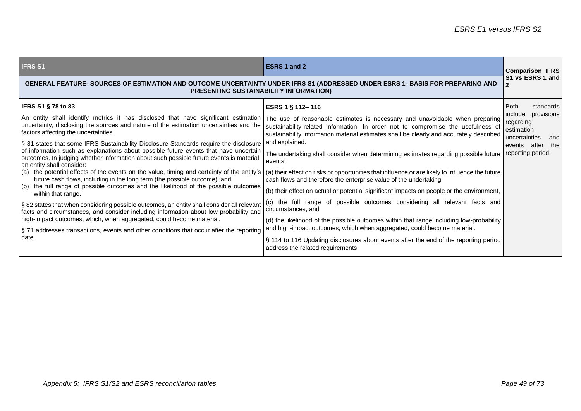| <b>IFRS S1</b>                                                                                                                                                                                                                                                                                     | <b>ESRS 1 and 2</b>                                                                                                                                                         | <b>Comparison IFRS</b>                                                   |
|----------------------------------------------------------------------------------------------------------------------------------------------------------------------------------------------------------------------------------------------------------------------------------------------------|-----------------------------------------------------------------------------------------------------------------------------------------------------------------------------|--------------------------------------------------------------------------|
| GENERAL FEATURE- SOURCES OF ESTIMATION AND OUTCOME UNCERTAINTY UNDER IFRS S1 (ADDRESSED UNDER ESRS 1- BASIS FOR PREPARING AND<br><b>PRESENTING SUSTAINABILITY INFORMATION)</b>                                                                                                                     |                                                                                                                                                                             | S1 vs ESRS 1 and                                                         |
| <b>IFRS S1 § 78 to 83</b>                                                                                                                                                                                                                                                                          | ESRS 1 § 112-116                                                                                                                                                            | <b>Both</b><br>standards                                                 |
| An entity shall identify metrics it has disclosed that have significant estimation   The use of reasonable estimates is necessary and unavoidable when preparing<br>uncertainty, disclosing the sources and nature of the estimation uncertainties and the<br>factors affecting the uncertainties. | sustainability-related information. In order not to compromise the usefulness of<br>sustainability information material estimates shall be clearly and accurately described | include<br>provisions<br>regarding<br>estimation<br>uncertainties<br>and |
| § 81 states that some IFRS Sustainability Disclosure Standards require the disclosure                                                                                                                                                                                                              | and explained.                                                                                                                                                              | events after<br>the                                                      |
| of information such as explanations about possible future events that have uncertain<br>outcomes. In judging whether information about such possible future events is material,<br>an entity shall consider:                                                                                       | The undertaking shall consider when determining estimates regarding possible future<br>events:                                                                              | reporting period.                                                        |
| (a) the potential effects of the events on the value, timing and certainty of the entity's<br>future cash flows, including in the long term (the possible outcome); and                                                                                                                            | (a) their effect on risks or opportunities that influence or are likely to influence the future<br>cash flows and therefore the enterprise value of the undertaking,        |                                                                          |
| (b) the full range of possible outcomes and the likelihood of the possible outcomes<br>within that range.                                                                                                                                                                                          | (b) their effect on actual or potential significant impacts on people or the environment,                                                                                   |                                                                          |
| § 82 states that when considering possible outcomes, an entity shall consider all relevant<br>facts and circumstances, and consider including information about low probability and                                                                                                                | (c) the full range of possible outcomes considering all relevant facts and<br>circumstances, and                                                                            |                                                                          |
| high-impact outcomes, which, when aggregated, could become material.                                                                                                                                                                                                                               | (d) the likelihood of the possible outcomes within that range including low-probability                                                                                     |                                                                          |
| §71 addresses transactions, events and other conditions that occur after the reporting                                                                                                                                                                                                             | and high-impact outcomes, which when aggregated, could become material.                                                                                                     |                                                                          |
| date.                                                                                                                                                                                                                                                                                              | § 114 to 116 Updating disclosures about events after the end of the reporting period<br>address the related requirements                                                    |                                                                          |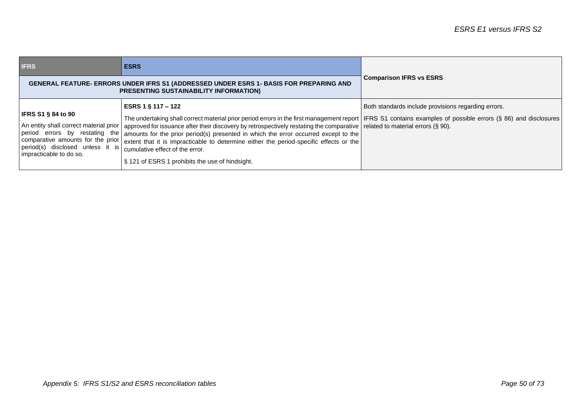| <b>IFRS</b>                                                                              | <b>ESRS</b>                                                                                                                                                                                                                                                                                                                                                                                                                                                                                                                                                                                                                                                                                               |                                                     |
|------------------------------------------------------------------------------------------|-----------------------------------------------------------------------------------------------------------------------------------------------------------------------------------------------------------------------------------------------------------------------------------------------------------------------------------------------------------------------------------------------------------------------------------------------------------------------------------------------------------------------------------------------------------------------------------------------------------------------------------------------------------------------------------------------------------|-----------------------------------------------------|
|                                                                                          | GENERAL FEATURE- ERRORS UNDER IFRS S1 (ADDRESSED UNDER ESRS 1- BASIS FOR PREPARING AND<br><b>PRESENTING SUSTAINABILITY INFORMATION)</b>                                                                                                                                                                                                                                                                                                                                                                                                                                                                                                                                                                   | <b>Comparison IFRS vs ESRS</b>                      |
| <b>IFRS S1 § 84 to 90</b><br>period(s) disclosed unless it is<br>impracticable to do so. | ESRS 1 § 117 – 122<br>The undertaking shall correct material prior period errors in the first management report   IFRS S1 contains examples of possible errors (§ 86) and disclosures  <br>An entity shall correct material prior   approved for issuance after their discovery by retrospectively restating the comparative   related to material errors (§ 90).<br>period errors by restating the amounts for the prior period(s) presented in which the error occurred except to the<br>comparative amounts for the prior extent that it is impracticable to determine either the period-specific effects or the<br>cumulative effect of the error.<br>§ 121 of ESRS 1 prohibits the use of hindsight. | Both standards include provisions regarding errors. |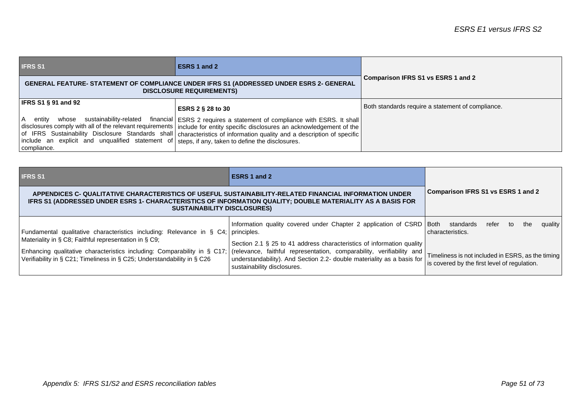| <b>IFRS S1</b>                                                                                                                                                      | ESRS 1 and 2                                                                                                                                                                                                                                                                                                                          |                                                   |
|---------------------------------------------------------------------------------------------------------------------------------------------------------------------|---------------------------------------------------------------------------------------------------------------------------------------------------------------------------------------------------------------------------------------------------------------------------------------------------------------------------------------|---------------------------------------------------|
|                                                                                                                                                                     | <b>GENERAL FEATURE- STATEMENT OF COMPLIANCE UNDER IFRS S1 (ADDRESSED UNDER ESRS 2- GENERAL</b><br><b>DISCLOSURE REQUIREMENTS)</b>                                                                                                                                                                                                     | Comparison IFRS S1 vs ESRS 1 and 2                |
| $ $ IFRS S1 § 91 and 92                                                                                                                                             | <b>ESRS 2 § 28 to 30</b>                                                                                                                                                                                                                                                                                                              | Both standards require a statement of compliance. |
| l A<br>sustainability-related<br>entity<br>whose<br>include an explicit and unqualified statement of steps, if any, taken to define the disclosures.<br>compliance. | financial   ESRS 2 requires a statement of compliance with ESRS. It shall  <br>disclosures comply with all of the relevant requirements   include for entity specific disclosures an acknowledgement of the<br>of IFRS Sustainability Disclosure Standards shall characteristics of information quality and a description of specific |                                                   |

| <b>IFRS S1</b>                                                                                                                                                                                                                                             | ESRS 1 and 2                                                                                                                                                                   |                                                                                                   |
|------------------------------------------------------------------------------------------------------------------------------------------------------------------------------------------------------------------------------------------------------------|--------------------------------------------------------------------------------------------------------------------------------------------------------------------------------|---------------------------------------------------------------------------------------------------|
| APPENDICES C- QUALITATIVE CHARACTERISTICS OF USEFUL SUSTAINABILITY-RELATED FINANCIAL INFORMATION UNDER<br>IFRS S1 (ADDRESSED UNDER ESRS 1- CHARACTERISTICS OF INFORMATION QUALITY; DOUBLE MATERIALITY AS A BASIS FOR<br><b>SUSTAINABILITY DISCLOSURES)</b> |                                                                                                                                                                                | Comparison IFRS S1 vs ESRS 1 and 2                                                                |
| Fundamental qualitative characteristics including: Relevance in § C4; principles.<br>Materiality in § C8; Faithful representation in § C9;                                                                                                                 | Information quality covered under Chapter 2 application of CSRD   Both                                                                                                         | quality<br>standards<br>refer<br>the<br>to<br>characteristics.                                    |
| Enhancing qualitative characteristics including: Comparability in § C17; (relevance, faithful representation, comparability, verifiability and<br>Verifiability in § C21; Timeliness in § C25; Understandability in § C26                                  | Section 2.1 § 25 to 41 address characteristics of information quality<br>understandability). And Section 2.2- double materiality as a basis for<br>sustainability disclosures. | Timeliness is not included in ESRS, as the timing<br>is covered by the first level of regulation. |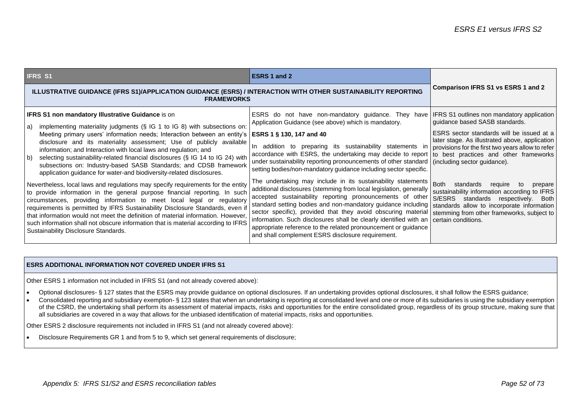| <b>IFRS S1</b>                                                                                                                                                                                                                                                                                                                                                                                                                                                                                                                                                                                                                                                                                                                                                                                                                                                                                                                                                                                                                                                                                                                                   | <b>ESRS 1 and 2</b>                                                                                                                                                                                                                                                                                                                                                                                                                                                                                                                                                                                                                                                                                                                                                                                                                                                                                                                                                                                                            |                                                                                                                                                                                                                                                                                                                                                                                                                                                                            |
|--------------------------------------------------------------------------------------------------------------------------------------------------------------------------------------------------------------------------------------------------------------------------------------------------------------------------------------------------------------------------------------------------------------------------------------------------------------------------------------------------------------------------------------------------------------------------------------------------------------------------------------------------------------------------------------------------------------------------------------------------------------------------------------------------------------------------------------------------------------------------------------------------------------------------------------------------------------------------------------------------------------------------------------------------------------------------------------------------------------------------------------------------|--------------------------------------------------------------------------------------------------------------------------------------------------------------------------------------------------------------------------------------------------------------------------------------------------------------------------------------------------------------------------------------------------------------------------------------------------------------------------------------------------------------------------------------------------------------------------------------------------------------------------------------------------------------------------------------------------------------------------------------------------------------------------------------------------------------------------------------------------------------------------------------------------------------------------------------------------------------------------------------------------------------------------------|----------------------------------------------------------------------------------------------------------------------------------------------------------------------------------------------------------------------------------------------------------------------------------------------------------------------------------------------------------------------------------------------------------------------------------------------------------------------------|
| <b>ILLUSTRATIVE GUIDANCE (IFRS S1)/APPLICATION GUIDANCE (ESRS) / INTERACTION WITH OTHER SUSTAINABILITY REPORTING</b><br><b>FRAMEWORKS</b>                                                                                                                                                                                                                                                                                                                                                                                                                                                                                                                                                                                                                                                                                                                                                                                                                                                                                                                                                                                                        |                                                                                                                                                                                                                                                                                                                                                                                                                                                                                                                                                                                                                                                                                                                                                                                                                                                                                                                                                                                                                                | <b>Comparison IFRS S1 vs ESRS 1 and 2</b>                                                                                                                                                                                                                                                                                                                                                                                                                                  |
| IFRS S1 non mandatory Illustrative Guidance is on<br>implementing materiality judgments (§ IG 1 to IG 8) with subsections on:<br>a)<br>Meeting primary users' information needs; Interaction between an entity's<br>disclosure and its materiality assessment; Use of publicly available<br>information; and Interaction with local laws and regulation; and<br>selecting sustainability-related financial disclosures (§ IG 14 to IG 24) with<br>b)<br>subsections on: Industry-based SASB Standards; and CDSB framework<br>application guidance for water-and biodiversity-related disclosures.<br>Nevertheless, local laws and regulations may specify requirements for the entity<br>to provide information in the general purpose financial reporting. In such<br>circumstances, providing information to meet local legal or regulatory<br>requirements is permitted by IFRS Sustainability Disclosure Standards, even if<br>that information would not meet the definition of material information. However,<br>such information shall not obscure information that is material according to IFRS<br>Sustainability Disclosure Standards. | ESRS do not have non-mandatory guidance. They have IFRS S1 outlines non mandatory application<br>Application Guidance (see above) which is mandatory.<br>ESRS 1 § 130, 147 and 40<br>In addition to preparing its sustainability statements in<br>accordance with ESRS, the undertaking may decide to report   to best practices and other frameworks  <br>under sustainability reporting pronouncements of other standard<br>setting bodies/non-mandatory guidance including sector specific.<br>The undertaking may include in its sustainability statements<br>additional disclosures (stemming from local legislation, generally<br>accepted sustainability reporting pronouncements of other<br>standard setting bodies and non-mandatory guidance including<br>sector specific), provided that they avoid obscuring material<br>information. Such disclosures shall be clearly identified with an<br>appropriate reference to the related pronouncement or guidance<br>and shall complement ESRS disclosure requirement. | guidance based SASB standards.<br>ESRS sector standards will be issued at a<br>later stage. As illustrated above, application<br>provisions for the first two years allow to refer<br>(including sector guidance).<br>Both standards<br>require<br>to<br>prepare<br>sustainability information according to IFRS<br>S/ESRS standards respectively. Both<br>standards allow to incorporate information<br>stemming from other frameworks, subject to<br>certain conditions. |

## **ESRS ADDITIONAL INFORMATION NOT COVERED UNDER IFRS S1**

Other ESRS 1 information not included in IFRS S1 (and not already covered above):

- Optional disclosures- § 127 states that the ESRS may provide guidance on optional disclosures. If an undertaking provides optional disclosures, it shall follow the ESRS guidance;
- Consolidated reporting and subsidiary exemption- § 123 states that when an undertaking is reporting at consolidated level and one or more of its subsidiaries is using the subsidiary exemption of the CSRD, the undertaking shall perform its assessment of material impacts, risks and opportunities for the entire consolidated group, regardless of its group structure, making sure that all subsidiaries are covered in a way that allows for the unbiased identification of material impacts, risks and opportunities.

Other ESRS 2 disclosure requirements not included in IFRS S1 (and not already covered above):

• Disclosure Requirements GR 1 and from 5 to 9, which set general requirements of disclosure;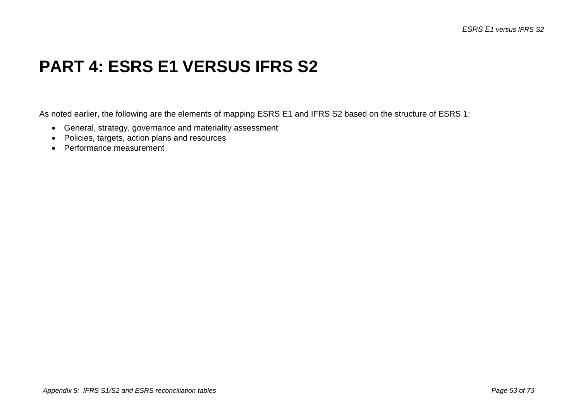## **PART 4: ESRS E1 VERSUS IFRS S2**

As noted earlier, the following are the elements of mapping ESRS E1 and IFRS S2 based on the structure of ESRS 1:

- General, strategy, governance and materiality assessment
- Policies, targets, action plans and resources
- Performance measurement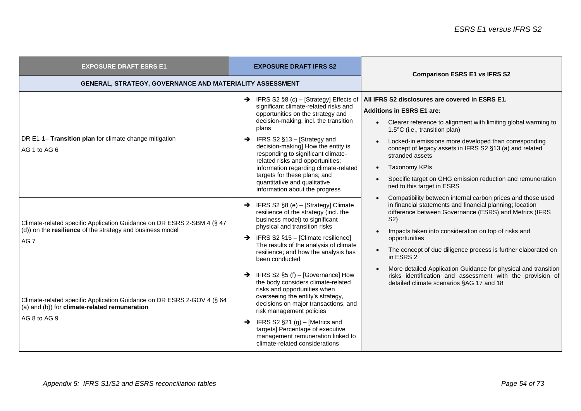| <b>EXPOSURE DRAFT ESRS E1</b>                                                                                                                          | <b>EXPOSURE DRAFT IFRS S2</b>                                                                                                                                                                                                                                                                                                                                                                                                                                                                | <b>Comparison ESRS E1 vs IFRS S2</b>                                                                                                                                                                                                                                                                                                                                                                                                                            |
|--------------------------------------------------------------------------------------------------------------------------------------------------------|----------------------------------------------------------------------------------------------------------------------------------------------------------------------------------------------------------------------------------------------------------------------------------------------------------------------------------------------------------------------------------------------------------------------------------------------------------------------------------------------|-----------------------------------------------------------------------------------------------------------------------------------------------------------------------------------------------------------------------------------------------------------------------------------------------------------------------------------------------------------------------------------------------------------------------------------------------------------------|
| GENERAL, STRATEGY, GOVERNANCE AND MATERIALITY ASSESSMENT                                                                                               |                                                                                                                                                                                                                                                                                                                                                                                                                                                                                              |                                                                                                                                                                                                                                                                                                                                                                                                                                                                 |
| DR E1-1- Transition plan for climate change mitigation<br>AG 1 to AG 6                                                                                 | $\rightarrow$ IFRS S2 §8 (c) – [Strategy] Effects of<br>significant climate-related risks and<br>opportunities on the strategy and<br>decision-making, incl. the transition<br>plans<br>$\rightarrow$ IFRS S2 §13 – [Strategy and<br>decision-making] How the entity is<br>responding to significant climate-<br>related risks and opportunities;<br>information regarding climate-related<br>targets for these plans; and<br>quantitative and qualitative<br>information about the progress | All IFRS S2 disclosures are covered in ESRS E1.<br><b>Additions in ESRS E1 are:</b><br>Clearer reference to alignment with limiting global warming to<br>$\bullet$<br>1.5°C (i.e., transition plan)<br>Locked-in emissions more developed than corresponding<br>concept of legacy assets in IFRS S2 §13 (a) and related<br>stranded assets<br><b>Taxonomy KPIs</b><br>Specific target on GHG emission reduction and remuneration<br>tied to this target in ESRS |
| Climate-related specific Application Guidance on DR ESRS 2-SBM 4 (§ 47<br>(d)) on the resilience of the strategy and business model<br>AG <sub>7</sub> | $\rightarrow$ IFRS S2 §8 (e) - [Strategy] Climate<br>resilience of the strategy (incl. the<br>business model) to significant<br>physical and transition risks<br>$\rightarrow$ IFRS S2 §15 - [Climate resilience]<br>The results of the analysis of climate<br>resilience; and how the analysis has<br>been conducted                                                                                                                                                                        | Compatibility between internal carbon prices and those used<br>in financial statements and financial planning; location<br>difference between Governance (ESRS) and Metrics (IFRS<br>S <sub>2</sub><br>Impacts taken into consideration on top of risks and<br>opportunities<br>The concept of due diligence process is further elaborated on<br>in ESRS 2                                                                                                      |
| Climate-related specific Application Guidance on DR ESRS 2-GOV 4 (§ 64<br>(a) and (b)) for climate-related remuneration<br>AG 8 to AG 9                | $\rightarrow$ IFRS S2 §5 (f) – [Governance] How<br>the body considers climate-related<br>risks and opportunities when<br>overseeing the entity's strategy,<br>decisions on major transactions, and<br>risk management policies<br>$\rightarrow$ IFRS S2 §21 (g) – [Metrics and<br>targets] Percentage of executive<br>management remuneration linked to<br>climate-related considerations                                                                                                    | More detailed Application Guidance for physical and transition<br>risks identification and assessment with the provision of<br>detailed climate scenarios §AG 17 and 18                                                                                                                                                                                                                                                                                         |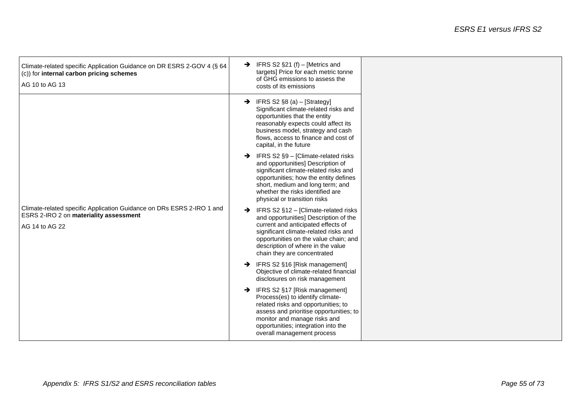| Climate-related specific Application Guidance on DR ESRS 2-GOV 4 (§ 64<br>$(c)$ for internal carbon pricing schemes<br>AG 10 to AG 13    | $\rightarrow$ IFRS S2 §21 (f) – [Metrics and<br>targets] Price for each metric tonne<br>of GHG emissions to assess the<br>costs of its emissions                                                                                                                                           |  |
|------------------------------------------------------------------------------------------------------------------------------------------|--------------------------------------------------------------------------------------------------------------------------------------------------------------------------------------------------------------------------------------------------------------------------------------------|--|
|                                                                                                                                          | $\rightarrow$ IFRS S2 §8 (a) – [Strategy]<br>Significant climate-related risks and<br>opportunities that the entity<br>reasonably expects could affect its<br>business model, strategy and cash<br>flows, access to finance and cost of<br>capital, in the future                          |  |
|                                                                                                                                          | $\rightarrow$ IFRS S2 §9 - [Climate-related risks<br>and opportunities] Description of<br>significant climate-related risks and<br>opportunities; how the entity defines<br>short, medium and long term; and<br>whether the risks identified are<br>physical or transition risks           |  |
| Climate-related specific Application Guidance on DRs ESRS 2-IRO 1 and<br><b>ESRS 2-IRO 2 on materiality assessment</b><br>AG 14 to AG 22 | IFRS S2 §12 - [Climate-related risks<br>$\rightarrow$<br>and opportunities] Description of the<br>current and anticipated effects of<br>significant climate-related risks and<br>opportunities on the value chain; and<br>description of where in the value<br>chain they are concentrated |  |
|                                                                                                                                          | → IFRS S2 §16 [Risk management]<br>Objective of climate-related financial<br>disclosures on risk management                                                                                                                                                                                |  |
|                                                                                                                                          | → IFRS S2 §17 [Risk management]<br>Process(es) to identify climate-<br>related risks and opportunities; to<br>assess and prioritise opportunities; to<br>monitor and manage risks and<br>opportunities; integration into the<br>overall management process                                 |  |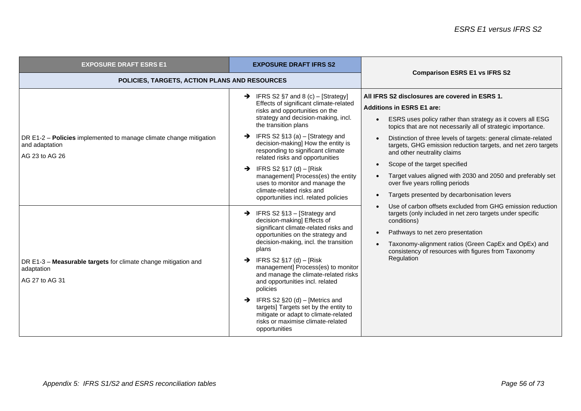| <b>EXPOSURE DRAFT ESRS E1</b>                                                                          | <b>EXPOSURE DRAFT IFRS S2</b>                                                                                                                                                                                                                                                                                                                                                                                                                                                                                                                                          | <b>Comparison ESRS E1 vs IFRS S2</b>                                                                                                                                                                                                                                                                                                                                                                                                                                                                                                                                  |
|--------------------------------------------------------------------------------------------------------|------------------------------------------------------------------------------------------------------------------------------------------------------------------------------------------------------------------------------------------------------------------------------------------------------------------------------------------------------------------------------------------------------------------------------------------------------------------------------------------------------------------------------------------------------------------------|-----------------------------------------------------------------------------------------------------------------------------------------------------------------------------------------------------------------------------------------------------------------------------------------------------------------------------------------------------------------------------------------------------------------------------------------------------------------------------------------------------------------------------------------------------------------------|
| POLICIES, TARGETS, ACTION PLANS AND RESOURCES                                                          |                                                                                                                                                                                                                                                                                                                                                                                                                                                                                                                                                                        |                                                                                                                                                                                                                                                                                                                                                                                                                                                                                                                                                                       |
| DR E1-2 – Policies implemented to manage climate change mitigation<br>and adaptation<br>AG 23 to AG 26 | $\rightarrow$ IFRS S2 §7 and 8 (c) – [Strategy]<br>Effects of significant climate-related<br>risks and opportunities on the<br>strategy and decision-making, incl.<br>the transition plans<br>$\rightarrow$ IFRS S2 §13 (a) – [Strategy and<br>decision-making] How the entity is<br>responding to significant climate<br>related risks and opportunities<br>$\rightarrow$ IFRS S2 §17 (d) – [Risk]<br>management] Process(es) the entity<br>uses to monitor and manage the<br>climate-related risks and<br>opportunities incl. related policies                       | All IFRS S2 disclosures are covered in ESRS 1.<br><b>Additions in ESRS E1 are:</b><br>ESRS uses policy rather than strategy as it covers all ESG<br>topics that are not necessarily all of strategic importance.<br>Distinction of three levels of targets: general climate-related<br>targets, GHG emission reduction targets, and net zero targets<br>and other neutrality claims<br>Scope of the target specified<br>Target values aligned with 2030 and 2050 and preferably set<br>over five years rolling periods<br>Targets presented by decarbonisation levers |
| DR E1-3 - Measurable targets for climate change mitigation and<br>adaptation<br>AG 27 to AG 31         | $\rightarrow$ IFRS S2 §13 – [Strategy and<br>decision-making] Effects of<br>significant climate-related risks and<br>opportunities on the strategy and<br>decision-making, incl. the transition<br>plans<br>$\rightarrow$ IFRS S2 §17 (d) – [Risk]<br>management] Process(es) to monitor<br>and manage the climate-related risks<br>and opportunities incl. related<br>policies<br>$\rightarrow$ IFRS S2 §20 (d) – [Metrics and<br>targets] Targets set by the entity to<br>mitigate or adapt to climate-related<br>risks or maximise climate-related<br>opportunities | Use of carbon offsets excluded from GHG emission reduction<br>targets (only included in net zero targets under specific<br>conditions)<br>Pathways to net zero presentation<br>Taxonomy-alignment ratios (Green CapEx and OpEx) and<br>consistency of resources with figures from Taxonomy<br>Regulation                                                                                                                                                                                                                                                              |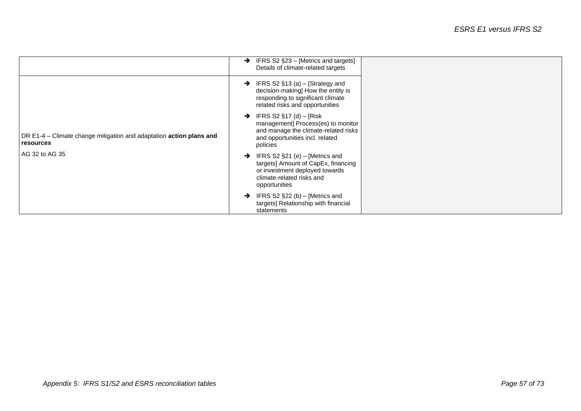|                                                                                  | IFRS S2 §23 - [Metrics and targets]<br>→<br>Details of climate-related targets                                                                                   |
|----------------------------------------------------------------------------------|------------------------------------------------------------------------------------------------------------------------------------------------------------------|
|                                                                                  | IFRS S2 $§13$ (a) – [Strategy and<br>$\rightarrow$<br>decision-making] How the entity is<br>responding to significant climate<br>related risks and opportunities |
| DR E1-4 - Climate change mitigation and adaptation action plans and<br>resources | IFRS S2 §17 (d) - [Risk<br>→<br>management] Process(es) to monitor<br>and manage the climate-related risks<br>and opportunities incl. related<br>policies        |
| AG 32 to AG 35                                                                   | IFRS S2 §21 (e) - [Metrics and<br>→<br>targets] Amount of CapEx, financing<br>or investment deployed towards<br>climate-related risks and<br>opportunities       |
|                                                                                  | IFRS S2 $\S$ 22 (b) – [Metrics and<br>→<br>targets] Relationship with financial<br>statements                                                                    |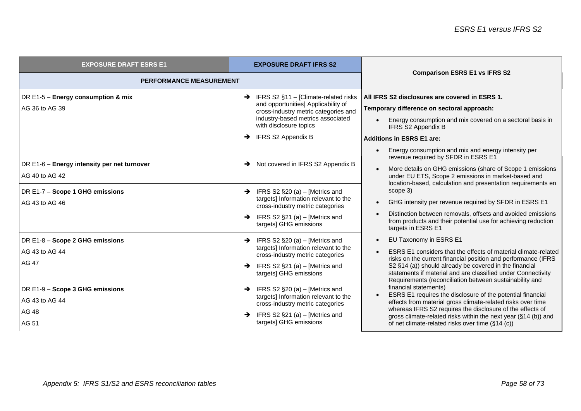| <b>EXPOSURE DRAFT ESRS E1</b>                                                                                      | <b>EXPOSURE DRAFT IFRS S2</b>                                                                                                                                                                                                        | <b>Comparison ESRS E1 vs IFRS S2</b>                                                                                                                                                                                                                                                                                                           |
|--------------------------------------------------------------------------------------------------------------------|--------------------------------------------------------------------------------------------------------------------------------------------------------------------------------------------------------------------------------------|------------------------------------------------------------------------------------------------------------------------------------------------------------------------------------------------------------------------------------------------------------------------------------------------------------------------------------------------|
| <b>PERFORMANCE MEASUREMENT</b>                                                                                     |                                                                                                                                                                                                                                      |                                                                                                                                                                                                                                                                                                                                                |
| DR E1-5 - Energy consumption & mix<br>AG 36 to AG 39                                                               | $\rightarrow$ IFRS S2 §11 - [Climate-related risks<br>and opportunities] Applicability of<br>cross-industry metric categories and<br>industry-based metrics associated<br>with disclosure topics<br>$\rightarrow$ IFRS S2 Appendix B | All IFRS S2 disclosures are covered in ESRS 1.<br>Temporary difference on sectoral approach:<br>Energy consumption and mix covered on a sectoral basis in<br><b>IFRS S2 Appendix B</b><br><b>Additions in ESRS E1 are:</b><br>Energy consumption and mix and energy intensity per                                                              |
| DR E1-6 - Energy intensity per net turnover<br>AG 40 to AG 42<br>DR E1-7 - Scope 1 GHG emissions<br>AG 43 to AG 46 | → Not covered in IFRS S2 Appendix B<br>IFRS S2 §20 (a) - [Metrics and<br>$\rightarrow$<br>targets] Information relevant to the<br>cross-industry metric categories                                                                   | revenue required by SFDR in ESRS E1<br>More details on GHG emissions (share of Scope 1 emissions<br>under EU ETS, Scope 2 emissions in market-based and<br>location-based, calculation and presentation requirements en<br>scope 3)<br>GHG intensity per revenue required by SFDR in ESRS E1                                                   |
|                                                                                                                    | IFRS S2 §21 (a) - [Metrics and<br>$\rightarrow$<br>targets] GHG emissions                                                                                                                                                            | Distinction between removals, offsets and avoided emissions<br>from products and their potential use for achieving reduction<br>targets in ESRS E1                                                                                                                                                                                             |
| DR E1-8 - Scope 2 GHG emissions<br>AG 43 to AG 44<br>AG 47                                                         | $\rightarrow$ IFRS S2 §20 (a) – [Metrics and<br>targets] Information relevant to the<br>cross-industry metric categories<br>$\rightarrow$ IFRS S2 §21 (a) – [Metrics and<br>targets] GHG emissions                                   | EU Taxonomy in ESRS E1<br>ESRS E1 considers that the effects of material climate-related<br>risks on the current financial position and performance (IFRS<br>S2 §14 (a)) should already be covered in the financial<br>statements if material and are classified under Connectivity<br>Requirements (reconciliation between sustainability and |
| DR E1-9 - Scope 3 GHG emissions<br>AG 43 to AG 44<br>AG 48<br>AG 51                                                | $\rightarrow$ IFRS S2 §20 (a) – [Metrics and<br>targets] Information relevant to the<br>cross-industry metric categories<br>IFRS S2 $\S$ 21 (a) – [Metrics and<br>targets] GHG emissions                                             | financial statements)<br>ESRS E1 requires the disclosure of the potential financial<br>effects from material gross climate-related risks over time<br>whereas IFRS S2 requires the disclosure of the effects of<br>gross climate-related risks within the next year (§14 (b)) and<br>of net climate-related risks over time (§14 (c))          |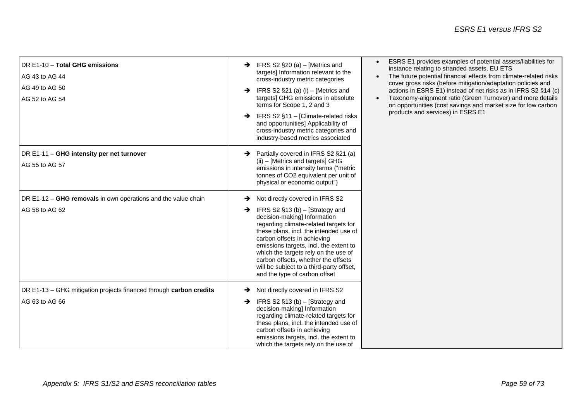| DR E1-10 - Total GHG emissions<br>AG 43 to AG 44<br>AG 49 to AG 50<br>AG 52 to AG 54 | $\rightarrow$ IFRS S2 §20 (a) – [Metrics and<br>targets] Information relevant to the<br>cross-industry metric categories<br>$\rightarrow$ IFRS S2 §21 (a) (i) – [Metrics and<br>targets] GHG emissions in absolute<br>terms for Scope 1, 2 and 3<br>$\rightarrow$ IFRS S2 §11 - [Climate-related risks<br>and opportunities] Applicability of<br>cross-industry metric categories and<br>industry-based metrics associated             | ESRS E1 provides examples of potential assets/liabilities for<br>$\bullet$<br>instance relating to stranded assets, EU ETS<br>The future potential financial effects from climate-related risks<br>cover gross risks (before mitigation/adaptation policies and<br>actions in ESRS E1) instead of net risks as in IFRS S2 §14 (c)<br>Taxonomy-alignment ratio (Green Turnover) and more details<br>on opportunities (cost savings and market size for low carbon<br>products and services) in ESRS E1 |
|--------------------------------------------------------------------------------------|----------------------------------------------------------------------------------------------------------------------------------------------------------------------------------------------------------------------------------------------------------------------------------------------------------------------------------------------------------------------------------------------------------------------------------------|-------------------------------------------------------------------------------------------------------------------------------------------------------------------------------------------------------------------------------------------------------------------------------------------------------------------------------------------------------------------------------------------------------------------------------------------------------------------------------------------------------|
| DR E1-11 - GHG intensity per net turnover<br>AG 55 to AG 57                          | $\rightarrow$ Partially covered in IFRS S2 §21 (a)<br>(ii) - [Metrics and targets] GHG<br>emissions in intensity terms ("metric<br>tonnes of CO2 equivalent per unit of<br>physical or economic output")                                                                                                                                                                                                                               |                                                                                                                                                                                                                                                                                                                                                                                                                                                                                                       |
| DR E1-12 - GHG removals in own operations and the value chain<br>AG 58 to AG 62      | Not directly covered in IFRS S2<br>→<br>IFRS S2 $§13$ (b) – [Strategy and<br>→<br>decision-making] Information<br>regarding climate-related targets for<br>these plans, incl. the intended use of<br>carbon offsets in achieving<br>emissions targets, incl. the extent to<br>which the targets rely on the use of<br>carbon offsets, whether the offsets<br>will be subject to a third-party offset,<br>and the type of carbon offset |                                                                                                                                                                                                                                                                                                                                                                                                                                                                                                       |
| DR E1-13 - GHG mitigation projects financed through carbon credits<br>AG 63 to AG 66 | Not directly covered in IFRS S2<br>→<br>IFRS S2 $§13$ (b) – [Strategy and<br>→<br>decision-making] Information<br>regarding climate-related targets for<br>these plans, incl. the intended use of<br>carbon offsets in achieving<br>emissions targets, incl. the extent to<br>which the targets rely on the use of                                                                                                                     |                                                                                                                                                                                                                                                                                                                                                                                                                                                                                                       |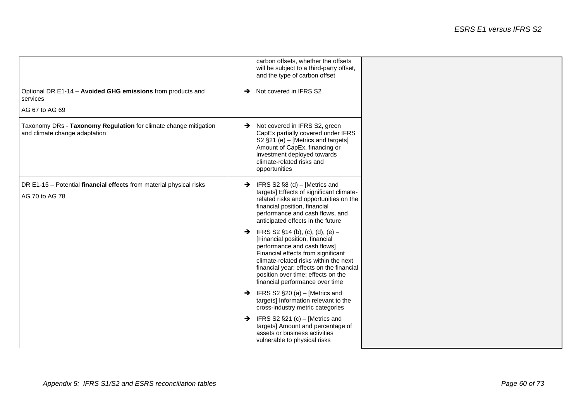|                                                                                                   | carbon offsets, whether the offsets<br>will be subject to a third-party offset,<br>and the type of carbon offset                                                                                                                                                                                                    |
|---------------------------------------------------------------------------------------------------|---------------------------------------------------------------------------------------------------------------------------------------------------------------------------------------------------------------------------------------------------------------------------------------------------------------------|
| Optional DR E1-14 - Avoided GHG emissions from products and<br>services                           | $\rightarrow$ Not covered in IFRS S2                                                                                                                                                                                                                                                                                |
| AG 67 to AG 69                                                                                    |                                                                                                                                                                                                                                                                                                                     |
| Taxonomy DRs - Taxonomy Regulation for climate change mitigation<br>and climate change adaptation | Not covered in IFRS S2, green<br>$\rightarrow$<br>CapEx partially covered under IFRS<br>S2 §21 (e) - [Metrics and targets]<br>Amount of CapEx, financing or<br>investment deployed towards<br>climate-related risks and<br>opportunities                                                                            |
| DR E1-15 - Potential financial effects from material physical risks<br>AG 70 to AG 78             | $\rightarrow$ IFRS S2 §8 (d) – [Metrics and<br>targets] Effects of significant climate-<br>related risks and opportunities on the<br>financial position, financial<br>performance and cash flows, and<br>anticipated effects in the future                                                                          |
|                                                                                                   | $\rightarrow$ IFRS S2 §14 (b), (c), (d), (e) –<br>[Financial position, financial<br>performance and cash flows]<br>Financial effects from significant<br>climate-related risks within the next<br>financial year; effects on the financial<br>position over time; effects on the<br>financial performance over time |
|                                                                                                   | IFRS S2 §20 (a) - [Metrics and<br>→<br>targets] Information relevant to the<br>cross-industry metric categories                                                                                                                                                                                                     |
|                                                                                                   | IFRS S2 §21 (c) - [Metrics and<br>$\rightarrow$<br>targets] Amount and percentage of<br>assets or business activities<br>vulnerable to physical risks                                                                                                                                                               |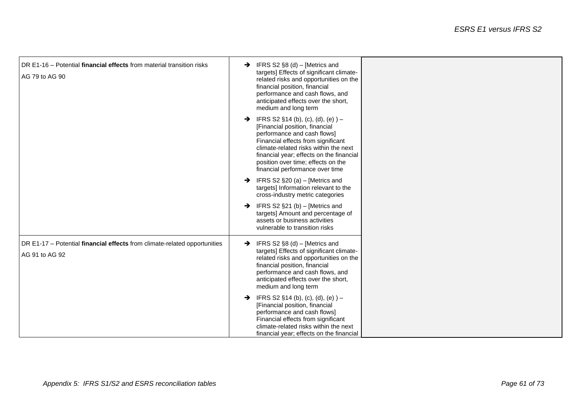| DR E1-16 – Potential financial effects from material transition risks<br>AG 79 to AG 90     | $\rightarrow$ IFRS S2 §8 (d) – [Metrics and<br>targets] Effects of significant climate-<br>related risks and opportunities on the<br>financial position, financial<br>performance and cash flows, and<br>anticipated effects over the short,<br>medium and long term                                                 |  |
|---------------------------------------------------------------------------------------------|----------------------------------------------------------------------------------------------------------------------------------------------------------------------------------------------------------------------------------------------------------------------------------------------------------------------|--|
|                                                                                             | $\rightarrow$ IFRS S2 §14 (b), (c), (d), (e)) –<br>[Financial position, financial<br>performance and cash flows]<br>Financial effects from significant<br>climate-related risks within the next<br>financial year; effects on the financial<br>position over time; effects on the<br>financial performance over time |  |
|                                                                                             | $\rightarrow$ IFRS S2 §20 (a) – [Metrics and<br>targets] Information relevant to the<br>cross-industry metric categories<br>IFRS S2 $\S$ 21 (b) – [Metrics and<br>$\rightarrow$                                                                                                                                      |  |
|                                                                                             | targets] Amount and percentage of<br>assets or business activities<br>vulnerable to transition risks                                                                                                                                                                                                                 |  |
| DR E1-17 - Potential financial effects from climate-related opportunities<br>AG 91 to AG 92 | $\rightarrow$ IFRS S2 §8 (d) – [Metrics and<br>targets] Effects of significant climate-<br>related risks and opportunities on the<br>financial position, financial<br>performance and cash flows, and<br>anticipated effects over the short,<br>medium and long term                                                 |  |
|                                                                                             | $\rightarrow$ IFRS S2 §14 (b), (c), (d), (e)) –<br>[Financial position, financial<br>performance and cash flows]<br>Financial effects from significant<br>climate-related risks within the next<br>financial year; effects on the financial                                                                          |  |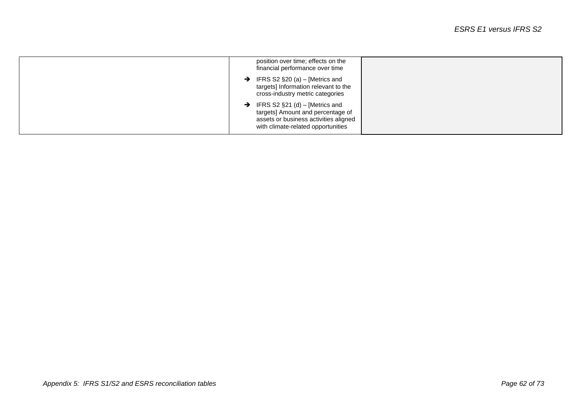| position over time; effects on the<br>financial performance over time                                                                                            |
|------------------------------------------------------------------------------------------------------------------------------------------------------------------|
| IFRS S2 $\S$ 20 (a) – [Metrics and<br>$\rightarrow$<br>targets] Information relevant to the<br>cross-industry metric categories                                  |
| $\rightarrow$ IFRS S2 §21 (d) – [Metrics and<br>targets] Amount and percentage of<br>assets or business activities aligned<br>with climate-related opportunities |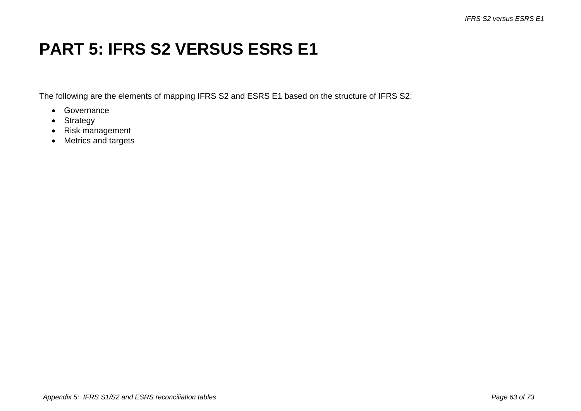## **PART 5: IFRS S2 VERSUS ESRS E1**

The following are the elements of mapping IFRS S2 and ESRS E1 based on the structure of IFRS S2:

- Governance
- Strategy
- Risk management
- Metrics and targets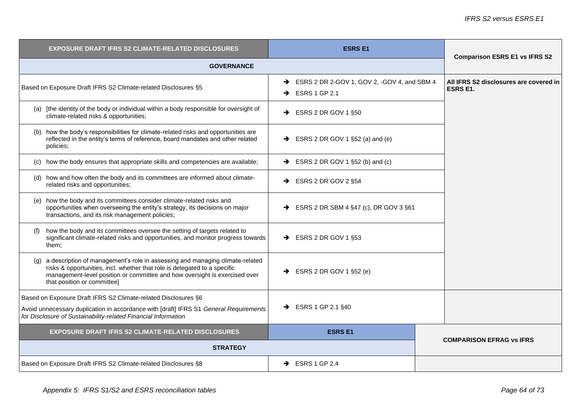| <b>ESRS E1</b><br>EXPOSURE DRAFT IFRS S2 CLIMATE-RELATED DISCLOSURES                                                                                                                                                                                                       |                                                                            | <b>Comparison ESRS E1 vs IFRS S2</b>                      |
|----------------------------------------------------------------------------------------------------------------------------------------------------------------------------------------------------------------------------------------------------------------------------|----------------------------------------------------------------------------|-----------------------------------------------------------|
| <b>GOVERNANCE</b>                                                                                                                                                                                                                                                          |                                                                            |                                                           |
| Based on Exposure Draft IFRS S2 Climate-related Disclosures §5                                                                                                                                                                                                             | SESS 2 DR 2-GOV 1, GOV 2, -GOV 4, and SBM 4<br>$\rightarrow$ ESRS 1 GP 2.1 | All IFRS S2 disclosures are covered in<br><b>ESRS E1.</b> |
| (a) [the identity of the body or individual within a body responsible for oversight of<br>climate-related risks & opportunities;                                                                                                                                           | $\rightarrow$ ESRS 2 DR GOV 1 §50                                          |                                                           |
| (b) how the body's responsibilities for climate-related risks and opportunities are<br>reflected in the entity's terms of reference, board mandates and other related<br>policies;                                                                                         | $\rightarrow$ ESRS 2 DR GOV 1 §52 (a) and (e)                              |                                                           |
| (c) how the body ensures that appropriate skills and competencies are available;                                                                                                                                                                                           | $\rightarrow$ ESRS 2 DR GOV 1 §52 (b) and (c)                              |                                                           |
| (d) how and how often the body and its committees are informed about climate-<br>related risks and opportunities;                                                                                                                                                          | $\rightarrow$ ESRS 2 DR GOV 2 §54                                          |                                                           |
| (e) how the body and its committees consider climate-related risks and<br>opportunities when overseeing the entity's strategy, its decisions on major<br>transactions, and its risk management policies;                                                                   | $\rightarrow$ ESRS 2 DR SBM 4 §47 (c), DR GOV 3 §61                        |                                                           |
| how the body and its committees oversee the setting of targets related to<br>significant climate-related risks and opportunities, and monitor progress towards<br>them;                                                                                                    | $\rightarrow$ ESRS 2 DR GOV 1 §53                                          |                                                           |
| (g) a description of management's role in assessing and managing climate-related<br>risks & opportunities, incl. whether that role is delegated to a specific<br>management-level position or committee and how oversight is exercised over<br>that position or committee] | $\rightarrow$ ESRS 2 DR GOV 1 §52 (e)                                      |                                                           |
| Based on Exposure Draft IFRS S2 Climate-related Disclosures §6                                                                                                                                                                                                             |                                                                            |                                                           |
| Avoid unnecessary duplication in accordance with [draft] IFRS S1 General Requirements<br>for Disclosure of Sustainability-related Financial Information                                                                                                                    | $\rightarrow$ ESRS 1 GP 2.1 §40                                            |                                                           |
| <b>EXPOSURE DRAFT IFRS S2 CLIMATE-RELATED DISCLOSURES</b>                                                                                                                                                                                                                  | <b>ESRS E1</b>                                                             |                                                           |
| <b>STRATEGY</b>                                                                                                                                                                                                                                                            | <b>COMPARISON EFRAG VS IFRS</b>                                            |                                                           |
| Based on Exposure Draft IFRS S2 Climate-related Disclosures §8                                                                                                                                                                                                             | $\rightarrow$ ESRS 1 GP 2.4                                                |                                                           |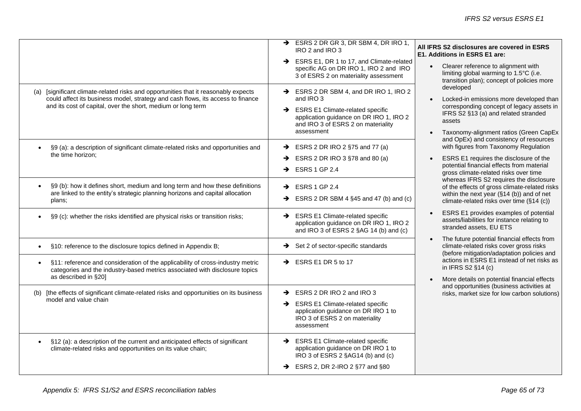|                                                                                                                                                                                                                                        | $\rightarrow$ ESRS 2 DR GR 3, DR SBM 4, DR IRO 1,<br>IRO 2 and IRO 3                                                                                                                 | All IFRS S2 disclosures are covered in ESRS<br>E1. Additions in ESRS E1 are:                                                                                                                                                            |
|----------------------------------------------------------------------------------------------------------------------------------------------------------------------------------------------------------------------------------------|--------------------------------------------------------------------------------------------------------------------------------------------------------------------------------------|-----------------------------------------------------------------------------------------------------------------------------------------------------------------------------------------------------------------------------------------|
|                                                                                                                                                                                                                                        | SRS E1, DR 1 to 17, and Climate-related<br>specific AG on DR IRO 1, IRO 2 and IRO<br>3 of ESRS 2 on materiality assessment                                                           | Clearer reference to alignment with<br>limiting global warming to 1.5°C (i.e.<br>transition plan); concept of policies more                                                                                                             |
| (a) [significant climate-related risks and opportunities that it reasonably expects<br>could affect its business model, strategy and cash flows, its access to finance<br>and its cost of capital, over the short, medium or long term | SESRS 2 DR SBM 4, and DR IRO 1, IRO 2<br>and IRO 3<br>SRS E1 Climate-related specific<br>application guidance on DR IRO 1, IRO 2<br>and IRO 3 of ESRS 2 on materiality<br>assessment | developed<br>Locked-in emissions more developed than<br>corresponding concept of legacy assets in<br>IFRS S2 §13 (a) and related stranded<br>assets<br>Taxonomy-alignment ratios (Green CapEx<br>and OpEx) and consistency of resources |
| §9 (a): a description of significant climate-related risks and opportunities and<br>$\bullet$<br>the time horizon;                                                                                                                     | $\rightarrow$ ESRS 2 DR IRO 2 §75 and 77 (a)<br>ESRS 2 DR IRO 3 §78 and 80 (a)<br>→<br>$\rightarrow$ ESRS 1 GP 2.4                                                                   | with figures from Taxonomy Regulation<br>ESRS E1 requires the disclosure of the<br>potential financial effects from material<br>gross climate-related risks over time                                                                   |
| §9 (b): how it defines short, medium and long term and how these definitions<br>are linked to the entity's strategic planning horizons and capital allocation<br>plans;                                                                | $\rightarrow$ ESRS 1 GP 2.4<br>$\rightarrow$ ESRS 2 DR SBM 4 §45 and 47 (b) and (c)                                                                                                  | whereas IFRS S2 requires the disclosure<br>of the effects of gross climate-related risks<br>within the next year (§14 (b)) and of net<br>climate-related risks over time (§14 (c))                                                      |
| §9 (c): whether the risks identified are physical risks or transition risks;                                                                                                                                                           | $\rightarrow$ ESRS E1 Climate-related specific<br>application guidance on DR IRO 1, IRO 2<br>and IRO 3 of ESRS 2 §AG 14 (b) and (c)                                                  | ESRS E1 provides examples of potential<br>assets/liabilities for instance relating to<br>stranded assets, EU ETS                                                                                                                        |
| §10: reference to the disclosure topics defined in Appendix B;<br>$\bullet$                                                                                                                                                            | $\rightarrow$ Set 2 of sector-specific standards                                                                                                                                     | The future potential financial effects from<br>climate-related risks cover gross risks<br>(before mitigation/adaptation policies and                                                                                                    |
| §11: reference and consideration of the applicability of cross-industry metric<br>$\bullet$<br>categories and the industry-based metrics associated with disclosure topics<br>as described in §20]                                     | $\rightarrow$ ESRS E1 DR 5 to 17                                                                                                                                                     | actions in ESRS E1 instead of net risks as<br>in IFRS S2 §14 (c)                                                                                                                                                                        |
| (b) [the effects of significant climate-related risks and opportunities on its business<br>model and value chain                                                                                                                       | $\rightarrow$ ESRS 2 DR IRO 2 and IRO 3<br>$\rightarrow$ ESRS E1 Climate-related specific<br>application guidance on DR IRO 1 to<br>IRO 3 of ESRS 2 on materiality<br>assessment     | More details on potential financial effects<br>and opportunities (business activities at<br>risks, market size for low carbon solutions)                                                                                                |
| §12 (a): a description of the current and anticipated effects of significant<br>$\bullet$<br>climate-related risks and opportunities on its value chain;                                                                               | SRS E1 Climate-related specific<br>application guidance on DR IRO 1 to<br>IRO 3 of ESRS 2 §AG14 (b) and (c)<br>$\rightarrow$ ESRS 2, DR 2-IRO 2 §77 and §80                          |                                                                                                                                                                                                                                         |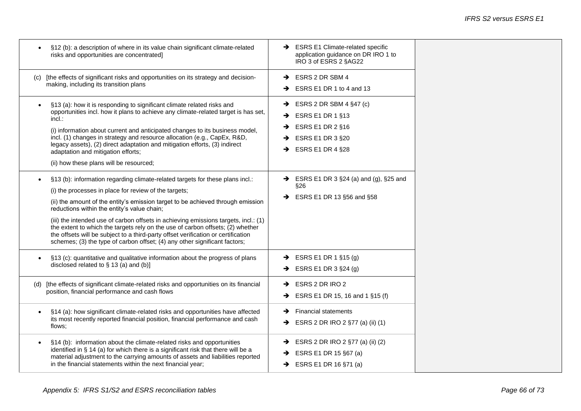┱

| §12 (b): a description of where in its value chain significant climate-related<br>risks and opportunities are concentrated]                                                                                                                                                                                                                                                                                                                                                                                                                                                                                          | → ESRS E1 Climate-related specific<br>application guidance on DR IRO 1 to<br>IRO 3 of ESRS 2 §AG22                                                 |
|----------------------------------------------------------------------------------------------------------------------------------------------------------------------------------------------------------------------------------------------------------------------------------------------------------------------------------------------------------------------------------------------------------------------------------------------------------------------------------------------------------------------------------------------------------------------------------------------------------------------|----------------------------------------------------------------------------------------------------------------------------------------------------|
| (c) [the effects of significant risks and opportunities on its strategy and decision-<br>making, including its transition plans                                                                                                                                                                                                                                                                                                                                                                                                                                                                                      | ESRS 2 DR SBM 4<br>→<br>$\rightarrow$ ESRS E1 DR 1 to 4 and 13                                                                                     |
| §13 (a): how it is responding to significant climate related risks and<br>opportunities incl. how it plans to achieve any climate-related target is has set,<br>incl.:<br>(i) information about current and anticipated changes to its business model,<br>incl. (1) changes in strategy and resource allocation (e.g., CapEx, R&D,<br>legacy assets), (2) direct adaptation and mitigation efforts, (3) indirect<br>adaptation and mitigation efforts;<br>(ii) how these plans will be resourced;                                                                                                                    | $\rightarrow$ ESRS 2 DR SBM 4 §47 (c)<br>$\rightarrow$ ESRS E1 DR 1 §13<br>ESRS E1 DR 2 §16<br>→<br>ESRS E1 DR 3 §20<br>→<br>ESRS E1 DR 4 §28<br>→ |
| §13 (b): information regarding climate-related targets for these plans incl.:<br>(i) the processes in place for review of the targets;<br>(ii) the amount of the entity's emission target to be achieved through emission<br>reductions within the entity's value chain;<br>(iii) the intended use of carbon offsets in achieving emissions targets, incl.: (1)<br>the extent to which the targets rely on the use of carbon offsets; (2) whether<br>the offsets will be subject to a third-party offset verification or certification<br>schemes; (3) the type of carbon offset; (4) any other significant factors; | $\rightarrow$ ESRS E1 DR 3 §24 (a) and (g), §25 and<br>§26<br>ESRS E1 DR 13 §56 and §58<br>→                                                       |
| §13 (c): quantitative and qualitative information about the progress of plans<br>disclosed related to $\S$ 13 (a) and (b)]                                                                                                                                                                                                                                                                                                                                                                                                                                                                                           | $\rightarrow$ ESRS E1 DR 1 §15 (g)<br>ESRS E1 DR 3 §24 (g)                                                                                         |
| (d) [the effects of significant climate-related risks and opportunities on its financial<br>position, financial performance and cash flows                                                                                                                                                                                                                                                                                                                                                                                                                                                                           | ESRS 2 DR IRO 2<br>→<br>ESRS E1 DR 15, 16 and 1 §15 (f)<br>→                                                                                       |
| §14 (a): how significant climate-related risks and opportunities have affected<br>its most recently reported financial position, financial performance and cash<br>flows:                                                                                                                                                                                                                                                                                                                                                                                                                                            | <b>Financial statements</b><br>→<br>ESRS 2 DR IRO 2 §77 (a) (ii) (1)<br>→                                                                          |
| §14 (b): information about the climate-related risks and opportunities<br>identified in § 14 (a) for which there is a significant risk that there will be a<br>material adjustment to the carrying amounts of assets and liabilities reported<br>in the financial statements within the next financial year;                                                                                                                                                                                                                                                                                                         | $\rightarrow$ ESRS 2 DR IRO 2 §77 (a) (ii) (2)<br>$\rightarrow$ ESRS E1 DR 15 §67 (a)<br>$\rightarrow$ ESRS E1 DR 16 §71 (a)                       |

 $\overline{\phantom{a}}$ 

- r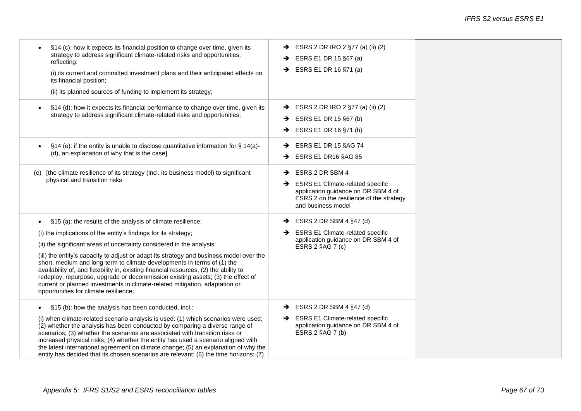| reflecting:<br>its financial position;<br>(ii) its planned sources of funding to implement its strategy;                                                                          | §14 (c): how it expects its financial position to change over time, given its<br>strategy to address significant climate-related risks and opportunities,<br>(i) its current and committed investment plans and their anticipated effects on                                                                                                                                                                                                                                                                           | $\rightarrow$<br>→             | ESRS 2 DR IRO 2 §77 (a) (ii) (2)<br>ESRS E1 DR 15 §67 (a)<br>$\rightarrow$ ESRS E1 DR 16 §71 (a)                                                                    |
|-----------------------------------------------------------------------------------------------------------------------------------------------------------------------------------|------------------------------------------------------------------------------------------------------------------------------------------------------------------------------------------------------------------------------------------------------------------------------------------------------------------------------------------------------------------------------------------------------------------------------------------------------------------------------------------------------------------------|--------------------------------|---------------------------------------------------------------------------------------------------------------------------------------------------------------------|
|                                                                                                                                                                                   | §14 (d): how it expects its financial performance to change over time, given its<br>strategy to address significant climate-related risks and opportunities;                                                                                                                                                                                                                                                                                                                                                           | $\rightarrow$<br>$\rightarrow$ | $\rightarrow$ ESRS 2 DR IRO 2 §77 (a) (ii) (2)<br>ESRS E1 DR 15 §67 (b)<br>ESRS E1 DR 16 §71 (b)                                                                    |
| (d), an explanation of why that is the case]                                                                                                                                      | $\S$ 14 (e): if the entity is unable to disclose quantitative information for $\S$ 14(a)-                                                                                                                                                                                                                                                                                                                                                                                                                              | $\rightarrow$                  | ESRS E1 DR 15 §AG 74<br>$\rightarrow$ ESRS E1 DR16 §AG 85                                                                                                           |
| (e)<br>physical and transition risks                                                                                                                                              | [the climate resilience of its strategy (incl. its business model) to significant                                                                                                                                                                                                                                                                                                                                                                                                                                      | →<br>→                         | ESRS 2 DR SBM 4<br><b>ESRS E1 Climate-related specific</b><br>application guidance on DR SBM 4 of<br>ESRS 2 on the resilience of the strategy<br>and business model |
| §15 (a): the results of the analysis of climate resilience:<br>$\bullet$                                                                                                          |                                                                                                                                                                                                                                                                                                                                                                                                                                                                                                                        | →                              | ESRS 2 DR SBM 4 §47 (d)                                                                                                                                             |
| (i) the implications of the entity's findings for its strategy;<br>(ii) the significant areas of uncertainty considered in the analysis;<br>opportunities for climate resilience; | (iii) the entity's capacity to adjust or adapt its strategy and business model over the<br>short, medium and long-term to climate developments in terms of (1) the<br>availability of, and flexibility in, existing financial resources, (2) the ability to<br>redeploy, repurpose, upgrade or decommission existing assets; (3) the effect of<br>current or planned investments in climate-related mitigation, adaptation or                                                                                          |                                | <b>ESRS E1 Climate-related specific</b><br>application guidance on DR SBM 4 of<br>ESRS 2 §AG 7 (c)                                                                  |
| §15 (b): how the analysis has been conducted, incl.:                                                                                                                              | (i) when climate-related scenario analysis is used: (1) which scenarios were used;<br>(2) whether the analysis has been conducted by comparing a diverse range of<br>scenarios; (3) whether the scenarios are associated with transition risks or<br>increased physical risks; (4) whether the entity has used a scenario aligned with<br>the latest international agreement on climate change; (5) an explanation of why the<br>entity has decided that its chosen scenarios are relevant; (6) the time horizons; (7) | $\rightarrow$                  | ESRS 2 DR SBM 4 §47 (d)<br>$\rightarrow$ ESRS E1 Climate-related specific<br>application guidance on DR SBM 4 of<br>ESRS 2 §AG 7 (b)                                |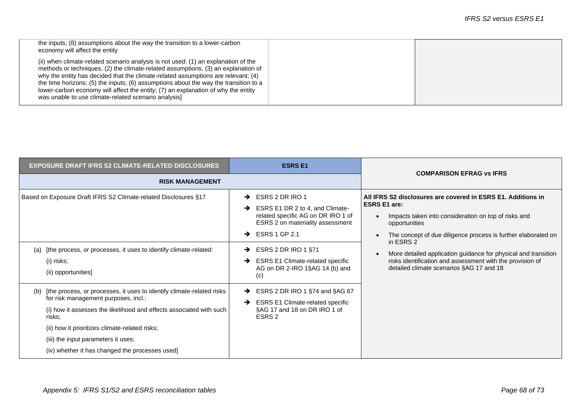| the inputs; (8) assumptions about the way the transition to a lower-carbon<br>economy will affect the entity                                                                                                                                                                                                                                                                                                                                                                                      |  |
|---------------------------------------------------------------------------------------------------------------------------------------------------------------------------------------------------------------------------------------------------------------------------------------------------------------------------------------------------------------------------------------------------------------------------------------------------------------------------------------------------|--|
| (ii) when climate-related scenario analysis is not used: (1) an explanation of the<br>methods or techniques, (2) the climate-related assumptions, (3) an explanation of<br>why the entity has decided that the climate-related assumptions are relevant; (4)<br>the time horizons; (5) the inputs; (6) assumptions about the way the transition to a<br>lower-carbon economy will affect the entity; (7) an explanation of why the entity<br>was unable to use climate-related scenario analysis] |  |

| <b>EXPOSURE DRAFT IFRS S2 CLIMATE-RELATED DISCLOSURES</b>                                                                                                                                                                                                                                                                                      | <b>ESRS E1</b>                                                                                                                                                                              |                                                                                                                                                                                                                                            |  |
|------------------------------------------------------------------------------------------------------------------------------------------------------------------------------------------------------------------------------------------------------------------------------------------------------------------------------------------------|---------------------------------------------------------------------------------------------------------------------------------------------------------------------------------------------|--------------------------------------------------------------------------------------------------------------------------------------------------------------------------------------------------------------------------------------------|--|
| <b>RISK MANAGEMENT</b>                                                                                                                                                                                                                                                                                                                         |                                                                                                                                                                                             | <b>COMPARISON EFRAG VS IFRS</b>                                                                                                                                                                                                            |  |
| Based on Exposure Draft IFRS S2 Climate-related Disclosures §17                                                                                                                                                                                                                                                                                | ESRS 2 DR IRO 1<br>→<br>ESRS E1 DR 2 to 4, and Climate-<br>$\rightarrow$<br>related specific AG on DR IRO 1 of<br>ESRS 2 on materiality assessment<br><b>ESRS 1 GP 2.1</b><br>$\rightarrow$ | All IFRS S2 disclosures are covered in ESRS E1. Additions in<br><b>ESRS E1 are:</b><br>Impacts taken into consideration on top of risks and<br>$\bullet$<br>opportunities<br>The concept of due diligence process is further elaborated on |  |
| [the process, or processes, it uses to identify climate-related:<br>(a)<br>(i) risks;<br>(ii) opportunities]                                                                                                                                                                                                                                   | ESRS 2 DR IRO 1 §71<br>→<br><b>ESRS E1 Climate-related specific</b><br>$\rightarrow$<br>AG on DR 2-IRO 1§AG 14 (b) and<br>(c)                                                               | in ESRS 2<br>More detailed application guidance for physical and transition<br>risks identification and assessment with the provision of<br>detailed climate scenarios §AG 17 and 18                                                       |  |
| (b) [the process, or processes, it uses to identify climate-related risks<br>for risk management purposes, incl.:<br>(i) how it assesses the likelihood and effects associated with such<br>risks;<br>(ii) how it prioritizes climate-related risks;<br>(iii) the input parameters it uses;<br>(iv) whether it has changed the processes used] | ESRS 2 DR IRO 1 §74 and §AG 67<br>$\rightarrow$<br>→<br><b>ESRS E1 Climate-related specific</b><br>§AG 17 and 18 on DR IRO 1 of<br>ESRS <sub>2</sub>                                        |                                                                                                                                                                                                                                            |  |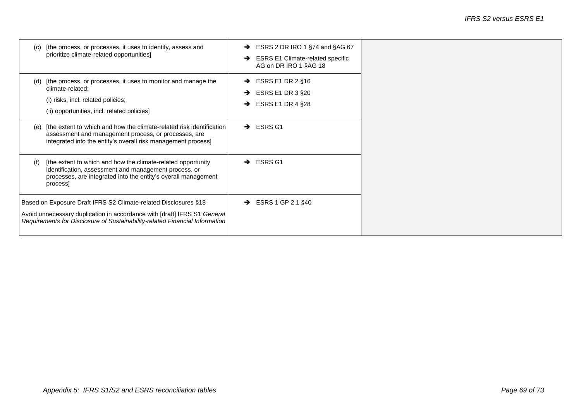| (C) | [the process, or processes, it uses to identify, assess and<br>prioritize climate-related opportunities]                                                                                                                   | $\rightarrow$<br>→ | ESRS 2 DR IRO 1 §74 and §AG 67<br><b>ESRS E1 Climate-related specific</b><br>AG on DR IRO 1 §AG 18 |  |
|-----|----------------------------------------------------------------------------------------------------------------------------------------------------------------------------------------------------------------------------|--------------------|----------------------------------------------------------------------------------------------------|--|
| (d) | [the process, or processes, it uses to monitor and manage the<br>climate-related:<br>(i) risks, incl. related policies;<br>(ii) opportunities, incl. related policies]                                                     | →<br>→<br>→        | ESRS E1 DR 2 §16<br>ESRS E1 DR 3 §20<br>ESRS E1 DR 4 $\S$ 28                                       |  |
| (e) | The extent to which and how the climate-related risk identification<br>assessment and management process, or processes, are<br>integrated into the entity's overall risk management process]                               | $\rightarrow$      | <b>ESRS G1</b>                                                                                     |  |
| (f) | [the extent to which and how the climate-related opportunity<br>identification, assessment and management process, or<br>processes, are integrated into the entity's overall management<br>process]                        | →                  | <b>ESRS G1</b>                                                                                     |  |
|     | Based on Exposure Draft IFRS S2 Climate-related Disclosures §18<br>Avoid unnecessary duplication in accordance with [draft] IFRS S1 General<br>Requirements for Disclosure of Sustainability-related Financial Information | $\rightarrow$      | ESRS 1 GP 2.1 §40                                                                                  |  |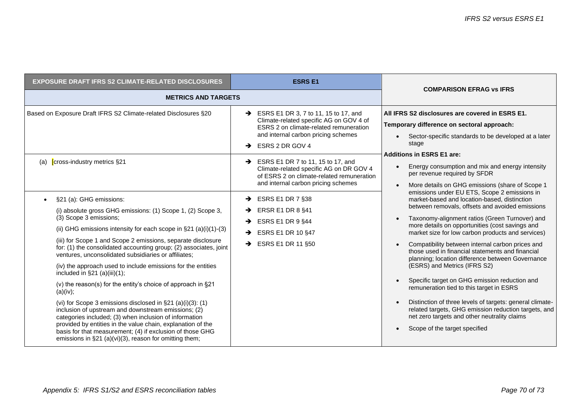| <b>EXPOSURE DRAFT IFRS S2 CLIMATE-RELATED DISCLOSURES</b>                                                                                                                                                                                                                                                                                                                                                                                                                                                                                                                                                                                                                                                                                                                                                                                                                 | <b>ESRS E1</b>                                                                                                                                                                                                                                                                                                                                                                                                                                                                                                                                                        | <b>COMPARISON EFRAG VS IFRS</b>                                                                                                                                                                                                                                                                                                                                                                                                                                                                                                                                                                                                                                                                                                                                                                                                                                                                                                                                                                                                                                                                                    |  |
|---------------------------------------------------------------------------------------------------------------------------------------------------------------------------------------------------------------------------------------------------------------------------------------------------------------------------------------------------------------------------------------------------------------------------------------------------------------------------------------------------------------------------------------------------------------------------------------------------------------------------------------------------------------------------------------------------------------------------------------------------------------------------------------------------------------------------------------------------------------------------|-----------------------------------------------------------------------------------------------------------------------------------------------------------------------------------------------------------------------------------------------------------------------------------------------------------------------------------------------------------------------------------------------------------------------------------------------------------------------------------------------------------------------------------------------------------------------|--------------------------------------------------------------------------------------------------------------------------------------------------------------------------------------------------------------------------------------------------------------------------------------------------------------------------------------------------------------------------------------------------------------------------------------------------------------------------------------------------------------------------------------------------------------------------------------------------------------------------------------------------------------------------------------------------------------------------------------------------------------------------------------------------------------------------------------------------------------------------------------------------------------------------------------------------------------------------------------------------------------------------------------------------------------------------------------------------------------------|--|
| <b>METRICS AND TARGETS</b>                                                                                                                                                                                                                                                                                                                                                                                                                                                                                                                                                                                                                                                                                                                                                                                                                                                |                                                                                                                                                                                                                                                                                                                                                                                                                                                                                                                                                                       |                                                                                                                                                                                                                                                                                                                                                                                                                                                                                                                                                                                                                                                                                                                                                                                                                                                                                                                                                                                                                                                                                                                    |  |
| Based on Exposure Draft IFRS S2 Climate-related Disclosures §20<br>(a) <b>[</b> cross-industry metrics §21<br>§21 (a): GHG emissions:<br>(i) absolute gross GHG emissions: (1) Scope 1, (2) Scope 3,<br>(3) Scope 3 emissions;<br>(ii) GHG emissions intensity for each scope in $\S 21$ (a)(i)(1)-(3)<br>(iii) for Scope 1 and Scope 2 emissions, separate disclosure<br>for: (1) the consolidated accounting group; (2) associates, joint<br>ventures, unconsolidated subsidiaries or affiliates;<br>(iv) the approach used to include emissions for the entities<br>included in $\S21$ (a)(iii)(1);<br>(v) the reason(s) for the entity's choice of approach in $\S 21$<br>(a)(iv);<br>(vi) for Scope 3 emissions disclosed in $\S 21$ (a)(i)(3): (1)<br>inclusion of upstream and downstream emissions; (2)<br>categories included; (3) when inclusion of information | $\rightarrow$ ESRS E1 DR 3, 7 to 11, 15 to 17, and<br>Climate-related specific AG on GOV 4 of<br>ESRS 2 on climate-related remuneration<br>and internal carbon pricing schemes<br>ESRS 2 DR GOV 4<br>→<br>$\rightarrow$ ESRS E1 DR 7 to 11, 15 to 17, and<br>Climate-related specific AG on DR GOV 4<br>of ESRS 2 on climate-related remuneration<br>and internal carbon pricing schemes<br>$\rightarrow$ ESRS E1 DR 7 §38<br><b>ERSR E1 DR 8 §41</b><br>→<br>ESRS E1 DR 9 §44<br>$\rightarrow$<br>$\rightarrow$ ESRS E1 DR 10 §47<br>$\rightarrow$ ESRS E1 DR 11 §50 | All IFRS S2 disclosures are covered in ESRS E1.<br>Temporary difference on sectoral approach:<br>Sector-specific standards to be developed at a later<br>stage<br><b>Additions in ESRS E1 are:</b><br>Energy consumption and mix and energy intensity<br>per revenue required by SFDR<br>More details on GHG emissions (share of Scope 1<br>emissions under EU ETS, Scope 2 emissions in<br>market-based and location-based, distinction<br>between removals, offsets and avoided emissions<br>Taxonomy-alignment ratios (Green Turnover) and<br>more details on opportunities (cost savings and<br>market size for low carbon products and services)<br>Compatibility between internal carbon prices and<br>those used in financial statements and financial<br>planning; location difference between Governance<br>(ESRS) and Metrics (IFRS S2)<br>Specific target on GHG emission reduction and<br>remuneration tied to this target in ESRS<br>Distinction of three levels of targets: general climate-<br>related targets, GHG emission reduction targets, and<br>net zero targets and other neutrality claims |  |
| provided by entities in the value chain, explanation of the<br>basis for that measurement; (4) if exclusion of those GHG<br>emissions in §21 (a)(vi)(3), reason for omitting them;                                                                                                                                                                                                                                                                                                                                                                                                                                                                                                                                                                                                                                                                                        |                                                                                                                                                                                                                                                                                                                                                                                                                                                                                                                                                                       | Scope of the target specified                                                                                                                                                                                                                                                                                                                                                                                                                                                                                                                                                                                                                                                                                                                                                                                                                                                                                                                                                                                                                                                                                      |  |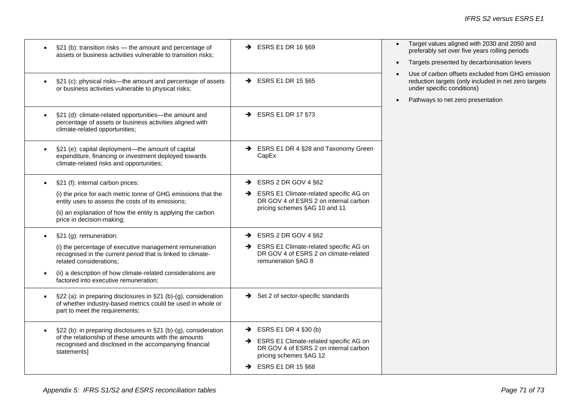| §21 (b): transition risks - the amount and percentage of<br>$\bullet$<br>assets or business activities vulnerable to transition risks;                                                                                                                                               | $\rightarrow$ ESRS E1 DR 16 §69                                                                                                                                                            | Target values aligned with 2030 and 2050 and<br>preferably set over five years rolling periods<br>Targets presented by decarbonisation levers<br>$\bullet$                               |
|--------------------------------------------------------------------------------------------------------------------------------------------------------------------------------------------------------------------------------------------------------------------------------------|--------------------------------------------------------------------------------------------------------------------------------------------------------------------------------------------|------------------------------------------------------------------------------------------------------------------------------------------------------------------------------------------|
| §21 (c): physical risks—the amount and percentage of assets<br>$\bullet$<br>or business activities vulnerable to physical risks;                                                                                                                                                     | $\rightarrow$ ESRS E1 DR 15 §65                                                                                                                                                            | Use of carbon offsets excluded from GHG emission<br>reduction targets (only included in net zero targets<br>under specific conditions)<br>Pathways to net zero presentation<br>$\bullet$ |
| §21 (d): climate-related opportunities-the amount and<br>percentage of assets or business activities aligned with<br>climate-related opportunities;                                                                                                                                  | $\rightarrow$ ESRS E1 DR 17 §73                                                                                                                                                            |                                                                                                                                                                                          |
| §21 (e): capital deployment-the amount of capital<br>$\bullet$<br>expenditure, financing or investment deployed towards<br>climate-related risks and opportunities;                                                                                                                  | SESRS E1 DR 4 §28 and Taxonomy Green<br>CapEx                                                                                                                                              |                                                                                                                                                                                          |
| §21 (f): internal carbon prices:<br>(i) the price for each metric tonne of GHG emissions that the<br>entity uses to assess the costs of its emissions;<br>(ii) an explanation of how the entity is applying the carbon<br>price in decision-making;                                  | $\rightarrow$ ESRS 2 DR GOV 4 §62<br>SRS E1 Climate-related specific AG on<br>DR GOV 4 of ESRS 2 on internal carbon<br>pricing schemes §AG 10 and 11                                       |                                                                                                                                                                                          |
| §21 (g): remuneration:<br>(i) the percentage of executive management remuneration<br>recognised in the current period that is linked to climate-<br>related considerations:<br>(ii) a description of how climate-related considerations are<br>factored into executive remuneration; | $\rightarrow$ ESRS 2 DR GOV 4 §62<br>ESRS E1 Climate-related specific AG on<br>→<br>DR GOV 4 of ESRS 2 on climate-related<br>remuneration §AG 8                                            |                                                                                                                                                                                          |
| §22 (a): in preparing disclosures in §21 (b)-(g), consideration<br>of whether industry-based metrics could be used in whole or<br>part to meet the requirements;                                                                                                                     | $\rightarrow$ Set 2 of sector-specific standards                                                                                                                                           |                                                                                                                                                                                          |
| §22 (b): in preparing disclosures in §21 (b)-(g), consideration<br>$\bullet$<br>of the relationship of these amounts with the amounts<br>recognised and disclosed in the accompanying financial<br>statements]                                                                       | ESRS E1 DR 4 §30 (b)<br>$\rightarrow$<br>ESRS E1 Climate-related specific AG on<br>→<br>DR GOV 4 of ESRS 2 on internal carbon<br>pricing schemes §AG 12<br>$\rightarrow$ ESRS E1 DR 15 §68 |                                                                                                                                                                                          |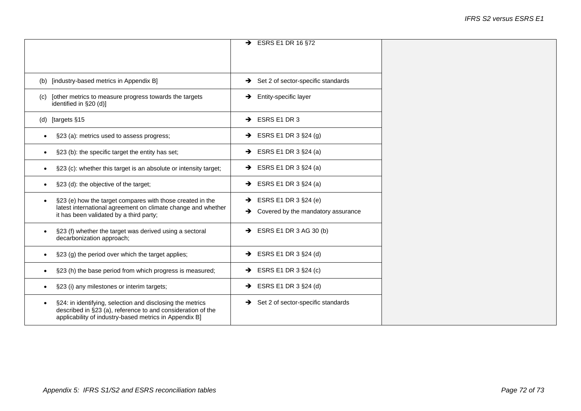| $\rightarrow$ ESRS E1 DR 16 §72<br>(b) [industry-based metrics in Appendix B]<br>$\rightarrow$ Set 2 of sector-specific standards<br>$\rightarrow$ Entity-specific layer<br>[other metrics to measure progress towards the targets<br>(c)<br>identified in §20 (d)]<br>(d) [targets §15<br>$\rightarrow$ ESRS E1 DR 3<br>$\rightarrow$ ESRS E1 DR 3 §24 (g)<br>§23 (a): metrics used to assess progress;<br>$\bullet$<br>$\rightarrow$ ESRS E1 DR 3 §24 (a)<br>§23 (b): the specific target the entity has set;<br>$\bullet$<br>$\rightarrow$ ESRS E1 DR 3 §24 (a)<br>§23 (c): whether this target is an absolute or intensity target;<br>ESRS E1 DR 3 §24 (a)<br>§23 (d): the objective of the target;<br>$\rightarrow$<br>$\rightarrow$ ESRS E1 DR 3 §24 (e)<br>§23 (e) how the target compares with those created in the<br>latest international agreement on climate change and whether<br>Covered by the mandatory assurance<br>$\rightarrow$<br>it has been validated by a third party;<br>$\rightarrow$ ESRS E1 DR 3 AG 30 (b)<br>§23 (f) whether the target was derived using a sectoral<br>decarbonization approach;<br>$\rightarrow$ ESRS E1 DR 3 §24 (d)<br>§23 (g) the period over which the target applies;<br>$\rightarrow$ ESRS E1 DR 3 §24 (c)<br>§23 (h) the base period from which progress is measured;<br>$\bullet$<br>$\rightarrow$ ESRS E1 DR 3 §24 (d)<br>§23 (i) any milestones or interim targets;<br>$\bullet$<br>$\rightarrow$ Set 2 of sector-specific standards<br>§24: in identifying, selection and disclosing the metrics<br>described in §23 (a), reference to and consideration of the<br>applicability of industry-based metrics in Appendix B] |  |  |
|------------------------------------------------------------------------------------------------------------------------------------------------------------------------------------------------------------------------------------------------------------------------------------------------------------------------------------------------------------------------------------------------------------------------------------------------------------------------------------------------------------------------------------------------------------------------------------------------------------------------------------------------------------------------------------------------------------------------------------------------------------------------------------------------------------------------------------------------------------------------------------------------------------------------------------------------------------------------------------------------------------------------------------------------------------------------------------------------------------------------------------------------------------------------------------------------------------------------------------------------------------------------------------------------------------------------------------------------------------------------------------------------------------------------------------------------------------------------------------------------------------------------------------------------------------------------------------------------------------------------------------------------------------------------------------|--|--|
|                                                                                                                                                                                                                                                                                                                                                                                                                                                                                                                                                                                                                                                                                                                                                                                                                                                                                                                                                                                                                                                                                                                                                                                                                                                                                                                                                                                                                                                                                                                                                                                                                                                                                    |  |  |
|                                                                                                                                                                                                                                                                                                                                                                                                                                                                                                                                                                                                                                                                                                                                                                                                                                                                                                                                                                                                                                                                                                                                                                                                                                                                                                                                                                                                                                                                                                                                                                                                                                                                                    |  |  |
|                                                                                                                                                                                                                                                                                                                                                                                                                                                                                                                                                                                                                                                                                                                                                                                                                                                                                                                                                                                                                                                                                                                                                                                                                                                                                                                                                                                                                                                                                                                                                                                                                                                                                    |  |  |
|                                                                                                                                                                                                                                                                                                                                                                                                                                                                                                                                                                                                                                                                                                                                                                                                                                                                                                                                                                                                                                                                                                                                                                                                                                                                                                                                                                                                                                                                                                                                                                                                                                                                                    |  |  |
|                                                                                                                                                                                                                                                                                                                                                                                                                                                                                                                                                                                                                                                                                                                                                                                                                                                                                                                                                                                                                                                                                                                                                                                                                                                                                                                                                                                                                                                                                                                                                                                                                                                                                    |  |  |
|                                                                                                                                                                                                                                                                                                                                                                                                                                                                                                                                                                                                                                                                                                                                                                                                                                                                                                                                                                                                                                                                                                                                                                                                                                                                                                                                                                                                                                                                                                                                                                                                                                                                                    |  |  |
|                                                                                                                                                                                                                                                                                                                                                                                                                                                                                                                                                                                                                                                                                                                                                                                                                                                                                                                                                                                                                                                                                                                                                                                                                                                                                                                                                                                                                                                                                                                                                                                                                                                                                    |  |  |
|                                                                                                                                                                                                                                                                                                                                                                                                                                                                                                                                                                                                                                                                                                                                                                                                                                                                                                                                                                                                                                                                                                                                                                                                                                                                                                                                                                                                                                                                                                                                                                                                                                                                                    |  |  |
|                                                                                                                                                                                                                                                                                                                                                                                                                                                                                                                                                                                                                                                                                                                                                                                                                                                                                                                                                                                                                                                                                                                                                                                                                                                                                                                                                                                                                                                                                                                                                                                                                                                                                    |  |  |
|                                                                                                                                                                                                                                                                                                                                                                                                                                                                                                                                                                                                                                                                                                                                                                                                                                                                                                                                                                                                                                                                                                                                                                                                                                                                                                                                                                                                                                                                                                                                                                                                                                                                                    |  |  |
|                                                                                                                                                                                                                                                                                                                                                                                                                                                                                                                                                                                                                                                                                                                                                                                                                                                                                                                                                                                                                                                                                                                                                                                                                                                                                                                                                                                                                                                                                                                                                                                                                                                                                    |  |  |
|                                                                                                                                                                                                                                                                                                                                                                                                                                                                                                                                                                                                                                                                                                                                                                                                                                                                                                                                                                                                                                                                                                                                                                                                                                                                                                                                                                                                                                                                                                                                                                                                                                                                                    |  |  |
|                                                                                                                                                                                                                                                                                                                                                                                                                                                                                                                                                                                                                                                                                                                                                                                                                                                                                                                                                                                                                                                                                                                                                                                                                                                                                                                                                                                                                                                                                                                                                                                                                                                                                    |  |  |
|                                                                                                                                                                                                                                                                                                                                                                                                                                                                                                                                                                                                                                                                                                                                                                                                                                                                                                                                                                                                                                                                                                                                                                                                                                                                                                                                                                                                                                                                                                                                                                                                                                                                                    |  |  |